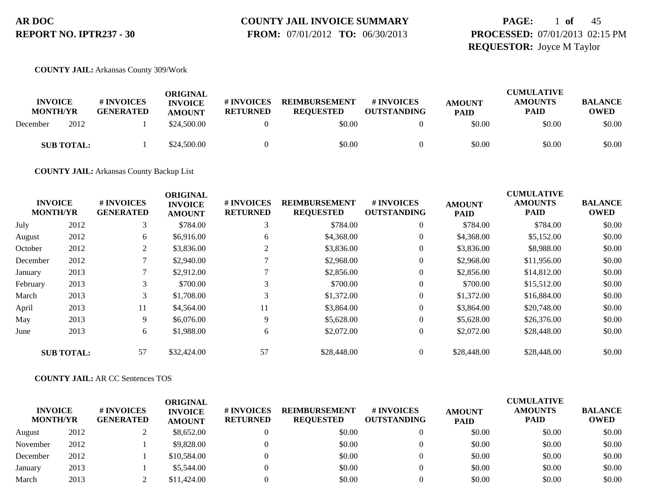# **COUNTY JAIL INVOICE SUMMARY**

 **FROM:** 07/01/2012 **TO:** 06/30/2013

# **PAGE:** 1 **of** 45 **PROCESSED:** 07/01/2013 02:15 PM **REQUESTOR:** Joyce M Taylor

**COUNTY JAIL:** Arkansas County 309/Work

| <b>INVOICE</b><br><b>MONTH/YR</b> |      | # INVOICES<br><b>GENERATED</b> | ORIGINAL<br><b>INVOICE</b><br><b>AMOUNT</b> | # INVOICES<br><b>RETURNED</b> | <b>REIMBURSEMENT</b><br><b>REQUESTED</b> | # INVOICES<br><b>OUTSTANDING</b> | <b>AMOUNT</b><br><b>PAID</b> | <b>CUMULATIVE</b><br><b>AMOUNTS</b><br><b>PAID</b> | <b>BALANCE</b><br><b>OWED</b> |
|-----------------------------------|------|--------------------------------|---------------------------------------------|-------------------------------|------------------------------------------|----------------------------------|------------------------------|----------------------------------------------------|-------------------------------|
| December                          | 2012 |                                | \$24,500.00                                 |                               | \$0.00                                   |                                  | \$0.00                       | \$0.00                                             | \$0.00                        |
| <b>SUB TOTAL:</b>                 |      |                                | \$24,500.00                                 |                               | \$0.00                                   |                                  | \$0.00                       | \$0.00                                             | \$0.00                        |

**COUNTY JAIL:** Arkansas County Backup List

|          |                                   |                                | <b>ORIGINAL</b>                 |                               |                                          |                                  |                              | <b>CUMULATIVE</b>             |                               |
|----------|-----------------------------------|--------------------------------|---------------------------------|-------------------------------|------------------------------------------|----------------------------------|------------------------------|-------------------------------|-------------------------------|
|          | <b>INVOICE</b><br><b>MONTH/YR</b> | # INVOICES<br><b>GENERATED</b> | <b>INVOICE</b><br><b>AMOUNT</b> | # INVOICES<br><b>RETURNED</b> | <b>REIMBURSEMENT</b><br><b>REQUESTED</b> | # INVOICES<br><b>OUTSTANDING</b> | <b>AMOUNT</b><br><b>PAID</b> | <b>AMOUNTS</b><br><b>PAID</b> | <b>BALANCE</b><br><b>OWED</b> |
| July     | 2012                              | 3                              | \$784.00                        | 3                             | \$784.00                                 | $\overline{0}$                   | \$784.00                     | \$784.00                      | \$0.00                        |
| August   | 2012                              | 6                              | \$6,916.00                      | 6                             | \$4,368.00                               | $\overline{0}$                   | \$4,368.00                   | \$5,152.00                    | \$0.00                        |
| October  | 2012                              | 2                              | \$3,836.00                      |                               | \$3,836.00                               | 0                                | \$3,836.00                   | \$8,988.00                    | \$0.00                        |
| December | 2012                              | 7                              | \$2,940.00                      |                               | \$2,968.00                               | 0                                | \$2,968.00                   | \$11,956.00                   | \$0.00                        |
| January  | 2013                              | $\mathcal{I}$                  | \$2,912.00                      |                               | \$2,856.00                               | $\overline{0}$                   | \$2,856.00                   | \$14,812.00                   | \$0.00                        |
| February | 2013                              | 3                              | \$700.00                        | ⌒                             | \$700.00                                 | $\overline{0}$                   | \$700.00                     | \$15,512.00                   | \$0.00                        |
| March    | 2013                              | 3                              | \$1,708.00                      | 3                             | \$1,372.00                               | $\boldsymbol{0}$                 | \$1,372.00                   | \$16,884.00                   | \$0.00                        |
| April    | 2013                              | 11                             | \$4,564.00                      | 11                            | \$3,864.00                               | $\overline{0}$                   | \$3,864.00                   | \$20,748.00                   | \$0.00                        |
| May      | 2013                              | 9                              | \$6,076.00                      | 9                             | \$5,628.00                               | $\overline{0}$                   | \$5,628.00                   | \$26,376.00                   | \$0.00                        |
| June     | 2013                              | 6                              | \$1,988.00                      | 6                             | \$2,072.00                               | $\overline{0}$                   | \$2,072.00                   | \$28,448.00                   | \$0.00                        |
|          | <b>SUB TOTAL:</b>                 | 57                             | \$32,424.00                     | 57                            | \$28,448.00                              | $\overline{0}$                   | \$28,448.00                  | \$28,448.00                   | \$0.00                        |

### **COUNTY JAIL:** AR CC Sentences TOS

| <b>INVOICE</b><br><b>MONTH/YR</b> |      | # INVOICES<br><b>GENERATED</b> | ORIGINAL<br><b>INVOICE</b><br><b>AMOUNT</b> | # INVOICES<br><b>RETURNED</b> | <b>REIMBURSEMENT</b><br><b>REOUESTED</b> | <b>#INVOICES</b><br><b>OUTSTANDING</b> | <b>AMOUNT</b><br><b>PAID</b> | <b>CUMULATIVE</b><br><b>AMOUNTS</b><br><b>PAID</b> | <b>BALANCE</b><br><b>OWED</b> |
|-----------------------------------|------|--------------------------------|---------------------------------------------|-------------------------------|------------------------------------------|----------------------------------------|------------------------------|----------------------------------------------------|-------------------------------|
| August                            | 2012 |                                | \$8,652.00                                  |                               | \$0.00                                   |                                        | \$0.00                       | \$0.00                                             | \$0.00                        |
| November                          | 2012 |                                | \$9,828.00                                  |                               | \$0.00                                   |                                        | \$0.00                       | \$0.00                                             | \$0.00                        |
| December                          | 2012 |                                | \$10,584.00                                 |                               | \$0.00                                   |                                        | \$0.00                       | \$0.00                                             | \$0.00                        |
| January                           | 2013 |                                | \$5,544.00                                  |                               | \$0.00                                   |                                        | \$0.00                       | \$0.00                                             | \$0.00                        |
| March                             | 2013 |                                | \$11,424.00                                 |                               | \$0.00                                   |                                        | \$0.00                       | \$0.00                                             | \$0.00                        |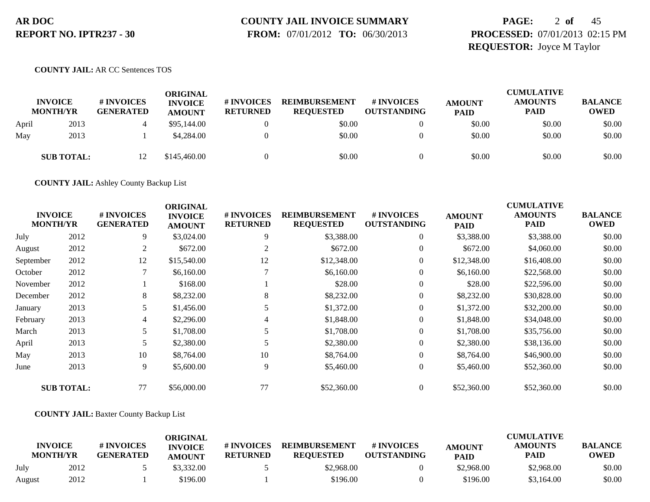# **COUNTY JAIL INVOICE SUMMARY**

 **FROM:** 07/01/2012 **TO:** 06/30/2013

# **PAGE:** 2 **of** 45 **PROCESSED:** 07/01/2013 02:15 PM **REQUESTOR:** Joyce M Taylor

### **COUNTY JAIL:** AR CC Sentences TOS

|       | <b>INVOICE</b><br><b>MONTH/YR</b> | # INVOICES<br><b>GENERATED</b> | ORIGINAL<br><b>INVOICE</b><br><b>AMOUNT</b> | # INVOICES<br><b>RETURNED</b> | <b>REIMBURSEMENT</b><br><b>REQUESTED</b> | <b># INVOICES</b><br><b>OUTSTANDING</b> | <b>AMOUNT</b><br><b>PAID</b> | <b>CUMULATIVE</b><br><b>AMOUNTS</b><br>PAID | <b>BALANCE</b><br><b>OWED</b> |
|-------|-----------------------------------|--------------------------------|---------------------------------------------|-------------------------------|------------------------------------------|-----------------------------------------|------------------------------|---------------------------------------------|-------------------------------|
| April | 2013                              |                                | \$95,144.00                                 |                               | \$0.00                                   |                                         | \$0.00                       | \$0.00                                      | \$0.00                        |
| May   | 2013                              |                                | \$4,284.00                                  |                               | \$0.00                                   |                                         | \$0.00                       | \$0.00                                      | \$0.00                        |
|       | <b>SUB TOTAL:</b>                 | 12                             | \$145,460.00                                |                               | \$0.00                                   |                                         | \$0.00                       | \$0.00                                      | \$0.00                        |

**COUNTY JAIL:** Ashley County Backup List

| <b>INVOICE</b><br><b>MONTH/YR</b> |                   | # INVOICES<br><b>GENERATED</b> | <b>ORIGINAL</b><br><b>INVOICE</b><br><b>AMOUNT</b> | # INVOICES<br><b>RETURNED</b> | <b>REIMBURSEMENT</b><br><b>REQUESTED</b> | # INVOICES<br><b>OUTSTANDING</b> | <b>AMOUNT</b><br><b>PAID</b> | <b>CUMULATIVE</b><br><b>AMOUNTS</b><br>PAID | <b>BALANCE</b><br><b>OWED</b> |
|-----------------------------------|-------------------|--------------------------------|----------------------------------------------------|-------------------------------|------------------------------------------|----------------------------------|------------------------------|---------------------------------------------|-------------------------------|
| July                              | 2012              | 9                              | \$3,024.00                                         | 9                             | \$3,388.00                               | $\boldsymbol{0}$                 | \$3,388.00                   | \$3,388.00                                  | \$0.00                        |
| August                            | 2012              | 2                              | \$672.00                                           | 2                             | \$672.00                                 | $\theta$                         | \$672.00                     | \$4,060.00                                  | \$0.00                        |
| September                         | 2012              | 12                             | \$15,540.00                                        | 12                            | \$12,348.00                              | $\overline{0}$                   | \$12,348.00                  | \$16,408.00                                 | \$0.00                        |
| October                           | 2012              |                                | \$6,160.00                                         |                               | \$6,160.00                               | 0                                | \$6,160.00                   | \$22,568.00                                 | \$0.00                        |
| November                          | 2012              |                                | \$168.00                                           |                               | \$28.00                                  | $\overline{0}$                   | \$28.00                      | \$22,596.00                                 | \$0.00                        |
| December                          | 2012              | 8                              | \$8,232.00                                         | 8                             | \$8,232.00                               | $\overline{0}$                   | \$8,232.00                   | \$30,828.00                                 | \$0.00                        |
| January                           | 2013              | 5                              | \$1,456.00                                         |                               | \$1,372.00                               | $\overline{0}$                   | \$1,372.00                   | \$32,200.00                                 | \$0.00                        |
| February                          | 2013              | 4                              | \$2,296.00                                         | 4                             | \$1,848.00                               | $\overline{0}$                   | \$1,848.00                   | \$34,048.00                                 | \$0.00                        |
| March                             | 2013              | 5                              | \$1,708.00                                         |                               | \$1,708.00                               | $\overline{0}$                   | \$1,708.00                   | \$35,756.00                                 | \$0.00                        |
| April                             | 2013              | 5                              | \$2,380.00                                         |                               | \$2,380.00                               | $\theta$                         | \$2,380.00                   | \$38,136.00                                 | \$0.00                        |
| May                               | 2013              | 10                             | \$8,764.00                                         | 10                            | \$8,764.00                               | $\overline{0}$                   | \$8,764.00                   | \$46,900.00                                 | \$0.00                        |
| June                              | 2013              | 9                              | \$5,600.00                                         | 9                             | \$5,460.00                               | $\boldsymbol{0}$                 | \$5,460.00                   | \$52,360.00                                 | \$0.00                        |
|                                   | <b>SUB TOTAL:</b> | 77                             | \$56,000.00                                        | 77                            | \$52,360.00                              | $\overline{0}$                   | \$52,360.00                  | \$52,360.00                                 | \$0.00                        |

### **COUNTY JAIL:** Baxter County Backup List

| <b>INVOICE</b><br><b>MONTH/YR</b> |      | # INVOICES<br><b>GENERATED</b> | ORIGINAL<br><b>INVOICE</b><br><b>AMOUNT</b> | # INVOICES<br><b>RETURNED</b> | <b>REIMBURSEMENT</b><br><b>REOUESTED</b> | # INVOICES<br><b>OUTSTANDING</b> | <b>AMOUNT</b><br><b>PAID</b> | <b>CUMULATIVE</b><br><b>AMOUNTS</b><br><b>PAID</b> | <b>BALANCE</b><br><b>OWED</b> |
|-----------------------------------|------|--------------------------------|---------------------------------------------|-------------------------------|------------------------------------------|----------------------------------|------------------------------|----------------------------------------------------|-------------------------------|
| July                              | 2012 |                                | \$3,332.00                                  |                               | \$2,968.00                               |                                  | \$2,968.00                   | \$2,968.00                                         | \$0.00                        |
| August                            | 2012 |                                | \$196.00                                    |                               | \$196.00                                 |                                  | \$196.00                     | \$3,164.00                                         | \$0.00                        |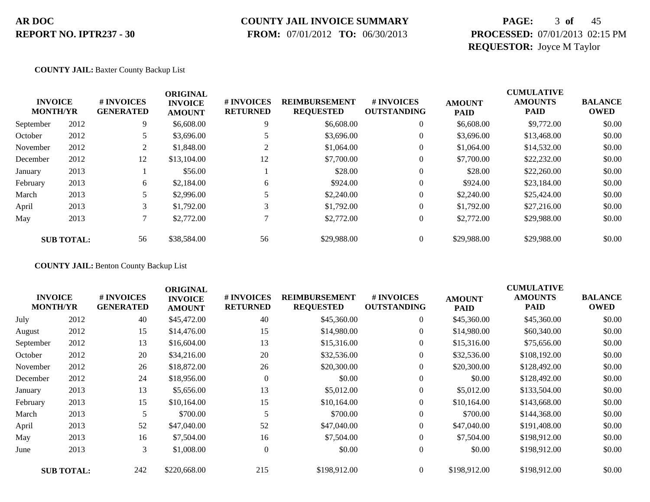### **COUNTY JAIL INVOICE SUMMARY**

 **FROM:** 07/01/2012 **TO:** 06/30/2013

# **PAGE:** 3 **of** 45 **PROCESSED:** 07/01/2013 02:15 PM **REQUESTOR:** Joyce M Taylor

### **COUNTY JAIL:** Baxter County Backup List

| <b>INVOICE</b><br><b>MONTH/YR</b> |                   | # INVOICES<br><b>GENERATED</b> | <b>ORIGINAL</b><br><b>INVOICE</b><br><b>AMOUNT</b> | # INVOICES<br><b>RETURNED</b> | <b>REIMBURSEMENT</b><br><b>REQUESTED</b> | # INVOICES<br><b>OUTSTANDING</b> | <b>AMOUNT</b><br><b>PAID</b> | <b>CUMULATIVE</b><br><b>AMOUNTS</b><br><b>PAID</b> | <b>BALANCE</b><br><b>OWED</b> |
|-----------------------------------|-------------------|--------------------------------|----------------------------------------------------|-------------------------------|------------------------------------------|----------------------------------|------------------------------|----------------------------------------------------|-------------------------------|
| September                         | 2012              | 9                              | \$6,608.00                                         | 9                             | \$6,608.00                               | $\overline{0}$                   | \$6,608.00                   | \$9,772.00                                         | \$0.00                        |
| October                           | 2012              |                                | \$3,696.00                                         |                               | \$3,696.00                               | $\theta$                         | \$3,696.00                   | \$13,468.00                                        | \$0.00                        |
| November                          | 2012              | 2                              | \$1,848.00                                         | $\overline{c}$                | \$1,064.00                               | $\theta$                         | \$1,064.00                   | \$14,532.00                                        | \$0.00                        |
| December                          | 2012              | 12                             | \$13,104.00                                        | 12                            | \$7,700.00                               | $\theta$                         | \$7,700.00                   | \$22,232.00                                        | \$0.00                        |
| January                           | 2013              |                                | \$56.00                                            |                               | \$28.00                                  | $\overline{0}$                   | \$28.00                      | \$22,260.00                                        | \$0.00                        |
| February                          | 2013              | 6                              | \$2,184.00                                         | 6                             | \$924.00                                 | $\overline{0}$                   | \$924.00                     | \$23,184.00                                        | \$0.00                        |
| March                             | 2013              |                                | \$2,996.00                                         |                               | \$2,240.00                               | $\overline{0}$                   | \$2,240.00                   | \$25,424.00                                        | \$0.00                        |
| April                             | 2013              | 3                              | \$1,792.00                                         | 3                             | \$1,792.00                               | $\overline{0}$                   | \$1,792.00                   | \$27,216.00                                        | \$0.00                        |
| May                               | 2013              | 7                              | \$2,772.00                                         |                               | \$2,772.00                               | $\overline{0}$                   | \$2,772.00                   | \$29,988.00                                        | \$0.00                        |
|                                   | <b>SUB TOTAL:</b> | 56                             | \$38,584.00                                        | 56                            | \$29,988.00                              | $\overline{0}$                   | \$29,988.00                  | \$29,988.00                                        | \$0.00                        |

**COUNTY JAIL:** Benton County Backup List

| <b>INVOICE</b><br><b>MONTH/YR</b> |                   | # INVOICES<br><b>GENERATED</b> | <b>ORIGINAL</b><br><b>INVOICE</b><br><b>AMOUNT</b> | # INVOICES<br><b>RETURNED</b> | <b>REIMBURSEMENT</b><br><b>REQUESTED</b> | # INVOICES<br><b>OUTSTANDING</b> | <b>AMOUNT</b><br><b>PAID</b> | <b>CUMULATIVE</b><br><b>AMOUNTS</b><br><b>PAID</b> | <b>BALANCE</b><br><b>OWED</b> |
|-----------------------------------|-------------------|--------------------------------|----------------------------------------------------|-------------------------------|------------------------------------------|----------------------------------|------------------------------|----------------------------------------------------|-------------------------------|
| July                              | 2012              | 40                             | \$45,472.00                                        | 40                            | \$45,360.00                              | $\boldsymbol{0}$                 | \$45,360.00                  | \$45,360.00                                        | \$0.00                        |
| August                            | 2012              | 15                             | \$14,476.00                                        | 15                            | \$14,980.00                              | $\overline{0}$                   | \$14,980.00                  | \$60,340.00                                        | \$0.00                        |
| September                         | 2012              | 13                             | \$16,604.00                                        | 13                            | \$15,316.00                              | $\overline{0}$                   | \$15,316.00                  | \$75,656.00                                        | \$0.00                        |
| October                           | 2012              | 20                             | \$34,216.00                                        | 20                            | \$32,536.00                              | $\boldsymbol{0}$                 | \$32,536.00                  | \$108,192.00                                       | \$0.00                        |
| November                          | 2012              | 26                             | \$18,872.00                                        | 26                            | \$20,300.00                              | $\overline{0}$                   | \$20,300.00                  | \$128,492.00                                       | \$0.00                        |
| December                          | 2012              | 24                             | \$18,956.00                                        | $\theta$                      | \$0.00                                   | $\overline{0}$                   | \$0.00                       | \$128,492.00                                       | \$0.00                        |
| January                           | 2013              | 13                             | \$5,656.00                                         | 13                            | \$5,012.00                               | $\overline{0}$                   | \$5,012.00                   | \$133,504.00                                       | \$0.00                        |
| February                          | 2013              | 15                             | \$10,164.00                                        | 15                            | \$10,164.00                              | $\overline{0}$                   | \$10,164.00                  | \$143,668.00                                       | \$0.00                        |
| March                             | 2013              | 5                              | \$700.00                                           | 5                             | \$700.00                                 | $\overline{0}$                   | \$700.00                     | \$144,368.00                                       | \$0.00                        |
| April                             | 2013              | 52                             | \$47,040.00                                        | 52                            | \$47,040.00                              | $\overline{0}$                   | \$47,040.00                  | \$191,408.00                                       | \$0.00                        |
| May                               | 2013              | 16                             | \$7,504.00                                         | 16                            | \$7,504.00                               | $\overline{0}$                   | \$7,504.00                   | \$198,912.00                                       | \$0.00                        |
| June                              | 2013              | 3                              | \$1,008.00                                         | $\overline{0}$                | \$0.00                                   | $\boldsymbol{0}$                 | \$0.00                       | \$198,912.00                                       | \$0.00                        |
|                                   | <b>SUB TOTAL:</b> | 242                            | \$220,668.00                                       | 215                           | \$198,912.00                             | $\Omega$                         | \$198,912.00                 | \$198,912.00                                       | \$0.00                        |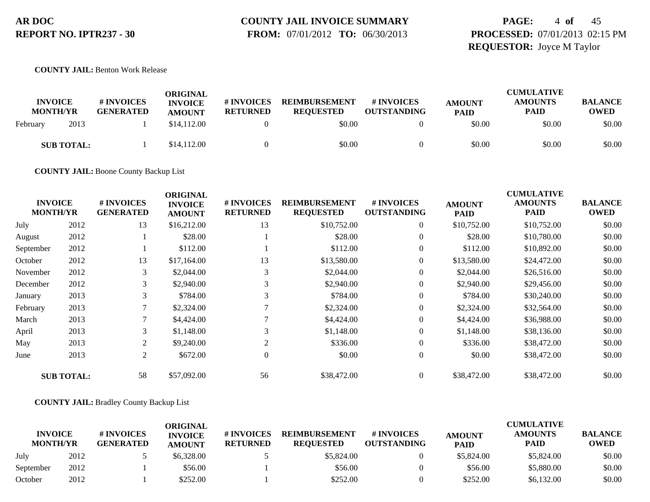# **COUNTY JAIL INVOICE SUMMARY**

 **FROM:** 07/01/2012 **TO:** 06/30/2013

# **PAGE:** 4 **of** 45 **PROCESSED:** 07/01/2013 02:15 PM **REQUESTOR:** Joyce M Taylor

**COUNTY JAIL:** Benton Work Release

| <b>INVOICE</b><br><b>MONTH/YR</b> | <b>#INVOICES</b><br><b>GENERATED</b> | ORIGINAL<br><b>INVOICE</b><br><b>AMOUNT</b> | # INVOICES<br><b>RETURNED</b> | <b>REIMBURSEMENT</b><br><b>REQUESTED</b> | # INVOICES<br><b>OUTSTANDING</b> | <b>AMOUNT</b><br><b>PAID</b> | <b>CUMULATIVE</b><br><b>AMOUNTS</b><br><b>PAID</b> | <b>BALANCE</b><br>OWED |
|-----------------------------------|--------------------------------------|---------------------------------------------|-------------------------------|------------------------------------------|----------------------------------|------------------------------|----------------------------------------------------|------------------------|
| 2013<br>February                  |                                      | \$14,112.00                                 |                               | \$0.00                                   |                                  | \$0.00                       | \$0.00                                             | \$0.00                 |
| <b>SUB TOTAL:</b>                 |                                      | \$14,112.00                                 |                               | \$0.00                                   |                                  | \$0.00                       | \$0.00                                             | \$0.00                 |

**COUNTY JAIL:** Boone County Backup List

| <b>INVOICE</b><br><b>MONTH/YR</b> |                   | # INVOICES<br><b>GENERATED</b> | <b>ORIGINAL</b><br><b>INVOICE</b><br><b>AMOUNT</b> | # INVOICES<br><b>RETURNED</b> | <b>REIMBURSEMENT</b><br><b>REQUESTED</b> | # INVOICES<br><b>OUTSTANDING</b> | <b>AMOUNT</b><br><b>PAID</b> | <b>CUMULATIVE</b><br><b>AMOUNTS</b><br><b>PAID</b> | <b>BALANCE</b><br><b>OWED</b> |
|-----------------------------------|-------------------|--------------------------------|----------------------------------------------------|-------------------------------|------------------------------------------|----------------------------------|------------------------------|----------------------------------------------------|-------------------------------|
| July                              | 2012              | 13                             | \$16,212.00                                        | 13                            | \$10,752.00                              | $\boldsymbol{0}$                 | \$10,752.00                  | \$10,752.00                                        | \$0.00                        |
| August                            | 2012              |                                | \$28.00                                            |                               | \$28.00                                  | $\overline{0}$                   | \$28.00                      | \$10,780.00                                        | \$0.00                        |
| September                         | 2012              |                                | \$112.00                                           |                               | \$112.00                                 | $\overline{0}$                   | \$112.00                     | \$10,892.00                                        | \$0.00                        |
| October                           | 2012              | 13                             | \$17,164.00                                        | 13                            | \$13,580.00                              | $\overline{0}$                   | \$13,580.00                  | \$24,472.00                                        | \$0.00                        |
| November                          | 2012              | 3                              | \$2,044.00                                         | 3                             | \$2,044.00                               | $\overline{0}$                   | \$2,044.00                   | \$26,516.00                                        | \$0.00                        |
| December                          | 2012              | 3                              | \$2,940.00                                         | 3                             | \$2,940.00                               | $\overline{0}$                   | \$2,940.00                   | \$29,456.00                                        | \$0.00                        |
| January                           | 2013              | 3                              | \$784.00                                           | 3                             | \$784.00                                 | $\overline{0}$                   | \$784.00                     | \$30,240.00                                        | \$0.00                        |
| February                          | 2013              | 7                              | \$2,324.00                                         |                               | \$2,324.00                               | $\overline{0}$                   | \$2,324.00                   | \$32,564.00                                        | \$0.00                        |
| March                             | 2013              | 7                              | \$4,424.00                                         |                               | \$4,424.00                               | $\overline{0}$                   | \$4,424.00                   | \$36,988.00                                        | \$0.00                        |
| April                             | 2013              | 3                              | \$1,148.00                                         | 3                             | \$1,148.00                               | $\overline{0}$                   | \$1,148.00                   | \$38,136.00                                        | \$0.00                        |
| May                               | 2013              | 2                              | \$9,240.00                                         | 2                             | \$336.00                                 | $\overline{0}$                   | \$336.00                     | \$38,472.00                                        | \$0.00                        |
| June                              | 2013              | 2                              | \$672.00                                           | $\overline{0}$                | \$0.00                                   | $\overline{0}$                   | \$0.00                       | \$38,472.00                                        | \$0.00                        |
|                                   | <b>SUB TOTAL:</b> | 58                             | \$57,092.00                                        | 56                            | \$38,472.00                              | $\overline{0}$                   | \$38,472.00                  | \$38,472.00                                        | \$0.00                        |

### **COUNTY JAIL:** Bradley County Backup List

|                                   |      |                                | ORIGINAL                        |                               |                                          |                                        |                              | <b>CUMULATIVE</b>             |                               |
|-----------------------------------|------|--------------------------------|---------------------------------|-------------------------------|------------------------------------------|----------------------------------------|------------------------------|-------------------------------|-------------------------------|
| <b>INVOICE</b><br><b>MONTH/YR</b> |      | # INVOICES<br><b>GENERATED</b> | <b>INVOICE</b><br><b>AMOUNT</b> | # INVOICES<br><b>RETURNED</b> | <b>REIMBURSEMENT</b><br><b>REOUESTED</b> | <b>#INVOICES</b><br><b>OUTSTANDING</b> | <b>AMOUNT</b><br><b>PAID</b> | <b>AMOUNTS</b><br><b>PAID</b> | <b>BALANCE</b><br><b>OWED</b> |
| July                              | 2012 |                                | \$6,328,00                      |                               | \$5,824.00                               |                                        | \$5,824.00                   | \$5,824.00                    | \$0.00                        |
| September                         | 2012 |                                | \$56.00                         |                               | \$56.00                                  |                                        | \$56.00                      | \$5,880.00                    | \$0.00                        |
| October                           | 2012 |                                | \$252.00                        |                               | \$252.00                                 |                                        | \$252.00                     | \$6,132.00                    | \$0.00                        |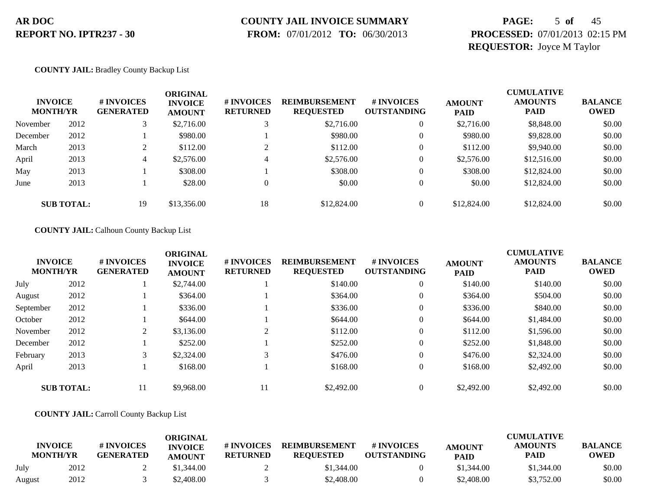# **COUNTY JAIL INVOICE SUMMARY**

 **FROM:** 07/01/2012 **TO:** 06/30/2013

# **PAGE:** 5 **of** 45 **PROCESSED:** 07/01/2013 02:15 PM **REQUESTOR:** Joyce M Taylor

### **COUNTY JAIL:** Bradley County Backup List

| <b>INVOICE</b><br><b>MONTH/YR</b> |                   | # INVOICES<br><b>GENERATED</b> | ORIGINAL<br><b>INVOICE</b><br><b>AMOUNT</b> | <b># INVOICES</b><br><b>RETURNED</b> | <b>REIMBURSEMENT</b><br><b>REQUESTED</b> | <b># INVOICES</b><br><b>OUTSTANDING</b> | <b>AMOUNT</b><br><b>PAID</b> | <b>CUMULATIVE</b><br><b>AMOUNTS</b><br><b>PAID</b> | <b>BALANCE</b><br><b>OWED</b> |
|-----------------------------------|-------------------|--------------------------------|---------------------------------------------|--------------------------------------|------------------------------------------|-----------------------------------------|------------------------------|----------------------------------------------------|-------------------------------|
| November                          | 2012              |                                | \$2,716.00                                  |                                      | \$2,716.00                               | $\theta$                                | \$2,716.00                   | \$8,848.00                                         | \$0.00                        |
| December                          | 2012              |                                | \$980.00                                    |                                      | \$980.00                                 | $\theta$                                | \$980.00                     | \$9,828.00                                         | \$0.00                        |
| March                             | 2013              | $\bigcap$                      | \$112.00                                    |                                      | \$112.00                                 | $\Omega$                                | \$112.00                     | \$9,940.00                                         | \$0.00                        |
| April                             | 2013              | 4                              | \$2,576.00                                  | 4                                    | \$2,576.00                               | $\theta$                                | \$2,576.00                   | \$12,516.00                                        | \$0.00                        |
| May                               | 2013              |                                | \$308.00                                    |                                      | \$308.00                                 |                                         | \$308.00                     | \$12,824.00                                        | \$0.00                        |
| June                              | 2013              |                                | \$28.00                                     |                                      | \$0.00                                   |                                         | \$0.00                       | \$12,824.00                                        | \$0.00                        |
|                                   | <b>SUB TOTAL:</b> | 19                             | \$13,356.00                                 | 18                                   | \$12,824.00                              |                                         | \$12,824.00                  | \$12,824.00                                        | \$0.00                        |

### **COUNTY JAIL:** Calhoun County Backup List

| <b>INVOICE</b><br><b>MONTH/YR</b> |                   | # INVOICES<br><b>GENERATED</b> | <b>ORIGINAL</b><br><b>INVOICE</b><br><b>AMOUNT</b> | # INVOICES<br><b>RETURNED</b> | <b>REIMBURSEMENT</b><br><b>REQUESTED</b> | # INVOICES<br><b>OUTSTANDING</b> | <b>AMOUNT</b><br><b>PAID</b> | <b>CUMULATIVE</b><br><b>AMOUNTS</b><br><b>PAID</b> | <b>BALANCE</b><br><b>OWED</b> |
|-----------------------------------|-------------------|--------------------------------|----------------------------------------------------|-------------------------------|------------------------------------------|----------------------------------|------------------------------|----------------------------------------------------|-------------------------------|
| July                              | 2012              |                                | \$2,744.00                                         |                               | \$140.00                                 | $\overline{0}$                   | \$140.00                     | \$140.00                                           | \$0.00                        |
| August                            | 2012              |                                | \$364.00                                           |                               | \$364.00                                 | $\overline{0}$                   | \$364.00                     | \$504.00                                           | \$0.00                        |
| September                         | 2012              |                                | \$336.00                                           |                               | \$336.00                                 | $\boldsymbol{0}$                 | \$336.00                     | \$840.00                                           | \$0.00                        |
| October                           | 2012              |                                | \$644.00                                           |                               | \$644.00                                 | $\boldsymbol{0}$                 | \$644.00                     | \$1,484.00                                         | \$0.00                        |
| November                          | 2012              | ∠                              | \$3,136.00                                         | 2                             | \$112.00                                 | $\overline{0}$                   | \$112.00                     | \$1,596.00                                         | \$0.00                        |
| December                          | 2012              |                                | \$252.00                                           |                               | \$252.00                                 | $\overline{0}$                   | \$252.00                     | \$1,848.00                                         | \$0.00                        |
| February                          | 2013              | 3                              | \$2,324.00                                         | 3                             | \$476.00                                 | $\overline{0}$                   | \$476.00                     | \$2,324.00                                         | \$0.00                        |
| April                             | 2013              |                                | \$168.00                                           |                               | \$168.00                                 | $\overline{0}$                   | \$168.00                     | \$2,492.00                                         | \$0.00                        |
|                                   | <b>SUB TOTAL:</b> | 11                             | \$9,968.00                                         | 11                            | \$2,492.00                               | $\theta$                         | \$2,492.00                   | \$2,492.00                                         | \$0.00                        |

### **COUNTY JAIL:** Carroll County Backup List

|        | <b>INVOICE</b><br><b>MONTH/YR</b> | # INVOICES<br><b>GENERATED</b> | <b>ORIGINAL</b><br><b>INVOICE</b><br><b>AMOUNT</b> | # INVOICES<br><b>RETURNED</b> | <b>REIMBURSEMENT</b><br><b>REOUESTED</b> | # INVOICES<br><b>OUTSTANDING</b> | <b>AMOUNT</b><br><b>PAID</b> | <b>CUMULATIVE</b><br><b>AMOUNTS</b><br><b>PAID</b> | <b>BALANCE</b><br>OWED |
|--------|-----------------------------------|--------------------------------|----------------------------------------------------|-------------------------------|------------------------------------------|----------------------------------|------------------------------|----------------------------------------------------|------------------------|
| July   | 2012                              |                                | \$1,344.00                                         |                               | \$1,344.00                               |                                  | \$1,344.00                   | \$1,344.00                                         | \$0.00                 |
| August | 2012                              |                                | \$2,408.00                                         |                               | \$2,408.00                               |                                  | \$2,408.00                   | \$3,752.00                                         | \$0.00                 |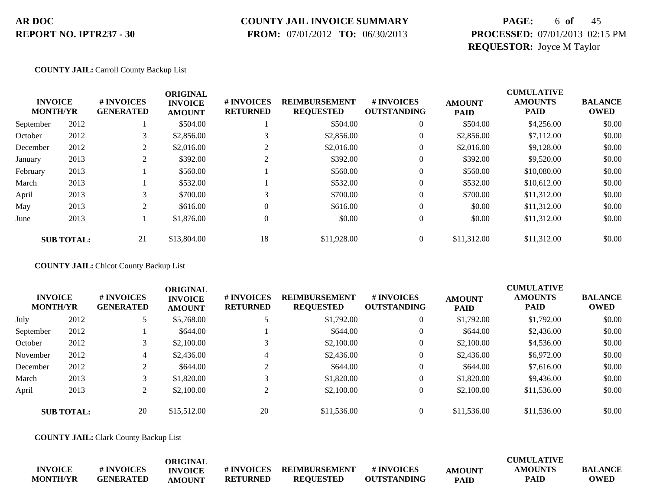### **COUNTY JAIL INVOICE SUMMARY**

 **FROM:** 07/01/2012 **TO:** 06/30/2013

# **PAGE:** 6 **of** 45 **PROCESSED:** 07/01/2013 02:15 PM **REQUESTOR:** Joyce M Taylor

### **COUNTY JAIL:** Carroll County Backup List

|           | <b>INVOICE</b><br><b>MONTH/YR</b> | # INVOICES<br><b>GENERATED</b> | <b>ORIGINAL</b><br><b>INVOICE</b><br><b>AMOUNT</b> | # INVOICES<br><b>RETURNED</b> | <b>REIMBURSEMENT</b><br><b>REQUESTED</b> | # INVOICES<br><b>OUTSTANDING</b> | <b>AMOUNT</b><br><b>PAID</b> | <b>CUMULATIVE</b><br><b>AMOUNTS</b><br><b>PAID</b> | <b>BALANCE</b><br><b>OWED</b> |
|-----------|-----------------------------------|--------------------------------|----------------------------------------------------|-------------------------------|------------------------------------------|----------------------------------|------------------------------|----------------------------------------------------|-------------------------------|
| September | 2012                              |                                | \$504.00                                           |                               | \$504.00                                 | $\mathbf{0}$                     | \$504.00                     | \$4,256.00                                         | \$0.00                        |
| October   | 2012                              | 3                              | \$2,856.00                                         | 3                             | \$2,856.00                               | $\mathbf{0}$                     | \$2,856.00                   | \$7,112.00                                         | \$0.00                        |
| December  | 2012                              | C.                             | \$2,016.00                                         | $\overline{c}$                | \$2,016.00                               | $\mathbf{0}$                     | \$2,016.00                   | \$9,128.00                                         | \$0.00                        |
| January   | 2013                              | ↑                              | \$392.00                                           | $\overline{c}$                | \$392.00                                 | $\mathbf{0}$                     | \$392.00                     | \$9,520.00                                         | \$0.00                        |
| February  | 2013                              |                                | \$560.00                                           |                               | \$560.00                                 | $\overline{0}$                   | \$560.00                     | \$10,080.00                                        | \$0.00                        |
| March     | 2013                              |                                | \$532.00                                           |                               | \$532.00                                 | $\overline{0}$                   | \$532.00                     | \$10,612.00                                        | \$0.00                        |
| April     | 2013                              | 3                              | \$700.00                                           | 3                             | \$700.00                                 | 0                                | \$700.00                     | \$11,312.00                                        | \$0.00                        |
| May       | 2013                              | 2                              | \$616.00                                           | $\Omega$                      | \$616.00                                 | $\Omega$                         | \$0.00                       | \$11,312.00                                        | \$0.00                        |
| June      | 2013                              |                                | \$1,876.00                                         | $\Omega$                      | \$0.00                                   | $\overline{0}$                   | \$0.00                       | \$11,312.00                                        | \$0.00                        |
|           | <b>SUB TOTAL:</b>                 | 21                             | \$13,804.00                                        | 18                            | \$11,928.00                              | $\mathbf{0}$                     | \$11,312.00                  | \$11,312.00                                        | \$0.00                        |

**COUNTY JAIL:** Chicot County Backup List

| <b>INVOICE</b><br><b>MONTH/YR</b> |                   | # INVOICES<br><b>GENERATED</b> | <b>ORIGINAL</b><br><b>INVOICE</b><br><b>AMOUNT</b> | <b># INVOICES</b><br><b>RETURNED</b> | <b>REIMBURSEMENT</b><br><b>REQUESTED</b> | # INVOICES<br><b>OUTSTANDING</b> | <b>AMOUNT</b><br><b>PAID</b> | <b>CUMULATIVE</b><br><b>AMOUNTS</b><br><b>PAID</b> | <b>BALANCE</b><br><b>OWED</b> |
|-----------------------------------|-------------------|--------------------------------|----------------------------------------------------|--------------------------------------|------------------------------------------|----------------------------------|------------------------------|----------------------------------------------------|-------------------------------|
| July                              | 2012              |                                | \$5,768.00                                         |                                      | \$1,792.00                               |                                  | \$1,792.00                   | \$1,792.00                                         | \$0.00                        |
| September                         | 2012              |                                | \$644.00                                           |                                      | \$644.00                                 |                                  | \$644.00                     | \$2,436.00                                         | \$0.00                        |
| October                           | 2012              | 3                              | \$2,100.00                                         |                                      | \$2,100.00                               |                                  | \$2,100.00                   | \$4,536.00                                         | \$0.00                        |
| November                          | 2012              | 4                              | \$2,436.00                                         |                                      | \$2,436.00                               |                                  | \$2,436.00                   | \$6,972.00                                         | \$0.00                        |
| December                          | 2012              | C.                             | \$644.00                                           |                                      | \$644.00                                 |                                  | \$644.00                     | \$7,616.00                                         | \$0.00                        |
| March                             | 2013              | 3                              | \$1,820.00                                         |                                      | \$1,820.00                               |                                  | \$1,820.00                   | \$9,436.00                                         | \$0.00                        |
| April                             | 2013              | 2                              | \$2,100.00                                         |                                      | \$2,100.00                               |                                  | \$2,100.00                   | \$11,536.00                                        | \$0.00                        |
|                                   | <b>SUB TOTAL:</b> | 20                             | \$15,512.00                                        | 20                                   | \$11,536.00                              |                                  | \$11,536.00                  | \$11,536.00                                        | \$0.00                        |

**COUNTY JAIL:** Clark County Backup List

|                 |                  | <b>ORIGINAL</b> |                 |                  |                    |             | <b>CUMULATIVE</b> |                |
|-----------------|------------------|-----------------|-----------------|------------------|--------------------|-------------|-------------------|----------------|
| <b>INVOICE</b>  | # INVOICES       | <b>INVOICE</b>  | # INVOICES      | REIMBURSEMENT    | # INVOICES         | AMOUNT      | AMOUNTS           | <b>BALANCE</b> |
| <b>MONTH/YR</b> | <b>GENERATED</b> | <b>AMOUNT</b>   | <b>RETURNED</b> | <b>REOUESTED</b> | <b>OUTSTANDING</b> | <b>PAID</b> | PAIL              | <b>OWED</b>    |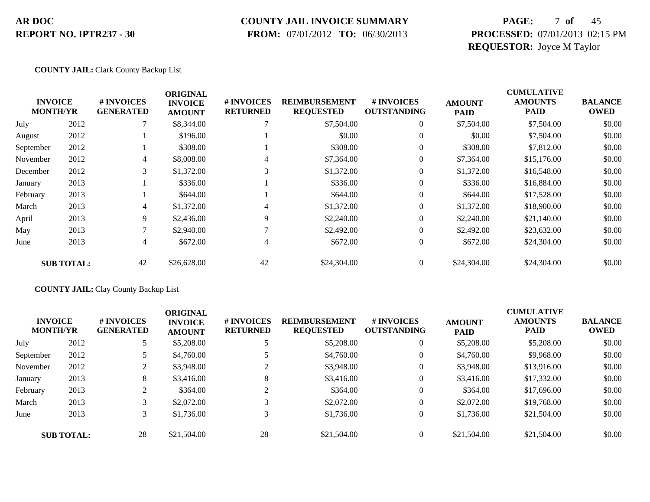### **COUNTY JAIL INVOICE SUMMARY**

 **FROM:** 07/01/2012 **TO:** 06/30/2013

# **PAGE:** 7 **of** 45 **PROCESSED:** 07/01/2013 02:15 PM **REQUESTOR:** Joyce M Taylor

### **COUNTY JAIL:** Clark County Backup List

|           |                                   |                                | <b>ORIGINAL</b>                 |                               |                                          | <b>CUMULATIVE</b>                |                              |                               |                               |
|-----------|-----------------------------------|--------------------------------|---------------------------------|-------------------------------|------------------------------------------|----------------------------------|------------------------------|-------------------------------|-------------------------------|
|           | <b>INVOICE</b><br><b>MONTH/YR</b> | # INVOICES<br><b>GENERATED</b> | <b>INVOICE</b><br><b>AMOUNT</b> | # INVOICES<br><b>RETURNED</b> | <b>REIMBURSEMENT</b><br><b>REQUESTED</b> | # INVOICES<br><b>OUTSTANDING</b> | <b>AMOUNT</b><br><b>PAID</b> | <b>AMOUNTS</b><br><b>PAID</b> | <b>BALANCE</b><br><b>OWED</b> |
| July      | 2012                              |                                | \$8,344.00                      |                               | \$7,504.00                               | $\mathbf{0}$                     | \$7,504.00                   | \$7,504.00                    | \$0.00                        |
| August    | 2012                              |                                | \$196.00                        |                               | \$0.00                                   | 0                                | \$0.00                       | \$7,504.00                    | \$0.00                        |
| September | 2012                              |                                | \$308.00                        |                               | \$308.00                                 | 0                                | \$308.00                     | \$7,812.00                    | \$0.00                        |
| November  | 2012                              | 4                              | \$8,008.00                      | 4                             | \$7,364.00                               | 0                                | \$7,364.00                   | \$15,176.00                   | \$0.00                        |
| December  | 2012                              | 3                              | \$1,372.00                      | 3                             | \$1,372.00                               | $\overline{0}$                   | \$1,372.00                   | \$16,548.00                   | \$0.00                        |
| January   | 2013                              |                                | \$336.00                        |                               | \$336.00                                 | $\overline{0}$                   | \$336.00                     | \$16,884.00                   | \$0.00                        |
| February  | 2013                              |                                | \$644.00                        |                               | \$644.00                                 | $\overline{0}$                   | \$644.00                     | \$17,528.00                   | \$0.00                        |
| March     | 2013                              | 4                              | \$1,372.00                      | 4                             | \$1,372.00                               | $\overline{0}$                   | \$1,372.00                   | \$18,900.00                   | \$0.00                        |
| April     | 2013                              | 9                              | \$2,436.00                      | 9                             | \$2,240.00                               | $\theta$                         | \$2,240.00                   | \$21,140.00                   | \$0.00                        |
| May       | 2013                              | ⇁                              | \$2,940.00                      |                               | \$2,492.00                               | $\overline{0}$                   | \$2,492.00                   | \$23,632.00                   | \$0.00                        |
| June      | 2013                              | 4                              | \$672.00                        | 4                             | \$672.00                                 | $\overline{0}$                   | \$672.00                     | \$24,304.00                   | \$0.00                        |
|           | <b>SUB TOTAL:</b>                 | 42                             | \$26,628.00                     | 42                            | \$24,304.00                              | $\overline{0}$                   | \$24,304.00                  | \$24,304.00                   | \$0.00                        |

### **COUNTY JAIL:** Clay County Backup List

| <b>INVOICE</b><br><b>MONTH/YR</b> |                   | <b>#INVOICES</b><br><b>GENERATED</b> | <b>ORIGINAL</b><br><b>INVOICE</b><br><b>AMOUNT</b> | # INVOICES<br><b>RETURNED</b> | <b>REIMBURSEMENT</b><br><b>REQUESTED</b> | # INVOICES<br><b>OUTSTANDING</b> | <b>AMOUNT</b><br><b>PAID</b> | <b>CUMULATIVE</b><br><b>AMOUNTS</b><br><b>PAID</b> | <b>BALANCE</b><br><b>OWED</b> |
|-----------------------------------|-------------------|--------------------------------------|----------------------------------------------------|-------------------------------|------------------------------------------|----------------------------------|------------------------------|----------------------------------------------------|-------------------------------|
| July                              | 2012              |                                      | \$5,208.00                                         |                               | \$5,208.00                               | $\overline{0}$                   | \$5,208.00                   | \$5,208.00                                         | \$0.00                        |
| September                         | 2012              |                                      | \$4,760.00                                         | 5                             | \$4,760.00                               | $\overline{0}$                   | \$4,760.00                   | \$9,968.00                                         | \$0.00                        |
| November                          | 2012              | $\overline{2}$                       | \$3,948.00                                         | $\bigcap$                     | \$3,948.00                               | $\overline{0}$                   | \$3,948.00                   | \$13,916.00                                        | \$0.00                        |
| January                           | 2013              | 8                                    | \$3,416.00                                         | 8                             | \$3,416.00                               | $\overline{0}$                   | \$3,416.00                   | \$17,332.00                                        | \$0.00                        |
| February                          | 2013              |                                      | \$364.00                                           | $\bigcap$                     | \$364.00                                 | $\overline{0}$                   | \$364.00                     | \$17,696.00                                        | \$0.00                        |
| March                             | 2013              | 3                                    | \$2,072.00                                         | 3                             | \$2,072.00                               | $\overline{0}$                   | \$2,072.00                   | \$19,768.00                                        | \$0.00                        |
| June                              | 2013              |                                      | \$1,736.00                                         | 3                             | \$1,736.00                               | $\overline{0}$                   | \$1,736.00                   | \$21,504.00                                        | \$0.00                        |
|                                   | <b>SUB TOTAL:</b> | 28                                   | \$21,504.00                                        | 28                            | \$21,504.00                              | $\overline{0}$                   | \$21,504.00                  | \$21,504.00                                        | \$0.00                        |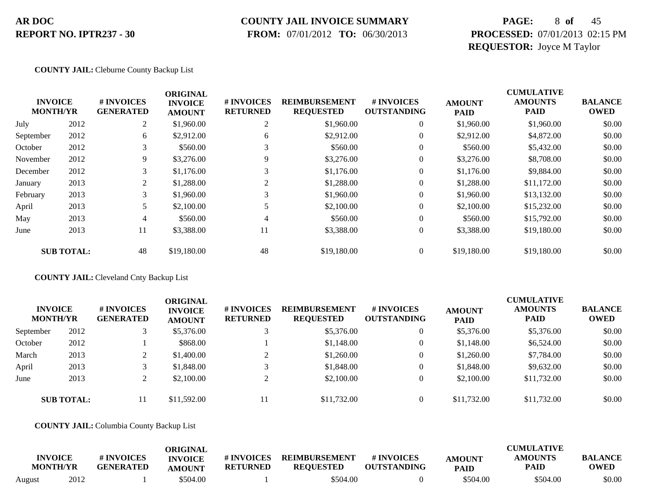### **COUNTY JAIL INVOICE SUMMARY**

 **FROM:** 07/01/2012 **TO:** 06/30/2013

# **PAGE:** 8 **of** 45 **PROCESSED:** 07/01/2013 02:15 PM **REQUESTOR:** Joyce M Taylor

### **COUNTY JAIL:** Cleburne County Backup List

|                                   |                   |                                | <b>ORIGINAL</b>                 |                                      |                                          |                                  |                              | <b>CUMULATIVE</b>             |                               |
|-----------------------------------|-------------------|--------------------------------|---------------------------------|--------------------------------------|------------------------------------------|----------------------------------|------------------------------|-------------------------------|-------------------------------|
| <b>INVOICE</b><br><b>MONTH/YR</b> |                   | # INVOICES<br><b>GENERATED</b> | <b>INVOICE</b><br><b>AMOUNT</b> | <b># INVOICES</b><br><b>RETURNED</b> | <b>REIMBURSEMENT</b><br><b>REQUESTED</b> | # INVOICES<br><b>OUTSTANDING</b> | <b>AMOUNT</b><br><b>PAID</b> | <b>AMOUNTS</b><br><b>PAID</b> | <b>BALANCE</b><br><b>OWED</b> |
| July                              | 2012              | $\overline{2}$                 | \$1,960.00                      | 2                                    | \$1,960.00                               | $\theta$                         | \$1,960.00                   | \$1,960.00                    | \$0.00                        |
| September                         | 2012              | 6                              | \$2,912.00                      | 6                                    | \$2,912.00                               | $\theta$                         | \$2,912.00                   | \$4,872.00                    | \$0.00                        |
| October                           | 2012              | 3                              | \$560.00                        |                                      | \$560.00                                 | $\theta$                         | \$560.00                     | \$5,432.00                    | \$0.00                        |
| November                          | 2012              | 9                              | \$3,276.00                      | 9                                    | \$3,276.00                               | $\theta$                         | \$3,276.00                   | \$8,708.00                    | \$0.00                        |
| December                          | 2012              | 3                              | \$1,176.00                      | 3                                    | \$1,176.00                               | $\overline{0}$                   | \$1,176.00                   | \$9,884.00                    | \$0.00                        |
| January                           | 2013              | $\overline{c}$                 | \$1,288.00                      |                                      | \$1,288.00                               | $\theta$                         | \$1,288.00                   | \$11,172.00                   | \$0.00                        |
| February                          | 2013              | 3                              | \$1,960.00                      |                                      | \$1,960.00                               | $\theta$                         | \$1,960.00                   | \$13,132.00                   | \$0.00                        |
| April                             | 2013              | 5                              | \$2,100.00                      |                                      | \$2,100.00                               | $\overline{0}$                   | \$2,100.00                   | \$15,232.00                   | \$0.00                        |
| May                               | 2013              | 4                              | \$560.00                        | 4                                    | \$560.00                                 | $\theta$                         | \$560.00                     | \$15,792.00                   | \$0.00                        |
| June                              | 2013              | 11                             | \$3,388.00                      | 11                                   | \$3,388.00                               | $\overline{0}$                   | \$3,388.00                   | \$19,180.00                   | \$0.00                        |
|                                   | <b>SUB TOTAL:</b> | 48                             | \$19,180.00                     | 48                                   | \$19,180.00                              | $\Omega$                         | \$19,180.00                  | \$19,180.00                   | \$0.00                        |

### **COUNTY JAIL:** Cleveland Cnty Backup List

| <b>INVOICE</b><br><b>MONTH/YR</b> |                   | # INVOICES<br><b>GENERATED</b> | ORIGINAL<br><b>INVOICE</b><br><b>AMOUNT</b> | # INVOICES<br><b>RETURNED</b> | <b>REIMBURSEMENT</b><br><b>REQUESTED</b> | <b># INVOICES</b><br><b>OUTSTANDING</b> | <b>AMOUNT</b><br><b>PAID</b> | <b>CUMULATIVE</b><br><b>AMOUNTS</b><br><b>PAID</b> | <b>BALANCE</b><br><b>OWED</b> |
|-----------------------------------|-------------------|--------------------------------|---------------------------------------------|-------------------------------|------------------------------------------|-----------------------------------------|------------------------------|----------------------------------------------------|-------------------------------|
| September                         | 2012              |                                | \$5,376.00                                  |                               | \$5,376.00                               | $\overline{0}$                          | \$5,376.00                   | \$5,376.00                                         | \$0.00                        |
| October                           | 2012              |                                | \$868.00                                    |                               | \$1,148.00                               | $\overline{0}$                          | \$1,148.00                   | \$6,524.00                                         | \$0.00                        |
| March                             | 2013              |                                | \$1,400.00                                  |                               | \$1,260.00                               | $\overline{0}$                          | \$1,260.00                   | \$7,784.00                                         | \$0.00                        |
| April                             | 2013              |                                | \$1,848.00                                  |                               | \$1,848.00                               | $\overline{0}$                          | \$1,848.00                   | \$9,632.00                                         | \$0.00                        |
| June                              | 2013              |                                | \$2,100.00                                  |                               | \$2,100.00                               | $\overline{0}$                          | \$2,100.00                   | \$11,732.00                                        | \$0.00                        |
|                                   | <b>SUB TOTAL:</b> | 11                             | \$11,592.00                                 | 11                            | \$11,732.00                              | $\Omega$                                | \$11,732.00                  | \$11,732.00                                        | \$0.00                        |

### **COUNTY JAIL:** Columbia County Backup List

| <b>INVOICE</b><br><b>MONTH/YR</b> |      | # INVOICES<br><b>GENERATED</b> | ORIGINAL<br><b>INVOICE</b><br><b>AMOUNT</b> | # INVOICES<br><b>RETURNED</b> | <b>REIMBURSEMENT</b><br><b>REQUESTED</b> | # INVOICES<br><b>OUTSTANDING</b> | <b>AMOUNT</b><br><b>PAID</b> | <b>CUMULATIVE</b><br><b>AMOUNTS</b><br>PAID | <b>BALANCE</b><br><b>OWED</b> |
|-----------------------------------|------|--------------------------------|---------------------------------------------|-------------------------------|------------------------------------------|----------------------------------|------------------------------|---------------------------------------------|-------------------------------|
| August                            | 2012 |                                | \$504.00                                    |                               | \$504.00                                 |                                  | \$504.00                     | \$504.00                                    | \$0.00                        |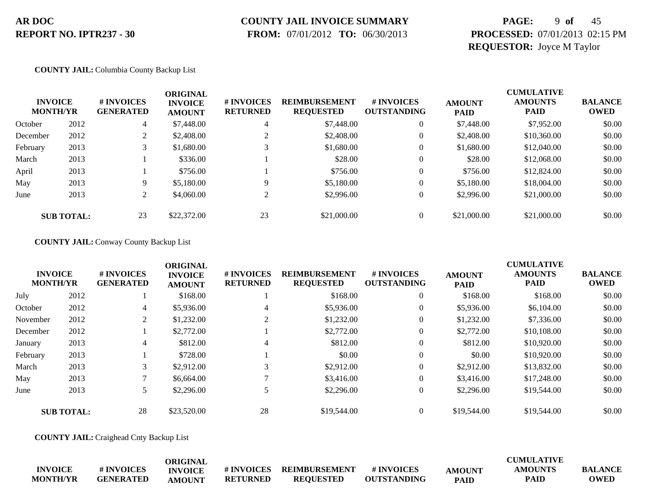# **COUNTY JAIL INVOICE SUMMARY**

 **FROM:** 07/01/2012 **TO:** 06/30/2013

# **PAGE:** 9 **of** 45 **PROCESSED:** 07/01/2013 02:15 PM **REQUESTOR:** Joyce M Taylor

### **COUNTY JAIL:** Columbia County Backup List

| <b>INVOICE</b><br><b>MONTH/YR</b> |                   | # INVOICES<br><b>GENERATED</b> | <b>ORIGINAL</b><br><b>INVOICE</b><br><b>AMOUNT</b> | # INVOICES<br><b>RETURNED</b> | <b>REIMBURSEMENT</b><br><b>REQUESTED</b> | # INVOICES<br><b>OUTSTANDING</b> | <b>AMOUNT</b><br><b>PAID</b> | <b>CUMULATIVE</b><br><b>AMOUNTS</b><br><b>PAID</b> | <b>BALANCE</b><br>OWED |
|-----------------------------------|-------------------|--------------------------------|----------------------------------------------------|-------------------------------|------------------------------------------|----------------------------------|------------------------------|----------------------------------------------------|------------------------|
| October                           | 2012              | 4                              | \$7,448.00                                         | 4                             | \$7,448.00                               | $\overline{0}$                   | \$7,448.00                   | \$7,952.00                                         | \$0.00                 |
| December                          | 2012              |                                | \$2,408.00                                         |                               | \$2,408.00                               |                                  | \$2,408.00                   | \$10,360.00                                        | \$0.00                 |
| February                          | 2013              | 3                              | \$1,680.00                                         |                               | \$1,680.00                               | 0                                | \$1,680.00                   | \$12,040.00                                        | \$0.00                 |
| March                             | 2013              |                                | \$336.00                                           |                               | \$28.00                                  | $\overline{0}$                   | \$28.00                      | \$12,068.00                                        | \$0.00                 |
| April                             | 2013              |                                | \$756.00                                           |                               | \$756.00                                 |                                  | \$756.00                     | \$12,824.00                                        | \$0.00                 |
| May                               | 2013              | 9                              | \$5,180.00                                         | $\mathbf Q$                   | \$5,180.00                               |                                  | \$5,180.00                   | \$18,004.00                                        | \$0.00                 |
| June                              | 2013              | 2                              | \$4,060.00                                         |                               | \$2,996.00                               |                                  | \$2,996.00                   | \$21,000.00                                        | \$0.00                 |
|                                   | <b>SUB TOTAL:</b> | 23                             | \$22,372.00                                        | 23                            | \$21,000.00                              |                                  | \$21,000.00                  | \$21,000.00                                        | \$0.00                 |

### **COUNTY JAIL:** Conway County Backup List

|          | <b>INVOICE</b><br><b>MONTH/YR</b> | # INVOICES<br><b>GENERATED</b> | <b>ORIGINAL</b><br><b>INVOICE</b><br><b>AMOUNT</b> | # INVOICES<br><b>RETURNED</b> | <b>REIMBURSEMENT</b><br><b>REQUESTED</b> | # INVOICES<br><b>OUTSTANDING</b> | <b>AMOUNT</b><br><b>PAID</b> | <b>CUMULATIVE</b><br><b>AMOUNTS</b><br><b>PAID</b> | <b>BALANCE</b><br><b>OWED</b> |
|----------|-----------------------------------|--------------------------------|----------------------------------------------------|-------------------------------|------------------------------------------|----------------------------------|------------------------------|----------------------------------------------------|-------------------------------|
| July     | 2012                              |                                | \$168.00                                           |                               | \$168.00                                 | $\mathbf{0}$                     | \$168.00                     | \$168.00                                           | \$0.00                        |
| October  | 2012                              | 4                              | \$5,936.00                                         | 4                             | \$5,936.00                               | $\overline{0}$                   | \$5,936.00                   | \$6,104.00                                         | \$0.00                        |
| November | 2012                              | 2                              | \$1,232.00                                         |                               | \$1,232.00                               | $\theta$                         | \$1,232.00                   | \$7,336.00                                         | \$0.00                        |
| December | 2012                              |                                | \$2,772.00                                         |                               | \$2,772.00                               | $\boldsymbol{0}$                 | \$2,772.00                   | \$10,108.00                                        | \$0.00                        |
| January  | 2013                              | 4                              | \$812.00                                           | 4                             | \$812.00                                 | $\boldsymbol{0}$                 | \$812.00                     | \$10,920.00                                        | \$0.00                        |
| February | 2013                              |                                | \$728.00                                           |                               | \$0.00                                   | $\boldsymbol{0}$                 | \$0.00                       | \$10,920.00                                        | \$0.00                        |
| March    | 2013                              | 3                              | \$2,912.00                                         | 3                             | \$2,912.00                               | $\mathbf{0}$                     | \$2,912.00                   | \$13,832.00                                        | \$0.00                        |
| May      | 2013                              |                                | \$6,664.00                                         |                               | \$3,416.00                               | $\theta$                         | \$3,416.00                   | \$17,248.00                                        | \$0.00                        |
| June     | 2013                              |                                | \$2,296.00                                         |                               | \$2,296.00                               | $\overline{0}$                   | \$2,296.00                   | \$19,544.00                                        | \$0.00                        |
|          | <b>SUB TOTAL:</b>                 | 28                             | \$23,520.00                                        | 28                            | \$19,544.00                              | $\theta$                         | \$19,544.00                  | \$19,544.00                                        | \$0.00                        |

**COUNTY JAIL:** Craighead Cnty Backup List

|                 |                  | ORIGINAL       |                  |                      |                    |               | <b>CUMULATIVE</b> |                |
|-----------------|------------------|----------------|------------------|----------------------|--------------------|---------------|-------------------|----------------|
| <b>INVOICE</b>  | # INVOICES       | <b>INVOICE</b> | <b>#INVOICES</b> | <b>REIMBURSEMENT</b> | # INVOICES         | <b>AMOUNT</b> | AMOUNTS           | <b>BALANCE</b> |
| <b>MONTH/YR</b> | <b>GENERATED</b> | AMOUNT         | <b>RETURNED</b>  | <b>REOUESTED</b>     | <b>OUTSTANDING</b> | <b>PAID</b>   | PAID              | <b>OWED</b>    |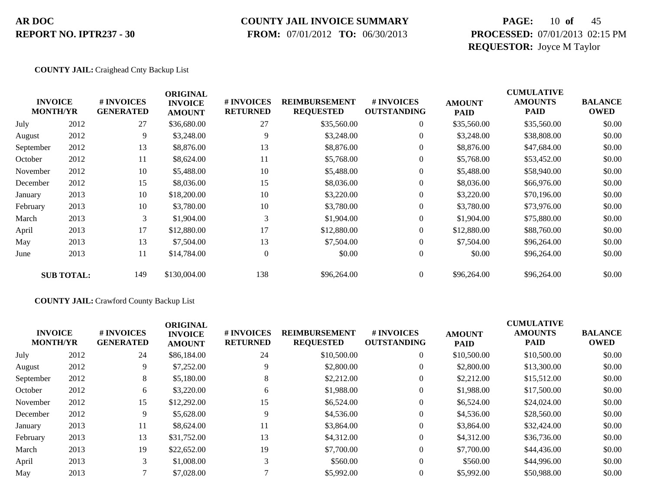### **COUNTY JAIL INVOICE SUMMARY**

 **FROM:** 07/01/2012 **TO:** 06/30/2013

# **PAGE:** 10 **of** 45 **PROCESSED:** 07/01/2013 02:15 PM **REQUESTOR:** Joyce M Taylor

### **COUNTY JAIL:** Craighead Cnty Backup List

| <b>INVOICE</b><br><b>MONTH/YR</b> |                   | # INVOICES<br><b>GENERATED</b> | <b>ORIGINAL</b><br><b>INVOICE</b><br><b>AMOUNT</b> | # INVOICES<br><b>RETURNED</b> | <b>REIMBURSEMENT</b><br><b>REQUESTED</b> | # INVOICES<br><b>OUTSTANDING</b> | <b>AMOUNT</b><br><b>PAID</b> | <b>CUMULATIVE</b><br><b>AMOUNTS</b><br><b>PAID</b> | <b>BALANCE</b><br><b>OWED</b> |
|-----------------------------------|-------------------|--------------------------------|----------------------------------------------------|-------------------------------|------------------------------------------|----------------------------------|------------------------------|----------------------------------------------------|-------------------------------|
| July                              | 2012              | 27                             | \$36,680.00                                        | 27                            | \$35,560.00                              | $\overline{0}$                   | \$35,560.00                  | \$35,560.00                                        | \$0.00                        |
| August                            | 2012              | 9                              | \$3,248.00                                         | 9                             | \$3,248.00                               | $\overline{0}$                   | \$3,248.00                   | \$38,808.00                                        | \$0.00                        |
| September                         | 2012              | 13                             | \$8,876.00                                         | 13                            | \$8,876.00                               | $\boldsymbol{0}$                 | \$8,876.00                   | \$47,684.00                                        | \$0.00                        |
| October                           | 2012              | 11                             | \$8,624.00                                         | 11                            | \$5,768.00                               | $\boldsymbol{0}$                 | \$5,768.00                   | \$53,452.00                                        | \$0.00                        |
| November                          | 2012              | 10                             | \$5,488.00                                         | 10                            | \$5,488.00                               | $\overline{0}$                   | \$5,488.00                   | \$58,940.00                                        | \$0.00                        |
| December                          | 2012              | 15                             | \$8,036.00                                         | 15                            | \$8,036.00                               | $\overline{0}$                   | \$8,036.00                   | \$66,976.00                                        | \$0.00                        |
| January                           | 2013              | 10                             | \$18,200.00                                        | 10                            | \$3,220.00                               | $\overline{0}$                   | \$3,220.00                   | \$70,196.00                                        | \$0.00                        |
| February                          | 2013              | 10                             | \$3,780.00                                         | 10                            | \$3,780.00                               | $\boldsymbol{0}$                 | \$3,780.00                   | \$73,976.00                                        | \$0.00                        |
| March                             | 2013              | 3                              | \$1,904.00                                         | 3                             | \$1,904.00                               | $\overline{0}$                   | \$1,904.00                   | \$75,880.00                                        | \$0.00                        |
| April                             | 2013              | 17                             | \$12,880.00                                        | 17                            | \$12,880.00                              | $\overline{0}$                   | \$12,880.00                  | \$88,760.00                                        | \$0.00                        |
| May                               | 2013              | 13                             | \$7,504.00                                         | 13                            | \$7,504.00                               | $\overline{0}$                   | \$7,504.00                   | \$96,264.00                                        | \$0.00                        |
| June                              | 2013              | 11                             | \$14,784.00                                        | $\overline{0}$                | \$0.00                                   | $\boldsymbol{0}$                 | \$0.00                       | \$96,264.00                                        | \$0.00                        |
|                                   | <b>SUB TOTAL:</b> | 149                            | \$130,004.00                                       | 138                           | \$96,264.00                              | $\overline{0}$                   | \$96,264.00                  | \$96,264.00                                        | \$0.00                        |

### **COUNTY JAIL:** Crawford County Backup List

|           | <b>INVOICE</b><br><b>MONTH/YR</b> | <b>#INVOICES</b><br><b>GENERATED</b> | <b>ORIGINAL</b><br><b>INVOICE</b><br><b>AMOUNT</b> | <b># INVOICES</b><br><b>RETURNED</b> | <b>REIMBURSEMENT</b><br><b>REQUESTED</b> | # INVOICES<br><b>OUTSTANDING</b> | <b>AMOUNT</b><br><b>PAID</b> | <b>CUMULATIVE</b><br><b>AMOUNTS</b><br><b>PAID</b> | <b>BALANCE</b><br><b>OWED</b> |
|-----------|-----------------------------------|--------------------------------------|----------------------------------------------------|--------------------------------------|------------------------------------------|----------------------------------|------------------------------|----------------------------------------------------|-------------------------------|
| July      | 2012                              | 24                                   | \$86,184.00                                        | 24                                   | \$10,500.00                              | $\overline{0}$                   | \$10,500.00                  | \$10,500.00                                        | \$0.00                        |
| August    | 2012                              | 9                                    | \$7,252.00                                         |                                      | \$2,800.00                               | $\theta$                         | \$2,800.00                   | \$13,300.00                                        | \$0.00                        |
| September | 2012                              | 8                                    | \$5,180.00                                         | 8                                    | \$2,212.00                               | $\theta$                         | \$2,212.00                   | \$15,512.00                                        | \$0.00                        |
| October   | 2012                              | 6                                    | \$3,220.00                                         | 6                                    | \$1,988.00                               | $\theta$                         | \$1,988.00                   | \$17,500.00                                        | \$0.00                        |
| November  | 2012                              | 15                                   | \$12,292.00                                        | 15                                   | \$6,524.00                               | $\theta$                         | \$6,524.00                   | \$24,024.00                                        | \$0.00                        |
| December  | 2012                              | 9                                    | \$5,628.00                                         |                                      | \$4,536.00                               | $\theta$                         | \$4,536.00                   | \$28,560.00                                        | \$0.00                        |
| January   | 2013                              | 11                                   | \$8,624.00                                         | 11                                   | \$3,864.00                               | $\theta$                         | \$3,864.00                   | \$32,424.00                                        | \$0.00                        |
| February  | 2013                              | 13                                   | \$31,752.00                                        | 13                                   | \$4,312.00                               | $\mathbf{0}$                     | \$4,312.00                   | \$36,736.00                                        | \$0.00                        |
| March     | 2013                              | 19                                   | \$22,652.00                                        | 19                                   | \$7,700.00                               | $\mathbf{0}$                     | \$7,700.00                   | \$44,436.00                                        | \$0.00                        |
| April     | 2013                              | 3                                    | \$1,008.00                                         | 3                                    | \$560.00                                 | $\Omega$                         | \$560.00                     | \$44,996.00                                        | \$0.00                        |
| May       | 2013                              |                                      | \$7,028.00                                         |                                      | \$5,992.00                               | $\Omega$                         | \$5,992.00                   | \$50,988.00                                        | \$0.00                        |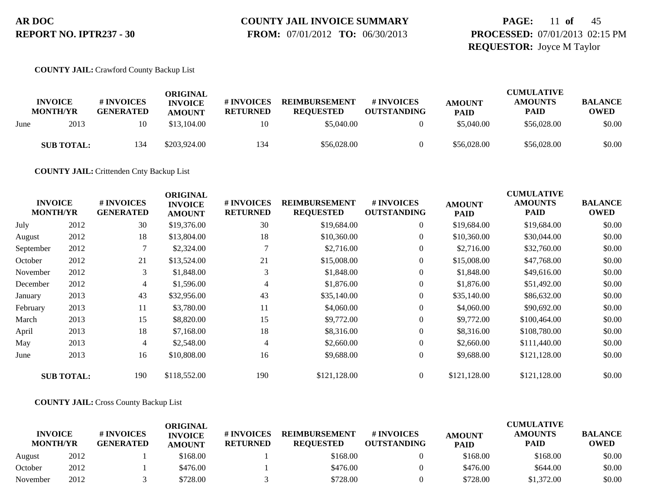# **COUNTY JAIL INVOICE SUMMARY**

 **FROM:** 07/01/2012 **TO:** 06/30/2013

# **PAGE:** 11 **of** 45 **PROCESSED:** 07/01/2013 02:15 PM **REQUESTOR:** Joyce M Taylor

### **COUNTY JAIL:** Crawford County Backup List

|      | <b>INVOICE</b><br><b>MONTH/YR</b> | # INVOICES<br><b>GENERATED</b> | ORIGINAL<br><b>INVOICE</b><br><b>AMOUNT</b> | # INVOICES<br><b>RETURNED</b> | <b>REIMBURSEMENT</b><br><b>REOUESTED</b> | # INVOICES<br><b>OUTSTANDING</b> | <b>AMOUNT</b><br><b>PAID</b> | <b>CUMULATIVE</b><br><b>AMOUNTS</b><br><b>PAID</b> | <b>BALANCE</b><br><b>OWED</b> |
|------|-----------------------------------|--------------------------------|---------------------------------------------|-------------------------------|------------------------------------------|----------------------------------|------------------------------|----------------------------------------------------|-------------------------------|
| June | 2013                              | 10                             | \$13,104.00                                 | 10                            | \$5,040.00                               |                                  | \$5,040.00                   | \$56,028.00                                        | \$0.00                        |
|      | <b>SUB TOTAL:</b>                 | 134                            | \$203,924.00                                | 134                           | \$56,028.00                              |                                  | \$56,028.00                  | \$56,028.00                                        | \$0.00                        |

**COUNTY JAIL:** Crittenden Cnty Backup List

| <b>INVOICE</b><br><b>MONTH/YR</b> |                   | # INVOICES<br><b>GENERATED</b> | <b>ORIGINAL</b><br><b>INVOICE</b><br><b>AMOUNT</b> | # INVOICES<br><b>RETURNED</b> | <b>REIMBURSEMENT</b><br><b>REQUESTED</b> | # INVOICES<br><b>OUTSTANDING</b> | <b>AMOUNT</b><br><b>PAID</b> | <b>CUMULATIVE</b><br><b>AMOUNTS</b><br><b>PAID</b> | <b>BALANCE</b><br><b>OWED</b> |
|-----------------------------------|-------------------|--------------------------------|----------------------------------------------------|-------------------------------|------------------------------------------|----------------------------------|------------------------------|----------------------------------------------------|-------------------------------|
| July                              | 2012              | 30                             | \$19,376.00                                        | 30                            | \$19,684.00                              | $\boldsymbol{0}$                 | \$19,684.00                  | \$19,684.00                                        | \$0.00                        |
| August                            | 2012              | 18                             | \$13,804.00                                        | 18                            | \$10,360.00                              | $\overline{0}$                   | \$10,360.00                  | \$30,044.00                                        | \$0.00                        |
| September                         | 2012              | 7                              | \$2,324.00                                         | $\mathbf{r}$                  | \$2,716.00                               | $\boldsymbol{0}$                 | \$2,716.00                   | \$32,760.00                                        | \$0.00                        |
| October                           | 2012              | 21                             | \$13,524.00                                        | 21                            | \$15,008.00                              | $\overline{0}$                   | \$15,008.00                  | \$47,768.00                                        | \$0.00                        |
| November                          | 2012              | 3                              | \$1,848.00                                         | 3                             | \$1,848.00                               | $\overline{0}$                   | \$1,848.00                   | \$49,616.00                                        | \$0.00                        |
| December                          | 2012              | $\overline{4}$                 | \$1,596.00                                         | 4                             | \$1,876.00                               | $\boldsymbol{0}$                 | \$1,876.00                   | \$51,492.00                                        | \$0.00                        |
| January                           | 2013              | 43                             | \$32,956.00                                        | 43                            | \$35,140.00                              | $\overline{0}$                   | \$35,140.00                  | \$86,632.00                                        | \$0.00                        |
| February                          | 2013              | 11                             | \$3,780.00                                         | 11                            | \$4,060.00                               | $\overline{0}$                   | \$4,060.00                   | \$90,692.00                                        | \$0.00                        |
| March                             | 2013              | 15                             | \$8,820.00                                         | 15                            | \$9,772.00                               | $\overline{0}$                   | \$9,772.00                   | \$100,464.00                                       | \$0.00                        |
| April                             | 2013              | 18                             | \$7,168.00                                         | 18                            | \$8,316.00                               | $\overline{0}$                   | \$8,316.00                   | \$108,780.00                                       | \$0.00                        |
| May                               | 2013              | $\overline{4}$                 | \$2,548.00                                         | 4                             | \$2,660.00                               | $\overline{0}$                   | \$2,660.00                   | \$111,440.00                                       | \$0.00                        |
| June                              | 2013              | 16                             | \$10,808.00                                        | 16                            | \$9,688.00                               | $\overline{0}$                   | \$9,688.00                   | \$121,128.00                                       | \$0.00                        |
|                                   | <b>SUB TOTAL:</b> | 190                            | \$118,552.00                                       | 190                           | \$121,128.00                             | $\overline{0}$                   | \$121,128.00                 | \$121,128.00                                       | \$0.00                        |

### **COUNTY JAIL:** Cross County Backup List

|                                   |      |                                | ORIGINAL                        |                               |                                          |                                  |                              | <b>CUMULATIVE</b>             |                               |
|-----------------------------------|------|--------------------------------|---------------------------------|-------------------------------|------------------------------------------|----------------------------------|------------------------------|-------------------------------|-------------------------------|
| <b>INVOICE</b><br><b>MONTH/YR</b> |      | # INVOICES<br><b>GENERATED</b> | <b>INVOICE</b><br><b>AMOUNT</b> | # INVOICES<br><b>RETURNED</b> | <b>REIMBURSEMENT</b><br><b>REOUESTED</b> | # INVOICES<br><b>OUTSTANDING</b> | <b>AMOUNT</b><br><b>PAID</b> | <b>AMOUNTS</b><br><b>PAID</b> | <b>BALANCE</b><br><b>OWED</b> |
| August                            | 2012 |                                | \$168.00                        |                               | \$168.00                                 |                                  | \$168.00                     | \$168.00                      | \$0.00                        |
| October                           | 2012 |                                | \$476.00                        |                               | \$476.00                                 |                                  | \$476.00                     | \$644.00                      | \$0.00                        |
| November                          | 2012 |                                | \$728.00                        |                               | \$728.00                                 |                                  | \$728.00                     | \$1,372.00                    | \$0.00                        |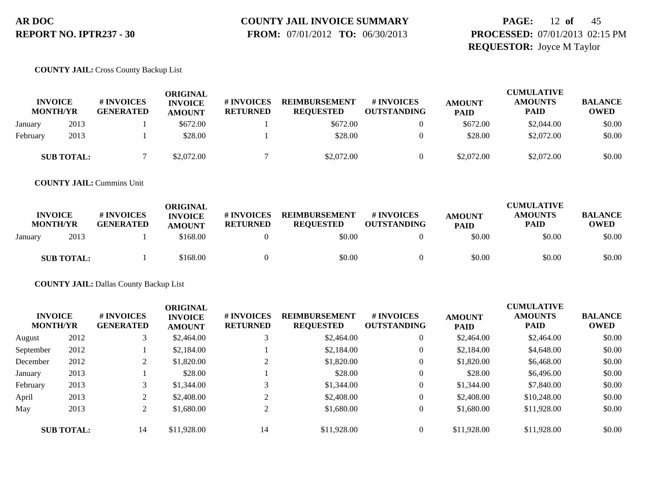# **COUNTY JAIL INVOICE SUMMARY**

 **FROM:** 07/01/2012 **TO:** 06/30/2013

# **PAGE:** 12 **of** 45 **PROCESSED:** 07/01/2013 02:15 PM **REQUESTOR:** Joyce M Taylor

### **COUNTY JAIL:** Cross County Backup List

| <b>INVOICE</b><br><b>MONTH/YR</b> |                   | # INVOICES<br><b>GENERATED</b> | ORIGINAL<br><b>INVOICE</b><br><b>AMOUNT</b> | # INVOICES<br><b>RETURNED</b> | <b>REIMBURSEMENT</b><br><b>REQUESTED</b> | <b>#INVOICES</b><br><b>OUTSTANDING</b> | <b>AMOUNT</b><br><b>PAID</b> | <b>CUMULATIVE</b><br><b>AMOUNTS</b><br><b>PAID</b> | <b>BALANCE</b><br><b>OWED</b> |
|-----------------------------------|-------------------|--------------------------------|---------------------------------------------|-------------------------------|------------------------------------------|----------------------------------------|------------------------------|----------------------------------------------------|-------------------------------|
| January                           | 2013              |                                | \$672.00                                    |                               | \$672.00                                 |                                        | \$672.00                     | \$2,044.00                                         | \$0.00                        |
| February                          | 2013              |                                | \$28.00                                     |                               | \$28.00                                  |                                        | \$28.00                      | \$2,072.00                                         | \$0.00                        |
|                                   | <b>SUB TOTAL:</b> |                                | \$2,072.00                                  |                               | \$2,072.00                               |                                        | \$2,072.00                   | \$2,072.00                                         | \$0.00                        |

**COUNTY JAIL:** Cummins Unit

| <b>INVOICE</b><br><b>MONTH/YR</b> | # INVOICES<br><b>GENERATED</b> | ORIGINAL<br><b>INVOICE</b><br><b>AMOUNT</b> | # INVOICES<br><b>RETURNED</b> | <b>REIMBURSEMENT</b><br><b>REOUESTED</b> | # INVOICES<br><b>OUTSTANDING</b> | <b>AMOUNT</b><br><b>PAID</b> | <b>CUMULATIVE</b><br><b>AMOUNTS</b><br><b>PAID</b> | <b>BALANCE</b><br><b>OWED</b> |
|-----------------------------------|--------------------------------|---------------------------------------------|-------------------------------|------------------------------------------|----------------------------------|------------------------------|----------------------------------------------------|-------------------------------|
| 2013<br>January                   |                                | \$168.00                                    |                               | \$0.00                                   |                                  | \$0.00                       | \$0.00                                             | \$0.00                        |
| <b>SUB TOTAL:</b>                 |                                | \$168.00                                    |                               | \$0.00                                   |                                  | \$0.00                       | \$0.00                                             | \$0.00                        |

**COUNTY JAIL:** Dallas County Backup List

| <b>INVOICE</b><br><b>MONTH/YR</b> |                   | # INVOICES<br><b>GENERATED</b> | <b>ORIGINAL</b><br><b>INVOICE</b><br><b>AMOUNT</b> | # INVOICES<br><b>RETURNED</b> | <b>REIMBURSEMENT</b><br><b>REQUESTED</b> | <b># INVOICES</b><br><b>OUTSTANDING</b> | <b>AMOUNT</b><br><b>PAID</b> | <b>CUMULATIVE</b><br><b>AMOUNTS</b><br><b>PAID</b> | <b>BALANCE</b><br>OWED |
|-----------------------------------|-------------------|--------------------------------|----------------------------------------------------|-------------------------------|------------------------------------------|-----------------------------------------|------------------------------|----------------------------------------------------|------------------------|
| August                            | 2012              | 3                              | \$2,464.00                                         |                               | \$2,464.00                               | $\overline{0}$                          | \$2,464.00                   | \$2,464.00                                         | \$0.00                 |
| September                         | 2012              |                                | \$2,184.00                                         |                               | \$2,184.00                               | $\overline{0}$                          | \$2,184.00                   | \$4,648.00                                         | \$0.00                 |
| December                          | 2012              | $\overline{2}$                 | \$1,820.00                                         | ◠                             | \$1,820.00                               | 0                                       | \$1,820.00                   | \$6,468.00                                         | \$0.00                 |
| January                           | 2013              |                                | \$28.00                                            |                               | \$28.00                                  | $\overline{0}$                          | \$28.00                      | \$6,496.00                                         | \$0.00                 |
| February                          | 2013              |                                | \$1,344.00                                         |                               | \$1,344.00                               | $\overline{0}$                          | \$1,344.00                   | \$7,840.00                                         | \$0.00                 |
| April                             | 2013              | 2                              | \$2,408.00                                         | $\mathcal{L}$                 | \$2,408.00                               | $\overline{0}$                          | \$2,408.00                   | \$10,248.00                                        | \$0.00                 |
| May                               | 2013              | $\overline{2}$                 | \$1,680.00                                         | 2                             | \$1,680.00                               | $\overline{0}$                          | \$1,680.00                   | \$11,928.00                                        | \$0.00                 |
|                                   | <b>SUB TOTAL:</b> | 14                             | \$11,928.00                                        | 14                            | \$11,928.00                              | $\overline{0}$                          | \$11,928.00                  | \$11,928.00                                        | \$0.00                 |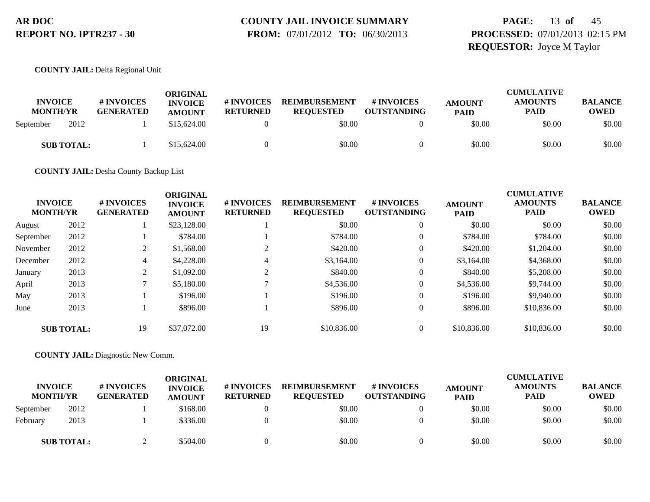# **COUNTY JAIL INVOICE SUMMARY**

 **FROM:** 07/01/2012 **TO:** 06/30/2013

# **PAGE:** 13 **of** 45 **PROCESSED:** 07/01/2013 02:15 PM **REQUESTOR:** Joyce M Taylor

**COUNTY JAIL:** Delta Regional Unit

| <b>INVOICE</b><br><b>MONTH/YR</b> |                   | <b>#INVOICES</b><br><b>GENERATED</b> | ORIGINAL<br><b>INVOICE</b><br><b>AMOUNT</b> | # INVOICES<br><b>RETURNED</b> | <b>REIMBURSEMENT</b><br><b>REQUESTED</b> | # INVOICES<br><b>OUTSTANDING</b> | <b>AMOUNT</b><br><b>PAID</b> | <b>CUMULATIVE</b><br><b>AMOUNTS</b><br><b>PAID</b> | <b>BALANCE</b><br>OWED |
|-----------------------------------|-------------------|--------------------------------------|---------------------------------------------|-------------------------------|------------------------------------------|----------------------------------|------------------------------|----------------------------------------------------|------------------------|
| September                         | 2012              |                                      | \$15,624.00                                 |                               | \$0.00                                   |                                  | \$0.00                       | \$0.00                                             | \$0.00                 |
|                                   | <b>SUB TOTAL:</b> |                                      | \$15,624.00                                 |                               | \$0.00                                   |                                  | \$0.00                       | \$0.00                                             | \$0.00                 |

**COUNTY JAIL:** Desha County Backup List

| <b>INVOICE</b><br><b>MONTH/YR</b> |                   | # INVOICES<br><b>GENERATED</b> | <b>ORIGINAL</b><br><b>INVOICE</b><br><b>AMOUNT</b> | # INVOICES<br><b>RETURNED</b> | <b>REIMBURSEMENT</b><br><b>REQUESTED</b> | <b>#INVOICES</b><br><b>OUTSTANDING</b> | <b>AMOUNT</b><br><b>PAID</b> | <b>CUMULATIVE</b><br><b>AMOUNTS</b><br><b>PAID</b> | <b>BALANCE</b><br><b>OWED</b> |
|-----------------------------------|-------------------|--------------------------------|----------------------------------------------------|-------------------------------|------------------------------------------|----------------------------------------|------------------------------|----------------------------------------------------|-------------------------------|
| August                            | 2012              |                                | \$23,128.00                                        |                               | \$0.00                                   | 0                                      | \$0.00                       | \$0.00                                             | \$0.00                        |
| September                         | 2012              |                                | \$784.00                                           |                               | \$784.00                                 | $\overline{0}$                         | \$784.00                     | \$784.00                                           | \$0.00                        |
| November                          | 2012              | 2                              | \$1,568.00                                         |                               | \$420.00                                 | 0                                      | \$420.00                     | \$1,204.00                                         | \$0.00                        |
| December                          | 2012              | 4                              | \$4,228,00                                         | 4                             | \$3,164.00                               | 0                                      | \$3,164.00                   | \$4,368,00                                         | \$0.00                        |
| January                           | 2013              | 2                              | \$1,092.00                                         | ◠                             | \$840.00                                 | 0                                      | \$840.00                     | \$5,208.00                                         | \$0.00                        |
| April                             | 2013              | $\mathcal{L}$                  | \$5,180.00                                         |                               | \$4,536.00                               | 0                                      | \$4,536.00                   | \$9,744.00                                         | \$0.00                        |
| May                               | 2013              |                                | \$196.00                                           |                               | \$196.00                                 | $\overline{0}$                         | \$196.00                     | \$9,940.00                                         | \$0.00                        |
| June                              | 2013              |                                | \$896.00                                           |                               | \$896.00                                 | 0                                      | \$896.00                     | \$10,836.00                                        | \$0.00                        |
|                                   | <b>SUB TOTAL:</b> | 19                             | \$37,072.00                                        | 19                            | \$10,836.00                              | 0                                      | \$10,836.00                  | \$10,836.00                                        | \$0.00                        |

**COUNTY JAIL:** Diagnostic New Comm.

| <b>INVOICE</b><br><b>MONTH/YR</b> |                   | # INVOICES<br><b>GENERATED</b> | <b>ORIGINAL</b><br><b>INVOICE</b><br><b>AMOUNT</b> | # INVOICES<br><b>RETURNED</b> | <b>REIMBURSEMENT</b><br><b>REQUESTED</b> | # INVOICES<br><b>OUTSTANDING</b> | <b>AMOUNT</b><br><b>PAID</b> | <b>CUMULATIVE</b><br><b>AMOUNTS</b><br><b>PAID</b> | <b>BALANCE</b><br><b>OWED</b> |
|-----------------------------------|-------------------|--------------------------------|----------------------------------------------------|-------------------------------|------------------------------------------|----------------------------------|------------------------------|----------------------------------------------------|-------------------------------|
| September                         | 2012              |                                | \$168.00                                           |                               | \$0.00                                   |                                  | \$0.00                       | \$0.00                                             | \$0.00                        |
| Februarv                          | 2013              |                                | \$336.00                                           |                               | \$0.00                                   |                                  | \$0.00                       | \$0.00                                             | \$0.00                        |
|                                   | <b>SUB TOTAL:</b> |                                | \$504.00                                           |                               | \$0.00                                   |                                  | \$0.00                       | \$0.00                                             | \$0.00                        |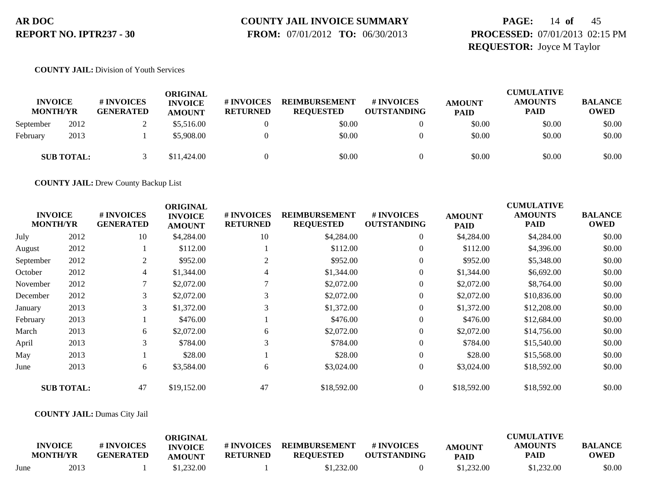# **COUNTY JAIL INVOICE SUMMARY**

 **FROM:** 07/01/2012 **TO:** 06/30/2013

# **PAGE:** 14 **of** 45 **PROCESSED:** 07/01/2013 02:15 PM **REQUESTOR:** Joyce M Taylor

### **COUNTY JAIL:** Division of Youth Services

| <b>INVOICE</b><br><b>MONTH/YR</b> |                   | # INVOICES<br><b>GENERATED</b> | ORIGINAL<br><b>INVOICE</b><br><b>AMOUNT</b> | <b>#INVOICES</b><br><b>RETURNED</b> | <b>REIMBURSEMENT</b><br><b>REQUESTED</b> | <b># INVOICES</b><br><b>OUTSTANDING</b> | <b>AMOUNT</b><br><b>PAID</b> | <b>CUMULATIVE</b><br><b>AMOUNTS</b><br><b>PAID</b> | <b>BALANCE</b><br><b>OWED</b> |
|-----------------------------------|-------------------|--------------------------------|---------------------------------------------|-------------------------------------|------------------------------------------|-----------------------------------------|------------------------------|----------------------------------------------------|-------------------------------|
| September                         | 2012              |                                | \$5,516.00                                  |                                     | \$0.00                                   |                                         | \$0.00                       | \$0.00                                             | \$0.00                        |
| February                          | 2013              |                                | \$5,908.00                                  |                                     | \$0.00                                   |                                         | \$0.00                       | \$0.00                                             | \$0.00                        |
|                                   | <b>SUB TOTAL:</b> |                                | \$11,424.00                                 |                                     | \$0.00                                   |                                         | \$0.00                       | \$0.00                                             | \$0.00                        |

**COUNTY JAIL:** Drew County Backup List

| <b>INVOICE</b><br><b>MONTH/YR</b> |                   | # INVOICES<br><b>GENERATED</b> | <b>ORIGINAL</b><br><b>INVOICE</b><br><b>AMOUNT</b> | # INVOICES<br><b>RETURNED</b> | <b>REIMBURSEMENT</b><br><b>REQUESTED</b> | # INVOICES<br><b>OUTSTANDING</b> | <b>AMOUNT</b><br><b>PAID</b> | <b>CUMULATIVE</b><br><b>AMOUNTS</b><br><b>PAID</b> | <b>BALANCE</b><br><b>OWED</b> |
|-----------------------------------|-------------------|--------------------------------|----------------------------------------------------|-------------------------------|------------------------------------------|----------------------------------|------------------------------|----------------------------------------------------|-------------------------------|
| July                              | 2012              | 10                             | \$4,284.00                                         | 10                            | \$4,284.00                               | $\overline{0}$                   | \$4,284.00                   | \$4,284.00                                         | \$0.00                        |
| August                            | 2012              |                                | \$112.00                                           |                               | \$112.00                                 | $\overline{0}$                   | \$112.00                     | \$4,396.00                                         | \$0.00                        |
| September                         | 2012              | 2                              | \$952.00                                           | 2                             | \$952.00                                 | $\overline{0}$                   | \$952.00                     | \$5,348.00                                         | \$0.00                        |
| October                           | 2012              | 4                              | \$1,344.00                                         |                               | \$1,344.00                               | $\boldsymbol{0}$                 | \$1,344.00                   | \$6,692.00                                         | \$0.00                        |
| November                          | 2012              |                                | \$2,072.00                                         |                               | \$2,072.00                               | $\overline{0}$                   | \$2,072.00                   | \$8,764.00                                         | \$0.00                        |
| December                          | 2012              | 3                              | \$2,072.00                                         | 3                             | \$2,072.00                               | $\overline{0}$                   | \$2,072.00                   | \$10,836.00                                        | \$0.00                        |
| January                           | 2013              | 3                              | \$1,372.00                                         |                               | \$1,372.00                               | $\boldsymbol{0}$                 | \$1,372.00                   | \$12,208.00                                        | \$0.00                        |
| February                          | 2013              |                                | \$476.00                                           |                               | \$476.00                                 | $\overline{0}$                   | \$476.00                     | \$12,684.00                                        | \$0.00                        |
| March                             | 2013              | 6                              | \$2,072.00                                         | 6                             | \$2,072.00                               | $\overline{0}$                   | \$2,072.00                   | \$14,756.00                                        | \$0.00                        |
| April                             | 2013              | 3                              | \$784.00                                           |                               | \$784.00                                 | $\overline{0}$                   | \$784.00                     | \$15,540.00                                        | \$0.00                        |
| May                               | 2013              |                                | \$28.00                                            |                               | \$28.00                                  | $\overline{0}$                   | \$28.00                      | \$15,568.00                                        | \$0.00                        |
| June                              | 2013              | 6                              | \$3,584.00                                         | 6                             | \$3,024.00                               | $\overline{0}$                   | \$3,024.00                   | \$18,592.00                                        | \$0.00                        |
|                                   | <b>SUB TOTAL:</b> | 47                             | \$19,152.00                                        | 47                            | \$18,592.00                              | $\overline{0}$                   | \$18,592.00                  | \$18,592.00                                        | \$0.00                        |

### **COUNTY JAIL:** Dumas City Jail

|      | <b>INVOICE</b><br><b>MONTH/YR</b> | # INVOICES<br><b>GENERATED</b> | ORIGINAL<br><b>INVOICE</b><br><b>AMOUNT</b> | # INVOICES<br><b>RETURNED</b> | <b>REIMBURSEMENT</b><br><b>REQUESTED</b> | # INVOICES<br><b>OUTSTANDING</b> | AMOUNT<br><b>PAID</b> | <b>CUMULATIVE</b><br><b>AMOUNTS</b><br>PAID | <b>BALANCE</b><br><b>OWED</b> |
|------|-----------------------------------|--------------------------------|---------------------------------------------|-------------------------------|------------------------------------------|----------------------------------|-----------------------|---------------------------------------------|-------------------------------|
| June | 2013                              |                                | \$1.232.00                                  |                               | \$1,232.00                               |                                  | \$1,232.00            | \$1,232.00                                  | \$0.00                        |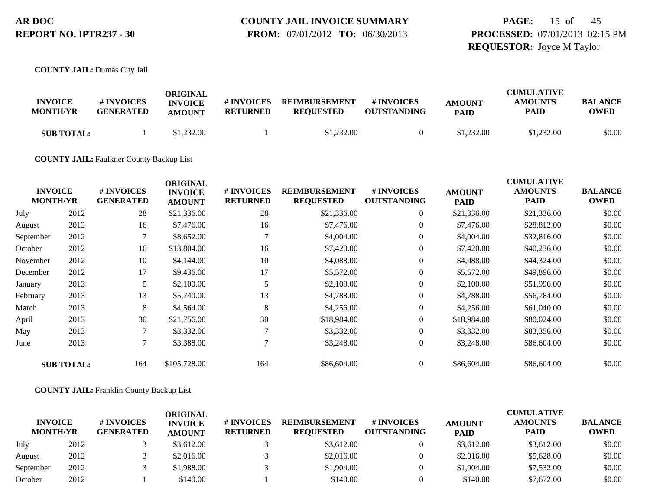### **COUNTY JAIL INVOICE SUMMARY FROM:** 07/01/2012 **TO:** 06/30/2013

**PAGE:** 15 **of** 45 **PROCESSED:** 07/01/2013 02:15 PM **REQUESTOR:** Joyce M Taylor

**COUNTY JAIL:** Dumas City Jail

|                                   |                                | ORIGINAL                        |                               |                                          |                                  |                              | <b>CUMULATIVE</b>      |                               |  |
|-----------------------------------|--------------------------------|---------------------------------|-------------------------------|------------------------------------------|----------------------------------|------------------------------|------------------------|-------------------------------|--|
| <b>INVOICE</b><br><b>MONTH/YR</b> | # INVOICES<br><b>GENERATED</b> | <b>INVOICE</b><br><b>AMOUNT</b> | # INVOICES<br><b>RETURNED</b> | <b>REIMBURSEMENT</b><br><b>REOUESTED</b> | # INVOICES<br><b>OUTSTANDING</b> | <b>AMOUNT</b><br><b>PAID</b> | <b>AMOUNTS</b><br>PAID | <b>BALANCE</b><br><b>OWED</b> |  |
| <b>SUB TOTAL:</b>                 |                                | \$1,232.00                      |                               | \$1,232.00                               |                                  | \$1,232.00                   | \$1,232.00             | \$0.00                        |  |

**COUNTY JAIL:** Faulkner County Backup List

|           | <b>INVOICE</b><br><b>MONTH/YR</b> | # INVOICES<br><b>GENERATED</b> | <b>ORIGINAL</b><br><b>INVOICE</b><br><b>AMOUNT</b> | # INVOICES<br><b>RETURNED</b> | <b>REIMBURSEMENT</b><br><b>REQUESTED</b> | # INVOICES<br><b>OUTSTANDING</b> | <b>AMOUNT</b><br><b>PAID</b> | <b>CUMULATIVE</b><br><b>AMOUNTS</b><br>PAID | <b>BALANCE</b><br><b>OWED</b> |
|-----------|-----------------------------------|--------------------------------|----------------------------------------------------|-------------------------------|------------------------------------------|----------------------------------|------------------------------|---------------------------------------------|-------------------------------|
| July      | 2012                              | 28                             | \$21,336.00                                        | 28                            | \$21,336.00                              | $\overline{0}$                   | \$21,336.00                  | \$21,336.00                                 | \$0.00                        |
| August    | 2012                              | 16                             | \$7,476.00                                         | 16                            | \$7,476.00                               | $\overline{0}$                   | \$7,476.00                   | \$28,812.00                                 | \$0.00                        |
| September | 2012                              | 7                              | \$8,652.00                                         |                               | \$4,004.00                               | $\overline{0}$                   | \$4,004.00                   | \$32,816.00                                 | \$0.00                        |
| October   | 2012                              | 16                             | \$13,804.00                                        | 16                            | \$7,420.00                               | $\overline{0}$                   | \$7,420.00                   | \$40,236.00                                 | \$0.00                        |
| November  | 2012                              | 10                             | \$4,144.00                                         | 10                            | \$4,088.00                               | $\overline{0}$                   | \$4,088.00                   | \$44,324.00                                 | \$0.00                        |
| December  | 2012                              | 17                             | \$9,436.00                                         | 17                            | \$5,572.00                               | $\overline{0}$                   | \$5,572.00                   | \$49,896.00                                 | \$0.00                        |
| January   | 2013                              | 5                              | \$2,100.00                                         |                               | \$2,100.00                               | $\overline{0}$                   | \$2,100.00                   | \$51,996.00                                 | \$0.00                        |
| February  | 2013                              | 13                             | \$5,740.00                                         | 13                            | \$4,788.00                               | $\overline{0}$                   | \$4,788.00                   | \$56,784.00                                 | \$0.00                        |
| March     | 2013                              | 8                              | \$4,564.00                                         | 8                             | \$4,256.00                               | $\overline{0}$                   | \$4,256.00                   | \$61,040.00                                 | \$0.00                        |
| April     | 2013                              | 30                             | \$21,756.00                                        | 30                            | \$18,984.00                              | $\overline{0}$                   | \$18,984.00                  | \$80,024.00                                 | \$0.00                        |
| May       | 2013                              | 7                              | \$3,332.00                                         |                               | \$3,332.00                               | $\overline{0}$                   | \$3,332.00                   | \$83,356.00                                 | \$0.00                        |
| June      | 2013                              | $\tau$                         | \$3,388.00                                         |                               | \$3,248.00                               | $\overline{0}$                   | \$3,248.00                   | \$86,604.00                                 | \$0.00                        |
|           | <b>SUB TOTAL:</b>                 | 164                            | \$105,728.00                                       | 164                           | \$86,604.00                              | $\overline{0}$                   | \$86,604.00                  | \$86,604.00                                 | \$0.00                        |

**COUNTY JAIL:** Franklin County Backup List

| <b>INVOICE</b><br><b>MONTH/YR</b> |      | # INVOICES<br><b>GENERATED</b> | ORIGINAL<br><b>INVOICE</b><br><b>AMOUNT</b> | <b># INVOICES</b><br><b>RETURNED</b> | <b>REIMBURSEMENT</b><br><b>REQUESTED</b> | # INVOICES<br><b>OUTSTANDING</b> | <b>AMOUNT</b><br><b>PAID</b> | <b>CUMULATIVE</b><br><b>AMOUNTS</b><br><b>PAID</b> | <b>BALANCE</b><br><b>OWED</b> |
|-----------------------------------|------|--------------------------------|---------------------------------------------|--------------------------------------|------------------------------------------|----------------------------------|------------------------------|----------------------------------------------------|-------------------------------|
| July                              | 2012 |                                | \$3,612.00                                  |                                      | \$3,612.00                               | $\theta$                         | \$3,612.00                   | \$3,612.00                                         | \$0.00                        |
| August                            | 2012 |                                | \$2,016.00                                  |                                      | \$2,016.00                               | 0                                | \$2,016.00                   | \$5,628.00                                         | \$0.00                        |
| September                         | 2012 |                                | \$1,988.00                                  |                                      | \$1,904.00                               | $\theta$                         | \$1,904.00                   | \$7,532.00                                         | \$0.00                        |
| October                           | 2012 |                                | \$140.00                                    |                                      | \$140.00                                 |                                  | \$140.00                     | \$7,672.00                                         | \$0.00                        |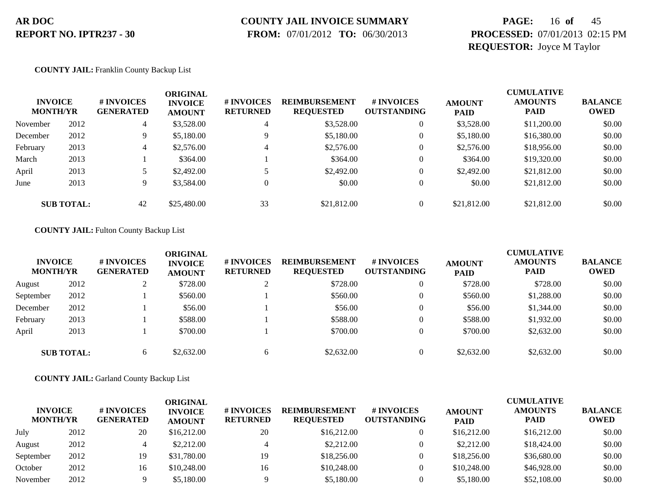# **COUNTY JAIL INVOICE SUMMARY**

 **FROM:** 07/01/2012 **TO:** 06/30/2013

# **PAGE:** 16 **of** 45 **PROCESSED:** 07/01/2013 02:15 PM **REQUESTOR:** Joyce M Taylor

### **COUNTY JAIL:** Franklin County Backup List

| <b>INVOICE</b><br><b>MONTH/YR</b> |                   | # INVOICES<br><b>GENERATED</b> | <b>ORIGINAL</b><br><b>INVOICE</b><br><b>AMOUNT</b> | <b># INVOICES</b><br><b>RETURNED</b> | <b>REIMBURSEMENT</b><br><b>REQUESTED</b> | <b>#INVOICES</b><br><b>OUTSTANDING</b> | <b>AMOUNT</b><br><b>PAID</b> | <b>CUMULATIVE</b><br><b>AMOUNTS</b><br><b>PAID</b> | <b>BALANCE</b><br><b>OWED</b> |
|-----------------------------------|-------------------|--------------------------------|----------------------------------------------------|--------------------------------------|------------------------------------------|----------------------------------------|------------------------------|----------------------------------------------------|-------------------------------|
| November                          | 2012              | 4                              | \$3,528.00                                         | 4                                    | \$3,528.00                               |                                        | \$3,528.00                   | \$11,200.00                                        | \$0.00                        |
| December                          | 2012              | 9                              | \$5,180.00                                         | $\mathbf Q$                          | \$5,180.00                               |                                        | \$5,180.00                   | \$16,380.00                                        | \$0.00                        |
| February                          | 2013              | 4                              | \$2,576.00                                         | 4                                    | \$2,576.00                               |                                        | \$2,576.00                   | \$18,956.00                                        | \$0.00                        |
| March                             | 2013              |                                | \$364.00                                           |                                      | \$364.00                                 |                                        | \$364.00                     | \$19,320.00                                        | \$0.00                        |
| April                             | 2013              |                                | \$2,492.00                                         |                                      | \$2,492.00                               |                                        | \$2,492.00                   | \$21,812.00                                        | \$0.00                        |
| June                              | 2013              | 9                              | \$3,584.00                                         |                                      | \$0.00                                   |                                        | \$0.00                       | \$21,812.00                                        | \$0.00                        |
|                                   | <b>SUB TOTAL:</b> | 42                             | \$25,480.00                                        | 33                                   | \$21,812.00                              |                                        | \$21,812.00                  | \$21,812.00                                        | \$0.00                        |

### **COUNTY JAIL:** Fulton County Backup List

| <b>INVOICE</b><br><b>MONTH/YR</b> |                   | # INVOICES<br><b>GENERATED</b> | ORIGINAL<br><b>INVOICE</b><br><b>AMOUNT</b> | # INVOICES<br><b>RETURNED</b> | <b>REIMBURSEMENT</b><br><b>REQUESTED</b> | # INVOICES<br><b>OUTSTANDING</b> | <b>AMOUNT</b><br><b>PAID</b> | <b>CUMULATIVE</b><br><b>AMOUNTS</b><br><b>PAID</b> | <b>BALANCE</b><br><b>OWED</b> |
|-----------------------------------|-------------------|--------------------------------|---------------------------------------------|-------------------------------|------------------------------------------|----------------------------------|------------------------------|----------------------------------------------------|-------------------------------|
| August                            | 2012              |                                | \$728.00                                    |                               | \$728.00                                 | $\overline{0}$                   | \$728.00                     | \$728.00                                           | \$0.00                        |
| September                         | 2012              |                                | \$560.00                                    |                               | \$560.00                                 | $\overline{0}$                   | \$560.00                     | \$1,288.00                                         | \$0.00                        |
| December                          | 2012              |                                | \$56.00                                     |                               | \$56.00                                  | $\overline{0}$                   | \$56.00                      | \$1,344.00                                         | \$0.00                        |
| February                          | 2013              |                                | \$588.00                                    |                               | \$588.00                                 | $\theta$                         | \$588.00                     | \$1,932.00                                         | \$0.00                        |
| April                             | 2013              |                                | \$700.00                                    |                               | \$700.00                                 | $\Omega$                         | \$700.00                     | \$2,632.00                                         | \$0.00                        |
|                                   | <b>SUB TOTAL:</b> | 6                              | \$2,632.00                                  | 6                             | \$2,632.00                               | $\Omega$                         | \$2,632.00                   | \$2,632.00                                         | \$0.00                        |

### **COUNTY JAIL:** Garland County Backup List

| <b>INVOICE</b><br><b>MONTH/YR</b> |      | # INVOICES<br><b>GENERATED</b> | ORIGINAL<br><b>INVOICE</b><br><b>AMOUNT</b> | # INVOICES<br><b>RETURNED</b> | <b>REIMBURSEMENT</b><br><b>REQUESTED</b> | # INVOICES<br><b>OUTSTANDING</b> | <b>AMOUNT</b><br><b>PAID</b> | <b>CUMULATIVE</b><br><b>AMOUNTS</b><br><b>PAID</b> | <b>BALANCE</b><br><b>OWED</b> |
|-----------------------------------|------|--------------------------------|---------------------------------------------|-------------------------------|------------------------------------------|----------------------------------|------------------------------|----------------------------------------------------|-------------------------------|
| July                              | 2012 | 20                             | \$16,212.00                                 | 20                            | \$16,212.00                              |                                  | \$16,212.00                  | \$16,212.00                                        | \$0.00                        |
| August                            | 2012 |                                | \$2,212.00                                  |                               | \$2,212.00                               |                                  | \$2,212.00                   | \$18,424.00                                        | \$0.00                        |
| September                         | 2012 | 19                             | \$31,780.00                                 | 19                            | \$18,256.00                              |                                  | \$18,256.00                  | \$36,680.00                                        | \$0.00                        |
| October                           | 2012 | 16                             | \$10,248.00                                 | 16                            | \$10,248.00                              |                                  | \$10,248.00                  | \$46,928.00                                        | \$0.00                        |
| November                          | 2012 |                                | \$5,180.00                                  |                               | \$5,180.00                               |                                  | \$5,180.00                   | \$52,108.00                                        | \$0.00                        |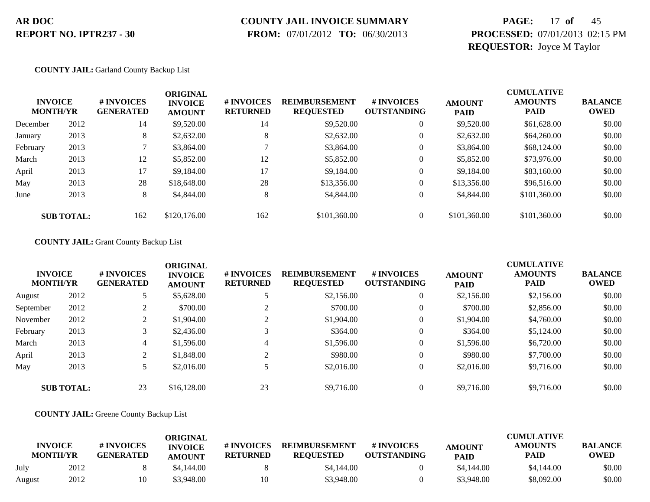# **COUNTY JAIL INVOICE SUMMARY**

 **FROM:** 07/01/2012 **TO:** 06/30/2013

# **PAGE:** 17 **of** 45 **PROCESSED:** 07/01/2013 02:15 PM **REQUESTOR:** Joyce M Taylor

### **COUNTY JAIL:** Garland County Backup List

| <b>INVOICE</b><br><b>MONTH/YR</b> |                   | # INVOICES<br><b>GENERATED</b> | <b>ORIGINAL</b><br><b>INVOICE</b><br><b>AMOUNT</b> | # INVOICES<br><b>RETURNED</b> | <b>REIMBURSEMENT</b><br><b>REQUESTED</b> | # INVOICES<br><b>OUTSTANDING</b> | <b>AMOUNT</b><br><b>PAID</b> | <b>CUMULATIVE</b><br><b>AMOUNTS</b><br><b>PAID</b> | <b>BALANCE</b><br>OWED |
|-----------------------------------|-------------------|--------------------------------|----------------------------------------------------|-------------------------------|------------------------------------------|----------------------------------|------------------------------|----------------------------------------------------|------------------------|
| December                          | 2012              | 14                             | \$9,520.00                                         | 14                            | \$9,520.00                               |                                  | \$9,520.00                   | \$61,628.00                                        | \$0.00                 |
| January                           | 2013              | 8                              | \$2,632.00                                         | 8                             | \$2,632.00                               |                                  | \$2,632.00                   | \$64,260.00                                        | \$0.00                 |
| February                          | 2013              |                                | \$3,864.00                                         |                               | \$3,864.00                               | 0                                | \$3,864.00                   | \$68,124.00                                        | \$0.00                 |
| March                             | 2013              | 12                             | \$5,852.00                                         | 12                            | \$5,852.00                               | $\overline{0}$                   | \$5,852.00                   | \$73,976.00                                        | \$0.00                 |
| April                             | 2013              | 17                             | \$9,184.00                                         | 17                            | \$9,184.00                               | $\theta$                         | \$9,184.00                   | \$83,160.00                                        | \$0.00                 |
| May                               | 2013              | 28                             | \$18,648.00                                        | 28                            | \$13,356.00                              |                                  | \$13,356.00                  | \$96,516.00                                        | \$0.00                 |
| June                              | 2013              | 8                              | \$4,844.00                                         | 8                             | \$4,844.00                               | $\overline{0}$                   | \$4,844.00                   | \$101,360.00                                       | \$0.00                 |
|                                   | <b>SUB TOTAL:</b> | 162                            | \$120,176.00                                       | 162                           | \$101,360.00                             |                                  | \$101,360.00                 | \$101,360.00                                       | \$0.00                 |

### **COUNTY JAIL:** Grant County Backup List

| <b>INVOICE</b><br><b>MONTH/YR</b> |                   | # INVOICES<br><b>GENERATED</b> | <b>ORIGINAL</b><br><b>INVOICE</b><br><b>AMOUNT</b> | # INVOICES<br><b>RETURNED</b> | <b>REIMBURSEMENT</b><br><b>REQUESTED</b> | # INVOICES<br><b>OUTSTANDING</b> | <b>AMOUNT</b><br><b>PAID</b> | <b>CUMULATIVE</b><br><b>AMOUNTS</b><br><b>PAID</b> | <b>BALANCE</b><br><b>OWED</b> |
|-----------------------------------|-------------------|--------------------------------|----------------------------------------------------|-------------------------------|------------------------------------------|----------------------------------|------------------------------|----------------------------------------------------|-------------------------------|
| August                            | 2012              |                                | \$5,628.00                                         |                               | \$2,156.00                               | $\overline{0}$                   | \$2,156.00                   | \$2,156.00                                         | \$0.00                        |
| September                         | 2012              | ∠                              | \$700.00                                           |                               | \$700.00                                 | $\boldsymbol{0}$                 | \$700.00                     | \$2,856.00                                         | \$0.00                        |
| November                          | 2012              | ◠                              | \$1,904.00                                         |                               | \$1,904.00                               | $\theta$                         | \$1,904.00                   | \$4,760.00                                         | \$0.00                        |
| February                          | 2013              |                                | \$2,436.00                                         |                               | \$364.00                                 | $\theta$                         | \$364.00                     | \$5,124.00                                         | \$0.00                        |
| March                             | 2013              | 4                              | \$1,596.00                                         | 4                             | \$1,596.00                               | $\theta$                         | \$1,596.00                   | \$6,720.00                                         | \$0.00                        |
| April                             | 2013              | 2                              | \$1,848.00                                         |                               | \$980.00                                 | $\Omega$                         | \$980.00                     | \$7,700.00                                         | \$0.00                        |
| May                               | 2013              |                                | \$2,016.00                                         |                               | \$2,016.00                               | $\overline{0}$                   | \$2,016.00                   | \$9,716.00                                         | \$0.00                        |
|                                   | <b>SUB TOTAL:</b> | 23                             | \$16,128.00                                        | 23                            | \$9,716.00                               |                                  | \$9,716.00                   | \$9,716.00                                         | \$0.00                        |

### **COUNTY JAIL:** Greene County Backup List

| <b>INVOICE</b><br><b>MONTH/YR</b> |      | # INVOICES<br><b>GENERATED</b> | ORIGINAL<br><b>INVOICE</b><br><b>AMOUNT</b> | # INVOICES<br><b>RETURNED</b> | <b>REIMBURSEMENT</b><br><b>REOUESTED</b> | # INVOICES<br><b>OUTSTANDING</b> | <b>AMOUNT</b><br><b>PAID</b> | <b>CUMULATIVE</b><br><b>AMOUNTS</b><br>PAID | <b>BALANCE</b><br>OWED |
|-----------------------------------|------|--------------------------------|---------------------------------------------|-------------------------------|------------------------------------------|----------------------------------|------------------------------|---------------------------------------------|------------------------|
| July                              | 2012 |                                | \$4,144.00                                  |                               | \$4,144.00                               |                                  | \$4,144.00                   | \$4,144.00                                  | \$0.00                 |
| August                            | 2012 | 10                             | \$3.948.00                                  | 10                            | \$3,948.00                               |                                  | \$3,948.00                   | \$8,092.00                                  | \$0.00                 |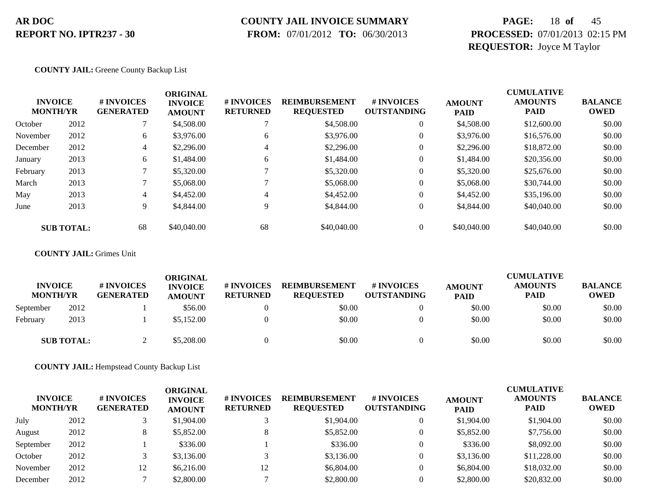### **COUNTY JAIL INVOICE SUMMARY**

 **FROM:** 07/01/2012 **TO:** 06/30/2013

# **PAGE:** 18 **of** 45 **PROCESSED:** 07/01/2013 02:15 PM **REQUESTOR:** Joyce M Taylor

**COUNTY JAIL:** Greene County Backup List

|          | <b>INVOICE</b><br><b>MONTH/YR</b> | # INVOICES<br><b>GENERATED</b> | <b>ORIGINAL</b><br><b>INVOICE</b><br><b>AMOUNT</b> | # INVOICES<br><b>RETURNED</b> | <b>REIMBURSEMENT</b><br><b>REQUESTED</b> | # INVOICES<br><b>OUTSTANDING</b> | <b>AMOUNT</b><br><b>PAID</b> | <b>CUMULATIVE</b><br><b>AMOUNTS</b><br><b>PAID</b> | <b>BALANCE</b><br><b>OWED</b> |
|----------|-----------------------------------|--------------------------------|----------------------------------------------------|-------------------------------|------------------------------------------|----------------------------------|------------------------------|----------------------------------------------------|-------------------------------|
| October  | 2012                              |                                | \$4,508.00                                         |                               | \$4,508.00                               | $\theta$                         | \$4,508.00                   | \$12,600.00                                        | \$0.00                        |
| November | 2012                              | 6                              | \$3,976.00                                         | 6                             | \$3,976.00                               | $\theta$                         | \$3,976.00                   | \$16,576.00                                        | \$0.00                        |
| December | 2012                              | 4                              | \$2,296.00                                         | 4                             | \$2,296.00                               | $\theta$                         | \$2,296.00                   | \$18,872.00                                        | \$0.00                        |
| January  | 2013                              | 6                              | \$1,484.00                                         | 6                             | \$1,484.00                               | $\mathbf{0}$                     | \$1,484.00                   | \$20,356.00                                        | \$0.00                        |
| February | 2013                              |                                | \$5,320.00                                         |                               | \$5,320.00                               | $\overline{0}$                   | \$5,320.00                   | \$25,676.00                                        | \$0.00                        |
| March    | 2013                              |                                | \$5,068.00                                         |                               | \$5,068.00                               | $\overline{0}$                   | \$5,068.00                   | \$30,744.00                                        | \$0.00                        |
| May      | 2013                              | 4                              | \$4,452.00                                         | 4                             | \$4,452.00                               | $\overline{0}$                   | \$4,452.00                   | \$35,196.00                                        | \$0.00                        |
| June     | 2013                              | 9                              | \$4,844.00                                         | Q.                            | \$4,844.00                               | $\mathbf{0}$                     | \$4,844.00                   | \$40,040.00                                        | \$0.00                        |
|          | <b>SUB TOTAL:</b>                 | 68                             | \$40,040.00                                        | 68                            | \$40,040.00                              |                                  | \$40,040.00                  | \$40,040.00                                        | \$0.00                        |

### **COUNTY JAIL:** Grimes Unit

| <b>INVOICE</b><br><b>MONTH/YR</b> |                   | # INVOICES<br><b>GENERATED</b> | <b>ORIGINAL</b><br><b>INVOICE</b><br><b>AMOUNT</b> | <b># INVOICES</b><br><b>RETURNED</b> | <b>REIMBURSEMENT</b><br><b>REQUESTED</b> | <b># INVOICES</b><br><b>OUTSTANDING</b> | <b>AMOUNT</b><br><b>PAID</b> | <b>CUMULATIVE</b><br><b>AMOUNTS</b><br><b>PAID</b> | <b>BALANCE</b><br><b>OWED</b> |
|-----------------------------------|-------------------|--------------------------------|----------------------------------------------------|--------------------------------------|------------------------------------------|-----------------------------------------|------------------------------|----------------------------------------------------|-------------------------------|
| September                         | 2012              |                                | \$56.00                                            |                                      | \$0.00                                   |                                         | \$0.00                       | \$0.00                                             | \$0.00                        |
| February                          | 2013              |                                | \$5,152.00                                         |                                      | \$0.00                                   |                                         | \$0.00                       | \$0.00                                             | \$0.00                        |
|                                   | <b>SUB TOTAL:</b> |                                | \$5,208.00                                         |                                      | \$0.00                                   |                                         | \$0.00                       | \$0.00                                             | \$0.00                        |

**COUNTY JAIL:** Hempstead County Backup List

| <b>INVOICE</b><br><b>MONTH/YR</b> |      | # INVOICES<br><b>GENERATED</b> | ORIGINAL<br><b>INVOICE</b><br><b>AMOUNT</b> | # INVOICES<br><b>RETURNED</b> | <b>REIMBURSEMENT</b><br><b>REQUESTED</b> | # INVOICES<br><b>OUTSTANDING</b> | <b>AMOUNT</b><br><b>PAID</b> | <b>CUMULATIVE</b><br><b>AMOUNTS</b><br><b>PAID</b> | <b>BALANCE</b><br><b>OWED</b> |
|-----------------------------------|------|--------------------------------|---------------------------------------------|-------------------------------|------------------------------------------|----------------------------------|------------------------------|----------------------------------------------------|-------------------------------|
| July                              | 2012 |                                | \$1,904.00                                  |                               | \$1,904.00                               |                                  | \$1,904.00                   | \$1,904.00                                         | \$0.00                        |
| August                            | 2012 |                                | \$5,852.00                                  |                               | \$5,852.00                               |                                  | \$5,852.00                   | \$7,756.00                                         | \$0.00                        |
| September                         | 2012 |                                | \$336.00                                    |                               | \$336.00                                 |                                  | \$336.00                     | \$8,092.00                                         | \$0.00                        |
| October                           | 2012 |                                | \$3,136.00                                  |                               | \$3,136.00                               |                                  | \$3,136.00                   | \$11,228.00                                        | \$0.00                        |
| November                          | 2012 | 12                             | \$6,216.00                                  | 14                            | \$6,804.00                               |                                  | \$6,804.00                   | \$18,032.00                                        | \$0.00                        |
| December                          | 2012 |                                | \$2,800.00                                  |                               | \$2,800.00                               |                                  | \$2,800.00                   | \$20,832.00                                        | \$0.00                        |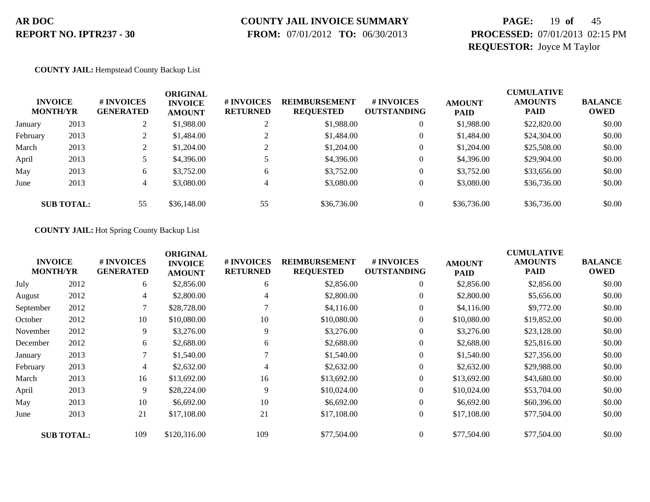# **COUNTY JAIL INVOICE SUMMARY**

 **FROM:** 07/01/2012 **TO:** 06/30/2013

# **PAGE:** 19 **of** 45 **PROCESSED:** 07/01/2013 02:15 PM **REQUESTOR:** Joyce M Taylor

### **COUNTY JAIL:** Hempstead County Backup List

|          | <b>INVOICE</b><br><b>MONTH/YR</b> | # INVOICES<br><b>GENERATED</b> | ORIGINAL<br><b>INVOICE</b><br><b>AMOUNT</b> | <b># INVOICES</b><br><b>RETURNED</b> | <b>REIMBURSEMENT</b><br><b>REQUESTED</b> | # INVOICES<br><b>OUTSTANDING</b> | <b>AMOUNT</b><br><b>PAID</b> | <b>CUMULATIVE</b><br><b>AMOUNTS</b><br><b>PAID</b> | <b>BALANCE</b><br><b>OWED</b> |
|----------|-----------------------------------|--------------------------------|---------------------------------------------|--------------------------------------|------------------------------------------|----------------------------------|------------------------------|----------------------------------------------------|-------------------------------|
| January  | 2013                              |                                | \$1,988.00                                  | ∠                                    | \$1,988.00                               |                                  | \$1,988.00                   | \$22,820.00                                        | \$0.00                        |
| February | 2013                              |                                | \$1,484.00                                  |                                      | \$1,484.00                               |                                  | \$1,484.00                   | \$24,304.00                                        | \$0.00                        |
| March    | 2013                              | ◠                              | \$1,204.00                                  |                                      | \$1,204.00                               |                                  | \$1,204.00                   | \$25,508.00                                        | \$0.00                        |
| April    | 2013                              |                                | \$4,396.00                                  |                                      | \$4,396.00                               |                                  | \$4,396.00                   | \$29,904.00                                        | \$0.00                        |
| May      | 2013                              | 6                              | \$3,752.00                                  | 6                                    | \$3,752.00                               |                                  | \$3,752.00                   | \$33,656.00                                        | \$0.00                        |
| June     | 2013                              | 4                              | \$3,080.00                                  |                                      | \$3,080.00                               |                                  | \$3,080.00                   | \$36,736.00                                        | \$0.00                        |
|          | <b>SUB TOTAL:</b>                 | 55                             | \$36,148.00                                 | 55                                   | \$36,736.00                              |                                  | \$36,736.00                  | \$36,736.00                                        | \$0.00                        |

### **COUNTY JAIL:** Hot Spring County Backup List

|           | <b>INVOICE</b><br><b>MONTH/YR</b> | # INVOICES<br><b>GENERATED</b> | <b>ORIGINAL</b><br><b>INVOICE</b><br><b>AMOUNT</b> | # INVOICES<br><b>RETURNED</b> | <b>REIMBURSEMENT</b><br><b>REQUESTED</b> | # INVOICES<br><b>OUTSTANDING</b> | <b>AMOUNT</b><br><b>PAID</b> | <b>CUMULATIVE</b><br><b>AMOUNTS</b><br><b>PAID</b> | <b>BALANCE</b><br><b>OWED</b> |
|-----------|-----------------------------------|--------------------------------|----------------------------------------------------|-------------------------------|------------------------------------------|----------------------------------|------------------------------|----------------------------------------------------|-------------------------------|
| July      | 2012                              | 6                              | \$2,856.00                                         | 6                             | \$2,856.00                               | $\overline{0}$                   | \$2,856.00                   | \$2,856.00                                         | \$0.00                        |
| August    | 2012                              | 4                              | \$2,800.00                                         | 4                             | \$2,800.00                               | $\overline{0}$                   | \$2,800.00                   | \$5,656.00                                         | \$0.00                        |
| September | 2012                              | 7                              | \$28,728.00                                        |                               | \$4,116.00                               | $\overline{0}$                   | \$4,116.00                   | \$9,772.00                                         | \$0.00                        |
| October   | 2012                              | 10                             | \$10,080.00                                        | 10                            | \$10,080.00                              | $\overline{0}$                   | \$10,080.00                  | \$19,852.00                                        | \$0.00                        |
| November  | 2012                              | 9                              | \$3,276.00                                         | 9                             | \$3,276.00                               | 0                                | \$3,276.00                   | \$23,128.00                                        | \$0.00                        |
| December  | 2012                              | 6                              | \$2,688.00                                         | 6                             | \$2,688.00                               | $\overline{0}$                   | \$2,688.00                   | \$25,816.00                                        | \$0.00                        |
| January   | 2013                              | 7                              | \$1,540.00                                         |                               | \$1,540.00                               | $\overline{0}$                   | \$1,540.00                   | \$27,356.00                                        | \$0.00                        |
| February  | 2013                              | 4                              | \$2,632.00                                         | 4                             | \$2,632.00                               | $\overline{0}$                   | \$2,632.00                   | \$29,988.00                                        | \$0.00                        |
| March     | 2013                              | 16                             | \$13,692.00                                        | 16                            | \$13,692.00                              | $\overline{0}$                   | \$13,692.00                  | \$43,680.00                                        | \$0.00                        |
| April     | 2013                              | 9                              | \$28,224.00                                        | 9                             | \$10,024.00                              | $\overline{0}$                   | \$10,024.00                  | \$53,704.00                                        | \$0.00                        |
| May       | 2013                              | 10                             | \$6,692.00                                         | 10                            | \$6,692.00                               | $\overline{0}$                   | \$6,692.00                   | \$60,396.00                                        | \$0.00                        |
| June      | 2013                              | 21                             | \$17,108.00                                        | 21                            | \$17,108.00                              | $\overline{0}$                   | \$17,108.00                  | \$77,504.00                                        | \$0.00                        |
|           | <b>SUB TOTAL:</b>                 | 109                            | \$120,316.00                                       | 109                           | \$77,504.00                              | $\overline{0}$                   | \$77,504.00                  | \$77,504.00                                        | \$0.00                        |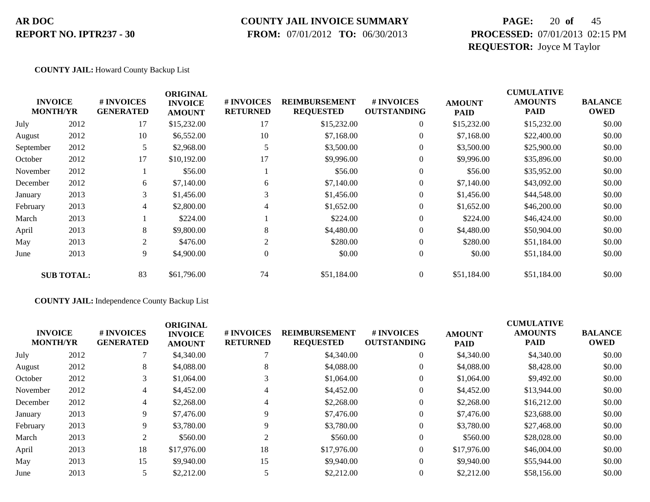### **COUNTY JAIL INVOICE SUMMARY**

 **FROM:** 07/01/2012 **TO:** 06/30/2013

# **PAGE:** 20 **of** 45 **PROCESSED:** 07/01/2013 02:15 PM **REQUESTOR:** Joyce M Taylor

### **COUNTY JAIL:** Howard County Backup List

|           | <b>INVOICE</b><br><b>MONTH/YR</b> | # INVOICES<br><b>GENERATED</b> | <b>ORIGINAL</b><br><b>INVOICE</b><br><b>AMOUNT</b> | # INVOICES<br><b>RETURNED</b> | <b>REIMBURSEMENT</b><br><b>REQUESTED</b> | # INVOICES<br><b>OUTSTANDING</b> | <b>AMOUNT</b><br><b>PAID</b> | <b>CUMULATIVE</b><br><b>AMOUNTS</b><br><b>PAID</b> | <b>BALANCE</b><br><b>OWED</b> |
|-----------|-----------------------------------|--------------------------------|----------------------------------------------------|-------------------------------|------------------------------------------|----------------------------------|------------------------------|----------------------------------------------------|-------------------------------|
| July      | 2012                              | 17                             | \$15,232.00                                        | 17                            | \$15,232.00                              | $\boldsymbol{0}$                 | \$15,232.00                  | \$15,232.00                                        | \$0.00                        |
| August    | 2012                              | 10                             | \$6,552.00                                         | 10                            | \$7,168.00                               | $\overline{0}$                   | \$7,168.00                   | \$22,400.00                                        | \$0.00                        |
| September | 2012                              | 5                              | \$2,968.00                                         | 5                             | \$3,500.00                               | $\overline{0}$                   | \$3,500.00                   | \$25,900.00                                        | \$0.00                        |
| October   | 2012                              | 17                             | \$10,192.00                                        | 17                            | \$9,996.00                               | $\overline{0}$                   | \$9,996.00                   | \$35,896.00                                        | \$0.00                        |
| November  | 2012                              |                                | \$56.00                                            |                               | \$56.00                                  | $\overline{0}$                   | \$56.00                      | \$35,952.00                                        | \$0.00                        |
| December  | 2012                              | 6                              | \$7,140.00                                         | 6                             | \$7,140.00                               | $\overline{0}$                   | \$7,140.00                   | \$43,092.00                                        | \$0.00                        |
| January   | 2013                              | 3                              | \$1,456.00                                         | 3                             | \$1,456.00                               | $\overline{0}$                   | \$1,456.00                   | \$44,548.00                                        | \$0.00                        |
| February  | 2013                              | 4                              | \$2,800.00                                         | $\overline{4}$                | \$1,652.00                               | $\overline{0}$                   | \$1,652.00                   | \$46,200.00                                        | \$0.00                        |
| March     | 2013                              |                                | \$224.00                                           |                               | \$224.00                                 | $\overline{0}$                   | \$224.00                     | \$46,424.00                                        | \$0.00                        |
| April     | 2013                              | 8                              | \$9,800.00                                         | 8                             | \$4,480.00                               | $\overline{0}$                   | \$4,480.00                   | \$50,904.00                                        | \$0.00                        |
| May       | 2013                              | $\overline{2}$                 | \$476.00                                           | $\overline{2}$                | \$280.00                                 | $\overline{0}$                   | \$280.00                     | \$51,184.00                                        | \$0.00                        |
| June      | 2013                              | 9                              | \$4,900.00                                         | 0                             | \$0.00                                   | $\boldsymbol{0}$                 | \$0.00                       | \$51,184.00                                        | \$0.00                        |
|           | <b>SUB TOTAL:</b>                 | 83                             | \$61,796.00                                        | 74                            | \$51,184.00                              | $\overline{0}$                   | \$51,184.00                  | \$51,184.00                                        | \$0.00                        |

### **COUNTY JAIL:** Independence County Backup List

|          | <b>INVOICE</b><br><b>MONTH/YR</b> | <b>#INVOICES</b><br><b>GENERATED</b> | <b>ORIGINAL</b><br><b>INVOICE</b><br><b>AMOUNT</b> | <b># INVOICES</b><br><b>RETURNED</b> | <b>REIMBURSEMENT</b><br><b>REQUESTED</b> | # INVOICES<br><b>OUTSTANDING</b> | <b>AMOUNT</b><br><b>PAID</b> | <b>CUMULATIVE</b><br><b>AMOUNTS</b><br><b>PAID</b> | <b>BALANCE</b><br><b>OWED</b> |
|----------|-----------------------------------|--------------------------------------|----------------------------------------------------|--------------------------------------|------------------------------------------|----------------------------------|------------------------------|----------------------------------------------------|-------------------------------|
| July     | 2012                              |                                      | \$4,340.00                                         |                                      | \$4,340.00                               | $\theta$                         | \$4,340.00                   | \$4,340.00                                         | \$0.00                        |
| August   | 2012                              | 8                                    | \$4,088.00                                         | 8                                    | \$4,088.00                               | $\theta$                         | \$4,088.00                   | \$8,428.00                                         | \$0.00                        |
| October  | 2012                              | 3                                    | \$1,064.00                                         |                                      | \$1,064.00                               |                                  | \$1,064.00                   | \$9,492.00                                         | \$0.00                        |
| November | 2012                              | 4                                    | \$4,452.00                                         | 4                                    | \$4,452.00                               | $\theta$                         | \$4,452.00                   | \$13,944.00                                        | \$0.00                        |
| December | 2012                              | 4                                    | \$2,268.00                                         | 4                                    | \$2,268,00                               | $\theta$                         | \$2,268.00                   | \$16,212.00                                        | \$0.00                        |
| January  | 2013                              | 9                                    | \$7,476.00                                         |                                      | \$7,476.00                               | $\theta$                         | \$7,476.00                   | \$23,688.00                                        | \$0.00                        |
| February | 2013                              | 9                                    | \$3,780.00                                         |                                      | \$3,780.00                               | $\theta$                         | \$3,780.00                   | \$27,468.00                                        | \$0.00                        |
| March    | 2013                              | 2                                    | \$560.00                                           | $\gamma$                             | \$560.00                                 | $\theta$                         | \$560.00                     | \$28,028.00                                        | \$0.00                        |
| April    | 2013                              | 18                                   | \$17,976.00                                        | 18                                   | \$17,976.00                              | $\theta$                         | \$17,976.00                  | \$46,004.00                                        | \$0.00                        |
| May      | 2013                              | 15                                   | \$9,940.00                                         | 15                                   | \$9,940.00                               | $\Omega$                         | \$9,940.00                   | \$55,944.00                                        | \$0.00                        |
| June     | 2013                              |                                      | \$2,212.00                                         |                                      | \$2,212.00                               |                                  | \$2,212.00                   | \$58,156.00                                        | \$0.00                        |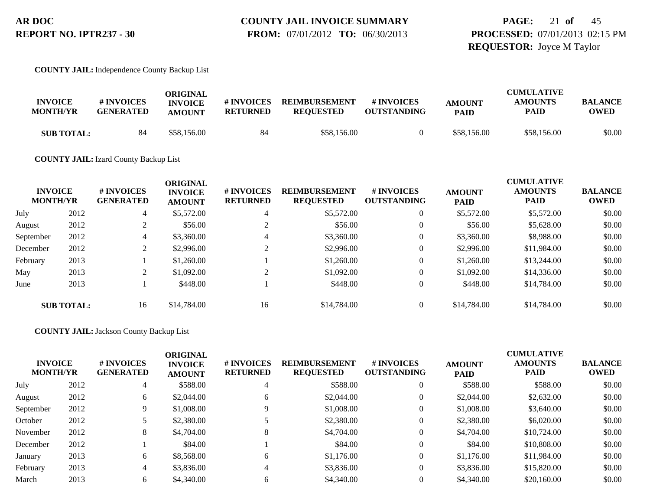# **PAGE:** 21 **of** 45 **PROCESSED:** 07/01/2013 02:15 PM **REQUESTOR:** Joyce M Taylor

### **COUNTY JAIL:** Independence County Backup List

| <b>INVOICE</b><br><b>MONTH/YR</b> | # INVOICES<br><b>GENERATED</b> | ORIGINAL<br><b>INVOICE</b><br><b>AMOUNT</b> | # INVOICES<br><b>RETURNED</b> | <b>REIMBURSEMENT</b><br><b>REQUESTED</b> | # INVOICES<br><b>OUTSTANDING</b> | <b>AMOUNT</b><br><b>PAID</b> | <b>CUMULATIVE</b><br><b>AMOUNTS</b><br><b>PAID</b> | <b>BALANCE</b><br><b>OWED</b> |
|-----------------------------------|--------------------------------|---------------------------------------------|-------------------------------|------------------------------------------|----------------------------------|------------------------------|----------------------------------------------------|-------------------------------|
| <b>SUB TOTAL:</b>                 | 84                             | \$58,156.00                                 | 84                            | \$58,156.00                              |                                  | \$58,156.00                  | \$58,156.00                                        | \$0.00                        |

**COUNTY JAIL:** Izard County Backup List

| <b>INVOICE</b><br><b>MONTH/YR</b> |                   | # INVOICES<br><b>GENERATED</b> | ORIGINAL<br><b>INVOICE</b><br><b>AMOUNT</b> | # INVOICES<br><b>RETURNED</b> | <b>REIMBURSEMENT</b><br><b>REQUESTED</b> | # INVOICES<br><b>OUTSTANDING</b> | <b>AMOUNT</b><br><b>PAID</b> | <b>CUMULATIVE</b><br><b>AMOUNTS</b><br><b>PAID</b> | <b>BALANCE</b><br><b>OWED</b> |
|-----------------------------------|-------------------|--------------------------------|---------------------------------------------|-------------------------------|------------------------------------------|----------------------------------|------------------------------|----------------------------------------------------|-------------------------------|
| July                              | 2012              | 4                              | \$5,572.00                                  | 4                             | \$5,572.00                               | 0                                | \$5,572.00                   | \$5,572.00                                         | \$0.00                        |
| August                            | 2012              |                                | \$56.00                                     |                               | \$56.00                                  | $\boldsymbol{0}$                 | \$56.00                      | \$5,628.00                                         | \$0.00                        |
| September                         | 2012              | 4                              | \$3,360.00                                  |                               | \$3,360.00                               | 0                                | \$3,360.00                   | \$8,988.00                                         | \$0.00                        |
| December                          | 2012              |                                | \$2,996.00                                  | $\sim$                        | \$2,996.00                               | 0                                | \$2,996.00                   | \$11,984.00                                        | \$0.00                        |
| February                          | 2013              |                                | \$1,260.00                                  |                               | \$1,260.00                               | 0                                | \$1,260.00                   | \$13,244.00                                        | \$0.00                        |
| May                               | 2013              |                                | \$1,092.00                                  |                               | \$1,092.00                               | 0                                | \$1,092.00                   | \$14,336.00                                        | \$0.00                        |
| June                              | 2013              |                                | \$448.00                                    |                               | \$448.00                                 | 0                                | \$448.00                     | \$14,784.00                                        | \$0.00                        |
|                                   | <b>SUB TOTAL:</b> | 16                             | \$14,784.00                                 | 16                            | \$14,784.00                              |                                  | \$14,784.00                  | \$14,784.00                                        | \$0.00                        |

### **COUNTY JAIL:** Jackson County Backup List

| <b>INVOICE</b><br><b>MONTH/YR</b> |      | # INVOICES<br><b>GENERATED</b> | ORIGINAL<br><b>INVOICE</b><br><b>AMOUNT</b> | # INVOICES<br><b>RETURNED</b> | <b>REIMBURSEMENT</b><br><b>REQUESTED</b> | # INVOICES<br><b>OUTSTANDING</b> | <b>AMOUNT</b><br><b>PAID</b> | <b>CUMULATIVE</b><br><b>AMOUNTS</b><br><b>PAID</b> | <b>BALANCE</b><br><b>OWED</b> |
|-----------------------------------|------|--------------------------------|---------------------------------------------|-------------------------------|------------------------------------------|----------------------------------|------------------------------|----------------------------------------------------|-------------------------------|
| July                              | 2012 | 4                              | \$588.00                                    |                               | \$588.00                                 | 0                                | \$588.00                     | \$588.00                                           | \$0.00                        |
| August                            | 2012 | 6                              | \$2,044.00                                  | 6                             | \$2,044.00                               | 0                                | \$2,044.00                   | \$2,632.00                                         | \$0.00                        |
| September                         | 2012 | 9                              | \$1,008.00                                  | 9                             | \$1,008.00                               | 0                                | \$1,008.00                   | \$3,640.00                                         | \$0.00                        |
| October                           | 2012 |                                | \$2,380.00                                  |                               | \$2,380.00                               | 0                                | \$2,380.00                   | \$6,020.00                                         | \$0.00                        |
| November                          | 2012 | 8                              | \$4,704.00                                  | 8                             | \$4,704.00                               | 0                                | \$4,704.00                   | \$10,724.00                                        | \$0.00                        |
| December                          | 2012 |                                | \$84.00                                     |                               | \$84.00                                  | 0                                | \$84.00                      | \$10,808.00                                        | \$0.00                        |
| January                           | 2013 | 6                              | \$8,568.00                                  | 6                             | \$1,176.00                               | 0                                | \$1,176.00                   | \$11,984.00                                        | \$0.00                        |
| February                          | 2013 | 4                              | \$3,836.00                                  | 4                             | \$3,836.00                               | 0                                | \$3,836.00                   | \$15,820.00                                        | \$0.00                        |
| March                             | 2013 | 6                              | \$4,340.00                                  | 6                             | \$4,340.00                               | 0                                | \$4,340.00                   | \$20,160.00                                        | \$0.00                        |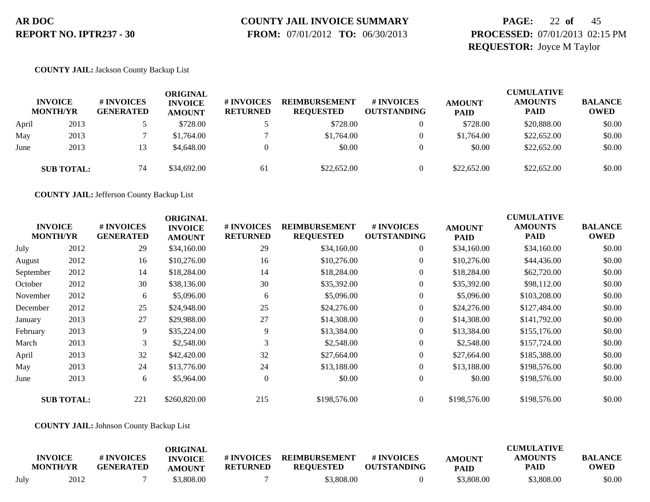# **COUNTY JAIL INVOICE SUMMARY**

 **FROM:** 07/01/2012 **TO:** 06/30/2013

# **PAGE:** 22 **of** 45 **PROCESSED:** 07/01/2013 02:15 PM **REQUESTOR:** Joyce M Taylor

### **COUNTY JAIL:** Jackson County Backup List

|       | <b>INVOICE</b><br><b>MONTH/YR</b> | # INVOICES<br><b>GENERATED</b> | ORIGINAL<br><b>INVOICE</b><br><b>AMOUNT</b> | <b>#INVOICES</b><br><b>RETURNED</b> | <b>REIMBURSEMENT</b><br><b>REOUESTED</b> | # INVOICES<br><b>OUTSTANDING</b> | <b>AMOUNT</b><br><b>PAID</b> | <b>CUMULATIVE</b><br><b>AMOUNTS</b><br><b>PAID</b> | <b>BALANCE</b><br><b>OWED</b> |
|-------|-----------------------------------|--------------------------------|---------------------------------------------|-------------------------------------|------------------------------------------|----------------------------------|------------------------------|----------------------------------------------------|-------------------------------|
| April | 2013                              |                                | \$728.00                                    |                                     | \$728.00                                 |                                  | \$728.00                     | \$20,888.00                                        | \$0.00                        |
| May   | 2013                              |                                | \$1,764.00                                  |                                     | \$1,764.00                               |                                  | \$1,764.00                   | \$22,652.00                                        | \$0.00                        |
| June  | 2013                              | 13                             | \$4,648.00                                  |                                     | \$0.00                                   |                                  | \$0.00                       | \$22,652.00                                        | \$0.00                        |
|       | <b>SUB TOTAL:</b>                 | 74                             | \$34,692.00                                 | 61                                  | \$22,652.00                              |                                  | \$22,652.00                  | \$22,652.00                                        | \$0.00                        |

**COUNTY JAIL:** Jefferson County Backup List

| <b>INVOICE</b><br><b>MONTH/YR</b> |                   | # INVOICES<br><b>GENERATED</b> | <b>ORIGINAL</b><br><b>INVOICE</b><br><b>AMOUNT</b> | # INVOICES<br><b>RETURNED</b> | <b>REIMBURSEMENT</b><br><b>REQUESTED</b> | <b>#INVOICES</b><br><b>OUTSTANDING</b> | <b>AMOUNT</b><br><b>PAID</b> | <b>CUMULATIVE</b><br><b>AMOUNTS</b><br><b>PAID</b> | <b>BALANCE</b><br><b>OWED</b> |
|-----------------------------------|-------------------|--------------------------------|----------------------------------------------------|-------------------------------|------------------------------------------|----------------------------------------|------------------------------|----------------------------------------------------|-------------------------------|
| July                              | 2012              | 29                             | \$34,160.00                                        | 29                            | \$34,160.00                              | $\overline{0}$                         | \$34,160.00                  | \$34,160.00                                        | \$0.00                        |
| August                            | 2012              | 16                             | \$10,276.00                                        | 16                            | \$10,276.00                              | $\overline{0}$                         | \$10,276.00                  | \$44,436.00                                        | \$0.00                        |
| September                         | 2012              | 14                             | \$18,284.00                                        | 14                            | \$18,284.00                              | $\boldsymbol{0}$                       | \$18,284.00                  | \$62,720.00                                        | \$0.00                        |
| October                           | 2012              | 30                             | \$38,136.00                                        | 30                            | \$35,392.00                              | $\overline{0}$                         | \$35,392.00                  | \$98,112.00                                        | \$0.00                        |
| November                          | 2012              | 6                              | \$5,096.00                                         | 6                             | \$5,096.00                               | $\overline{0}$                         | \$5,096.00                   | \$103,208.00                                       | \$0.00                        |
| December                          | 2012              | 25                             | \$24,948.00                                        | 25                            | \$24,276.00                              | $\overline{0}$                         | \$24,276.00                  | \$127,484.00                                       | \$0.00                        |
| January                           | 2013              | 27                             | \$29,988.00                                        | 27                            | \$14,308.00                              | $\overline{0}$                         | \$14,308.00                  | \$141,792.00                                       | \$0.00                        |
| February                          | 2013              | 9                              | \$35,224.00                                        | 9                             | \$13,384.00                              | $\overline{0}$                         | \$13,384.00                  | \$155,176.00                                       | \$0.00                        |
| March                             | 2013              | 3                              | \$2,548.00                                         | 3                             | \$2,548.00                               | $\overline{0}$                         | \$2,548.00                   | \$157,724.00                                       | \$0.00                        |
| April                             | 2013              | 32                             | \$42,420.00                                        | 32                            | \$27,664.00                              | $\overline{0}$                         | \$27,664.00                  | \$185,388.00                                       | \$0.00                        |
| May                               | 2013              | 24                             | \$13,776.00                                        | 24                            | \$13,188.00                              | $\overline{0}$                         | \$13,188.00                  | \$198,576.00                                       | \$0.00                        |
| June                              | 2013              | 6                              | \$5,964.00                                         | $\mathbf{0}$                  | \$0.00                                   | $\boldsymbol{0}$                       | \$0.00                       | \$198,576.00                                       | \$0.00                        |
|                                   | <b>SUB TOTAL:</b> | 221                            | \$260,820.00                                       | 215                           | \$198,576.00                             | $\overline{0}$                         | \$198,576.00                 | \$198,576.00                                       | \$0.00                        |

### **COUNTY JAIL:** Johnson County Backup List

|      | <b>INVOICE</b><br><b>MONTH/YR</b> | # INVOICES<br><b>GENERATED</b> | ORIGINAL<br><b>INVOICE</b><br><b>AMOUNT</b> | # INVOICES<br><b>RETURNED</b> | <b>REIMBURSEMENT</b><br><b>REQUESTED</b> | # INVOICES<br><b>OUTSTANDING</b> | <b>AMOUNT</b><br><b>PAID</b> | <b>CUMULATIVE</b><br><b>AMOUNTS</b><br>PAID | <b>BALANCE</b><br><b>OWED</b> |
|------|-----------------------------------|--------------------------------|---------------------------------------------|-------------------------------|------------------------------------------|----------------------------------|------------------------------|---------------------------------------------|-------------------------------|
| July | 2012                              |                                | \$3,808.00                                  |                               | \$3,808.00                               |                                  | \$3,808.00                   | \$3,808.00                                  | \$0.00                        |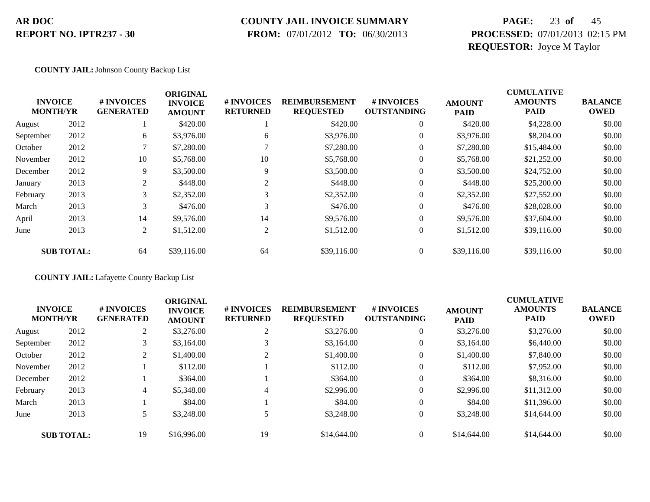### **COUNTY JAIL INVOICE SUMMARY**

 **FROM:** 07/01/2012 **TO:** 06/30/2013

# **PAGE:** 23 **of** 45 **PROCESSED:** 07/01/2013 02:15 PM **REQUESTOR:** Joyce M Taylor

### **COUNTY JAIL:** Johnson County Backup List

|                                   |                   |                                | <b>ORIGINAL</b>                 |                               |                                          |                                  |                              | <b>CUMULATIVE</b>             |                               |
|-----------------------------------|-------------------|--------------------------------|---------------------------------|-------------------------------|------------------------------------------|----------------------------------|------------------------------|-------------------------------|-------------------------------|
| <b>INVOICE</b><br><b>MONTH/YR</b> |                   | # INVOICES<br><b>GENERATED</b> | <b>INVOICE</b><br><b>AMOUNT</b> | # INVOICES<br><b>RETURNED</b> | <b>REIMBURSEMENT</b><br><b>REQUESTED</b> | # INVOICES<br><b>OUTSTANDING</b> | <b>AMOUNT</b><br><b>PAID</b> | <b>AMOUNTS</b><br><b>PAID</b> | <b>BALANCE</b><br><b>OWED</b> |
| August                            | 2012              |                                | \$420.00                        |                               | \$420.00                                 | $\theta$                         | \$420.00                     | \$4,228.00                    | \$0.00                        |
| September                         | 2012              | 6                              | \$3,976.00                      | 6                             | \$3,976.00                               | $\overline{0}$                   | \$3,976.00                   | \$8,204.00                    | \$0.00                        |
| October                           | 2012              |                                | \$7,280.00                      |                               | \$7,280.00                               | 0                                | \$7,280.00                   | \$15,484.00                   | \$0.00                        |
| November                          | 2012              | 10                             | \$5,768.00                      | 10                            | \$5,768.00                               | $\theta$                         | \$5,768.00                   | \$21,252.00                   | \$0.00                        |
| December                          | 2012              | 9                              | \$3,500.00                      | 9                             | \$3,500.00                               | $\overline{0}$                   | \$3,500.00                   | \$24,752.00                   | \$0.00                        |
| January                           | 2013              | 2                              | \$448.00                        | 2                             | \$448.00                                 | $\overline{0}$                   | \$448.00                     | \$25,200.00                   | \$0.00                        |
| February                          | 2013              | $\rightarrow$                  | \$2,352.00                      | $\rightarrow$                 | \$2,352.00                               | $\overline{0}$                   | \$2,352.00                   | \$27,552.00                   | \$0.00                        |
| March                             | 2013              | 3                              | \$476.00                        | 3                             | \$476.00                                 | $\overline{0}$                   | \$476.00                     | \$28,028.00                   | \$0.00                        |
| April                             | 2013              | 14                             | \$9,576.00                      | 14                            | \$9,576.00                               | $\overline{0}$                   | \$9,576.00                   | \$37,604.00                   | \$0.00                        |
| June                              | 2013              | 2                              | \$1,512.00                      | $\overline{2}$                | \$1,512.00                               | $\overline{0}$                   | \$1,512.00                   | \$39,116.00                   | \$0.00                        |
|                                   | <b>SUB TOTAL:</b> | 64                             | \$39,116.00                     | 64                            | \$39,116.00                              | 0                                | \$39,116.00                  | \$39,116.00                   | \$0.00                        |

### **COUNTY JAIL:** Lafayette County Backup List

|           | <b>INVOICE</b><br><b>MONTH/YR</b> | # INVOICES<br><b>GENERATED</b> | <b>ORIGINAL</b><br><b>INVOICE</b><br><b>AMOUNT</b> | # INVOICES<br><b>RETURNED</b> | <b>REIMBURSEMENT</b><br><b>REQUESTED</b> | <b>#INVOICES</b><br><b>OUTSTANDING</b> | <b>AMOUNT</b><br><b>PAID</b> | <b>CUMULATIVE</b><br><b>AMOUNTS</b><br><b>PAID</b> | <b>BALANCE</b><br><b>OWED</b> |
|-----------|-----------------------------------|--------------------------------|----------------------------------------------------|-------------------------------|------------------------------------------|----------------------------------------|------------------------------|----------------------------------------------------|-------------------------------|
| August    | 2012                              |                                | \$3,276.00                                         | $\overline{2}$                | \$3,276.00                               | $\overline{0}$                         | \$3,276.00                   | \$3,276.00                                         | \$0.00                        |
| September | 2012                              | 3                              | \$3,164.00                                         |                               | \$3,164.00                               | $\overline{0}$                         | \$3,164.00                   | \$6,440.00                                         | \$0.00                        |
| October   | 2012                              | $\overline{2}$                 | \$1,400.00                                         | 2                             | \$1,400.00                               | $\overline{0}$                         | \$1,400.00                   | \$7,840.00                                         | \$0.00                        |
| November  | 2012                              |                                | \$112.00                                           |                               | \$112.00                                 | $\overline{0}$                         | \$112.00                     | \$7,952.00                                         | \$0.00                        |
| December  | 2012                              |                                | \$364.00                                           |                               | \$364.00                                 | $\overline{0}$                         | \$364.00                     | \$8,316.00                                         | \$0.00                        |
| February  | 2013                              | 4                              | \$5,348.00                                         | 4                             | \$2,996.00                               | $\overline{0}$                         | \$2,996.00                   | \$11,312.00                                        | \$0.00                        |
| March     | 2013                              |                                | \$84.00                                            |                               | \$84.00                                  | $\overline{0}$                         | \$84.00                      | \$11,396.00                                        | \$0.00                        |
| June      | 2013                              |                                | \$3,248.00                                         |                               | \$3,248.00                               | $\overline{0}$                         | \$3,248.00                   | \$14,644.00                                        | \$0.00                        |
|           | <b>SUB TOTAL:</b>                 | 19                             | \$16,996.00                                        | 19                            | \$14,644.00                              | $\Omega$                               | \$14,644.00                  | \$14,644.00                                        | \$0.00                        |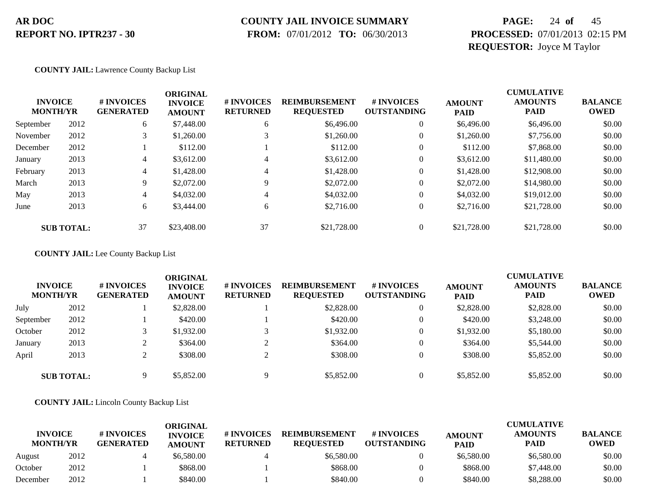### **COUNTY JAIL INVOICE SUMMARY**

 **FROM:** 07/01/2012 **TO:** 06/30/2013

# **PAGE:** 24 **of** 45 **PROCESSED:** 07/01/2013 02:15 PM **REQUESTOR:** Joyce M Taylor

### **COUNTY JAIL:** Lawrence County Backup List

| <b>INVOICE</b><br><b>MONTH/YR</b> |                   | # INVOICES<br><b>GENERATED</b> | <b>ORIGINAL</b><br><b>INVOICE</b><br><b>AMOUNT</b> | # INVOICES<br><b>RETURNED</b> | <b>REIMBURSEMENT</b><br><b>REQUESTED</b> | # INVOICES<br><b>OUTSTANDING</b> | <b>AMOUNT</b><br><b>PAID</b> | <b>CUMULATIVE</b><br><b>AMOUNTS</b><br><b>PAID</b> | <b>BALANCE</b><br><b>OWED</b> |
|-----------------------------------|-------------------|--------------------------------|----------------------------------------------------|-------------------------------|------------------------------------------|----------------------------------|------------------------------|----------------------------------------------------|-------------------------------|
| September                         | 2012              | 6                              | \$7,448.00                                         | 6                             | \$6,496.00                               | $\theta$                         | \$6,496.00                   | \$6,496.00                                         | \$0.00                        |
| November                          | 2012              | 3                              | \$1,260.00                                         |                               | \$1,260.00                               | $\theta$                         | \$1,260.00                   | \$7,756.00                                         | \$0.00                        |
| December                          | 2012              |                                | \$112.00                                           |                               | \$112.00                                 | 0                                | \$112.00                     | \$7,868.00                                         | \$0.00                        |
| January                           | 2013              | 4                              | \$3,612.00                                         | 4                             | \$3,612.00                               | 0                                | \$3,612.00                   | \$11,480.00                                        | \$0.00                        |
| February                          | 2013              | 4                              | \$1,428.00                                         |                               | \$1,428.00                               | $\theta$                         | \$1,428.00                   | \$12,908.00                                        | \$0.00                        |
| March                             | 2013              | 9                              | \$2,072.00                                         | 9                             | \$2,072.00                               | $\theta$                         | \$2,072.00                   | \$14,980.00                                        | \$0.00                        |
| May                               | 2013              | 4                              | \$4,032.00                                         | 4                             | \$4,032.00                               | $\theta$                         | \$4,032.00                   | \$19,012.00                                        | \$0.00                        |
| June                              | 2013              | 6                              | \$3,444.00                                         | 6                             | \$2,716.00                               | $\theta$                         | \$2,716.00                   | \$21,728.00                                        | \$0.00                        |
|                                   | <b>SUB TOTAL:</b> | 37                             | \$23,408.00                                        | 37                            | \$21,728.00                              |                                  | \$21,728.00                  | \$21,728.00                                        | \$0.00                        |

### **COUNTY JAIL:** Lee County Backup List

| <b>INVOICE</b><br><b>MONTH/YR</b> |                   | # INVOICES<br><b>GENERATED</b> | ORIGINAL<br><b>INVOICE</b><br><b>AMOUNT</b> | # INVOICES<br><b>RETURNED</b> | <b>REIMBURSEMENT</b><br><b>REQUESTED</b> | # INVOICES<br><b>OUTSTANDING</b> | <b>AMOUNT</b><br><b>PAID</b> | <b>CUMULATIVE</b><br><b>AMOUNTS</b><br><b>PAID</b> | <b>BALANCE</b><br><b>OWED</b> |
|-----------------------------------|-------------------|--------------------------------|---------------------------------------------|-------------------------------|------------------------------------------|----------------------------------|------------------------------|----------------------------------------------------|-------------------------------|
| July                              | 2012              |                                | \$2,828.00                                  |                               | \$2,828.00                               |                                  | \$2,828.00                   | \$2,828.00                                         | \$0.00                        |
| September                         | 2012              |                                | \$420.00                                    |                               | \$420.00                                 |                                  | \$420.00                     | \$3,248.00                                         | \$0.00                        |
| October                           | 2012              |                                | \$1,932.00                                  |                               | \$1,932.00                               |                                  | \$1,932.00                   | \$5,180.00                                         | \$0.00                        |
| January                           | 2013              |                                | \$364.00                                    |                               | \$364.00                                 |                                  | \$364.00                     | \$5,544.00                                         | \$0.00                        |
| April                             | 2013              |                                | \$308.00                                    |                               | \$308.00                                 |                                  | \$308.00                     | \$5,852.00                                         | \$0.00                        |
|                                   | <b>SUB TOTAL:</b> | Q                              | \$5,852.00                                  |                               | \$5,852.00                               |                                  | \$5,852.00                   | \$5,852.00                                         | \$0.00                        |

### **COUNTY JAIL:** Lincoln County Backup List

|                                   |      |                                | ORIGINAL                        |                               |                                          |                                        |                              | <b>CUMULATIVE</b>             |                               |
|-----------------------------------|------|--------------------------------|---------------------------------|-------------------------------|------------------------------------------|----------------------------------------|------------------------------|-------------------------------|-------------------------------|
| <b>INVOICE</b><br><b>MONTH/YR</b> |      | # INVOICES<br><b>GENERATED</b> | <b>INVOICE</b><br><b>AMOUNT</b> | # INVOICES<br><b>RETURNED</b> | <b>REIMBURSEMENT</b><br><b>REOUESTED</b> | <b>#INVOICES</b><br><b>OUTSTANDING</b> | <b>AMOUNT</b><br><b>PAID</b> | <b>AMOUNTS</b><br><b>PAID</b> | <b>BALANCE</b><br><b>OWED</b> |
| August                            | 2012 |                                | \$6,580.00                      |                               | \$6,580.00                               |                                        | \$6,580.00                   | \$6,580.00                    | \$0.00                        |
| October                           | 2012 |                                | \$868.00                        |                               | \$868.00                                 |                                        | \$868.00                     | \$7,448.00                    | \$0.00                        |
| December                          | 2012 |                                | \$840.00                        |                               | \$840.00                                 |                                        | \$840.00                     | \$8,288.00                    | \$0.00                        |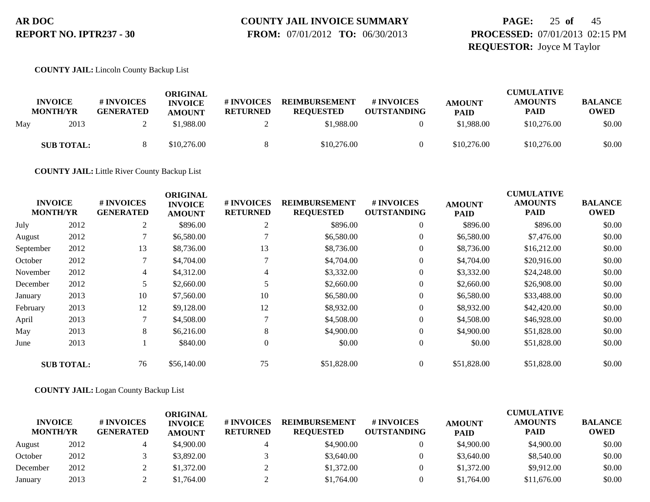# **COUNTY JAIL INVOICE SUMMARY**

 **FROM:** 07/01/2012 **TO:** 06/30/2013

# **PAGE:** 25 **of** 45 **PROCESSED:** 07/01/2013 02:15 PM **REQUESTOR:** Joyce M Taylor

**COUNTY JAIL:** Lincoln County Backup List

|     | <b>INVOICE</b><br><b>MONTH/YR</b> | # INVOICES<br><b>GENERATED</b> | ORIGINAL<br><b>INVOICE</b><br><b>AMOUNT</b> | <b>#INVOICES</b><br><b>RETURNED</b> | <b>REIMBURSEMENT</b><br><b>REOUESTED</b> | # INVOICES<br><b>OUTSTANDING</b> | <b>AMOUNT</b><br><b>PAID</b> | <b>CUMULATIVE</b><br><b>AMOUNTS</b><br><b>PAID</b> | <b>BALANCE</b><br><b>OWED</b> |
|-----|-----------------------------------|--------------------------------|---------------------------------------------|-------------------------------------|------------------------------------------|----------------------------------|------------------------------|----------------------------------------------------|-------------------------------|
| May | 2013                              |                                | \$1,988.00                                  |                                     | \$1,988.00                               |                                  | \$1,988.00                   | \$10,276.00                                        | \$0.00                        |
|     | <b>SUB TOTAL:</b>                 |                                | \$10,276.00                                 |                                     | \$10,276.00                              |                                  | \$10,276.00                  | \$10,276.00                                        | \$0.00                        |

**COUNTY JAIL:** Little River County Backup List

|                                   |                   |                                | <b>ORIGINAL</b>                 |                               |                                          |                                  |                              | <b>CUMULATIVE</b>             |                               |
|-----------------------------------|-------------------|--------------------------------|---------------------------------|-------------------------------|------------------------------------------|----------------------------------|------------------------------|-------------------------------|-------------------------------|
| <b>INVOICE</b><br><b>MONTH/YR</b> |                   | # INVOICES<br><b>GENERATED</b> | <b>INVOICE</b><br><b>AMOUNT</b> | # INVOICES<br><b>RETURNED</b> | <b>REIMBURSEMENT</b><br><b>REQUESTED</b> | # INVOICES<br><b>OUTSTANDING</b> | <b>AMOUNT</b><br><b>PAID</b> | <b>AMOUNTS</b><br><b>PAID</b> | <b>BALANCE</b><br><b>OWED</b> |
| July                              | 2012              | 2                              | \$896.00                        | 2                             | \$896.00                                 | $\theta$                         | \$896.00                     | \$896.00                      | \$0.00                        |
| August                            | 2012              |                                | \$6,580.00                      |                               | \$6,580.00                               | 0                                | \$6,580.00                   | \$7,476.00                    | \$0.00                        |
| September                         | 2012              | 13                             | \$8,736.00                      | 13                            | \$8,736.00                               | 0                                | \$8,736.00                   | \$16,212.00                   | \$0.00                        |
| October                           | 2012              | $\mathcal{I}$                  | \$4,704.00                      |                               | \$4,704.00                               | $\overline{0}$                   | \$4,704.00                   | \$20,916.00                   | \$0.00                        |
| November                          | 2012              | 4                              | \$4,312.00                      | 4                             | \$3,332.00                               | $\overline{0}$                   | \$3,332.00                   | \$24,248.00                   | \$0.00                        |
| December                          | 2012              |                                | \$2,660.00                      |                               | \$2,660.00                               | $\overline{0}$                   | \$2,660.00                   | \$26,908.00                   | \$0.00                        |
| January                           | 2013              | 10                             | \$7,560.00                      | 10                            | \$6,580.00                               | $\overline{0}$                   | \$6,580.00                   | \$33,488.00                   | \$0.00                        |
| February                          | 2013              | 12                             | \$9,128.00                      | 12                            | \$8,932.00                               | $\overline{0}$                   | \$8,932.00                   | \$42,420.00                   | \$0.00                        |
| April                             | 2013              | $\mathcal{I}$                  | \$4,508.00                      |                               | \$4,508.00                               | $\theta$                         | \$4,508.00                   | \$46,928.00                   | \$0.00                        |
| May                               | 2013              | 8                              | \$6,216.00                      | 8                             | \$4,900.00                               | 0                                | \$4,900.00                   | \$51,828.00                   | \$0.00                        |
| June                              | 2013              |                                | \$840.00                        | $\overline{0}$                | \$0.00                                   | $\overline{0}$                   | \$0.00                       | \$51,828.00                   | \$0.00                        |
|                                   | <b>SUB TOTAL:</b> | 76                             | \$56,140.00                     | 75                            | \$51,828.00                              | $\overline{0}$                   | \$51,828.00                  | \$51,828.00                   | \$0.00                        |

### **COUNTY JAIL:** Logan County Backup List

| <b>INVOICE</b><br><b>MONTH/YR</b> |      | # INVOICES<br><b>GENERATED</b> | ORIGINAL<br><b>INVOICE</b><br><b>AMOUNT</b> | # INVOICES<br><b>RETURNED</b> | <b>REIMBURSEMENT</b><br><b>REOUESTED</b> | # INVOICES<br><b>OUTSTANDING</b> | <b>AMOUNT</b><br><b>PAID</b> | <b>CUMULATIVE</b><br><b>AMOUNTS</b><br><b>PAID</b> | <b>BALANCE</b><br><b>OWED</b> |
|-----------------------------------|------|--------------------------------|---------------------------------------------|-------------------------------|------------------------------------------|----------------------------------|------------------------------|----------------------------------------------------|-------------------------------|
| August                            | 2012 |                                | \$4,900.00                                  |                               | \$4,900.00                               |                                  | \$4,900.00                   | \$4,900.00                                         | \$0.00                        |
| October                           | 2012 |                                | \$3,892.00                                  |                               | \$3,640.00                               |                                  | \$3,640.00                   | \$8,540.00                                         | \$0.00                        |
| December                          | 2012 |                                | \$1,372.00                                  |                               | \$1,372.00                               |                                  | \$1,372.00                   | \$9,912.00                                         | \$0.00                        |
| January                           | 2013 |                                | \$1,764.00                                  |                               | \$1,764.00                               |                                  | \$1,764.00                   | \$11,676.00                                        | \$0.00                        |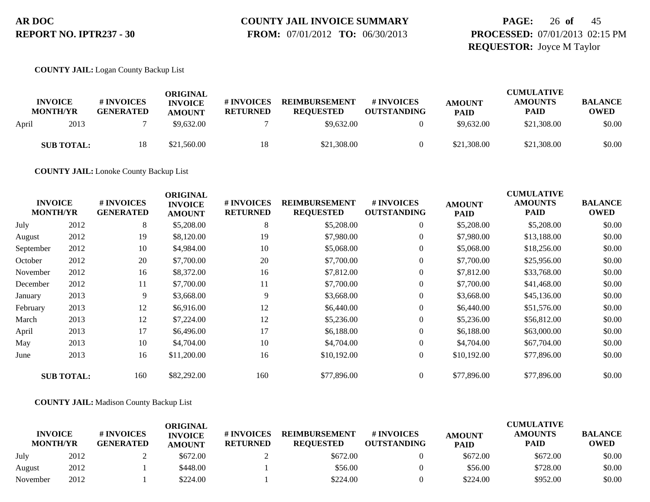# **COUNTY JAIL INVOICE SUMMARY**

 **FROM:** 07/01/2012 **TO:** 06/30/2013

# **PAGE:** 26 **of** 45 **PROCESSED:** 07/01/2013 02:15 PM **REQUESTOR:** Joyce M Taylor

### **COUNTY JAIL:** Logan County Backup List

| <b>INVOICE</b><br><b>MONTH/YR</b> | # INVOICES<br><b>GENERATED</b> | ORIGINAL<br><b>INVOICE</b><br><b>AMOUNT</b> | # INVOICES<br><b>RETURNED</b> | <b>REIMBURSEMENT</b><br><b>REQUESTED</b> | # INVOICES<br><b>OUTSTANDING</b> | <b>AMOUNT</b><br><b>PAID</b> | <b>CUMULATIVE</b><br><b>AMOUNTS</b><br><b>PAID</b> | <b>BALANCE</b><br><b>OWED</b> |
|-----------------------------------|--------------------------------|---------------------------------------------|-------------------------------|------------------------------------------|----------------------------------|------------------------------|----------------------------------------------------|-------------------------------|
| 2013<br>April                     |                                | \$9,632.00                                  |                               | \$9,632.00                               |                                  | \$9,632.00                   | \$21,308.00                                        | \$0.00                        |
| <b>SUB TOTAL:</b>                 |                                | \$21,560.00                                 | 18                            | \$21,308.00                              |                                  | \$21,308.00                  | \$21,308.00                                        | \$0.00                        |

**COUNTY JAIL:** Lonoke County Backup List

| <b>INVOICE</b><br><b>MONTH/YR</b> |                   | # INVOICES<br><b>GENERATED</b> | <b>ORIGINAL</b><br><b>INVOICE</b><br><b>AMOUNT</b> | # INVOICES<br><b>RETURNED</b> | <b>REIMBURSEMENT</b><br><b>REQUESTED</b> | # INVOICES<br><b>OUTSTANDING</b> | <b>AMOUNT</b><br><b>PAID</b> | <b>CUMULATIVE</b><br><b>AMOUNTS</b><br><b>PAID</b> | <b>BALANCE</b><br><b>OWED</b> |
|-----------------------------------|-------------------|--------------------------------|----------------------------------------------------|-------------------------------|------------------------------------------|----------------------------------|------------------------------|----------------------------------------------------|-------------------------------|
| July                              | 2012              | 8                              | \$5,208.00                                         | 8                             | \$5,208.00                               | $\boldsymbol{0}$                 | \$5,208.00                   | \$5,208.00                                         | \$0.00                        |
| August                            | 2012              | 19                             | \$8,120.00                                         | 19                            | \$7,980.00                               | $\boldsymbol{0}$                 | \$7,980.00                   | \$13,188.00                                        | \$0.00                        |
| September                         | 2012              | 10                             | \$4,984.00                                         | 10                            | \$5,068.00                               | $\overline{0}$                   | \$5,068.00                   | \$18,256.00                                        | \$0.00                        |
| October                           | 2012              | 20                             | \$7,700.00                                         | 20                            | \$7,700.00                               | $\boldsymbol{0}$                 | \$7,700.00                   | \$25,956.00                                        | \$0.00                        |
| November                          | 2012              | 16                             | \$8,372.00                                         | 16                            | \$7,812.00                               | $\mathbf{0}$                     | \$7,812.00                   | \$33,768.00                                        | \$0.00                        |
| December                          | 2012              | 11                             | \$7,700.00                                         | 11                            | \$7,700.00                               | $\overline{0}$                   | \$7,700.00                   | \$41,468.00                                        | \$0.00                        |
| January                           | 2013              | 9                              | \$3,668.00                                         | 9                             | \$3,668.00                               | $\boldsymbol{0}$                 | \$3,668.00                   | \$45,136.00                                        | \$0.00                        |
| February                          | 2013              | 12                             | \$6,916.00                                         | 12                            | \$6,440.00                               | $\mathbf{0}$                     | \$6,440.00                   | \$51,576.00                                        | \$0.00                        |
| March                             | 2013              | 12                             | \$7,224.00                                         | 12                            | \$5,236.00                               | $\overline{0}$                   | \$5,236.00                   | \$56,812.00                                        | \$0.00                        |
| April                             | 2013              | 17                             | \$6,496.00                                         | 17                            | \$6,188.00                               | $\overline{0}$                   | \$6,188.00                   | \$63,000.00                                        | \$0.00                        |
| May                               | 2013              | 10                             | \$4,704.00                                         | 10                            | \$4,704.00                               | $\overline{0}$                   | \$4,704.00                   | \$67,704.00                                        | \$0.00                        |
| June                              | 2013              | 16                             | \$11,200.00                                        | 16                            | \$10,192.00                              | $\overline{0}$                   | \$10,192.00                  | \$77,896.00                                        | \$0.00                        |
|                                   | <b>SUB TOTAL:</b> | 160                            | \$82,292.00                                        | 160                           | \$77,896.00                              | $\overline{0}$                   | \$77,896.00                  | \$77,896.00                                        | \$0.00                        |

### **COUNTY JAIL:** Madison County Backup List

|                                   |      |                                | ORIGINAL                        |                               |                                          |                                  |                              | <b>CUMULATIVE</b>             |                               |
|-----------------------------------|------|--------------------------------|---------------------------------|-------------------------------|------------------------------------------|----------------------------------|------------------------------|-------------------------------|-------------------------------|
| <b>INVOICE</b><br><b>MONTH/YR</b> |      | # INVOICES<br><b>GENERATED</b> | <b>INVOICE</b><br><b>AMOUNT</b> | # INVOICES<br><b>RETURNED</b> | <b>REIMBURSEMENT</b><br><b>REOUESTED</b> | # INVOICES<br><b>OUTSTANDING</b> | <b>AMOUNT</b><br><b>PAID</b> | <b>AMOUNTS</b><br><b>PAID</b> | <b>BALANCE</b><br><b>OWED</b> |
| July                              | 2012 |                                | \$672.00                        |                               | \$672.00                                 |                                  | \$672.00                     | \$672.00                      | \$0.00                        |
| August                            | 2012 |                                | \$448.00                        |                               | \$56.00                                  |                                  | \$56.00                      | \$728.00                      | \$0.00                        |
| November                          | 2012 |                                | \$224.00                        |                               | \$224.00                                 |                                  | \$224.00                     | \$952.00                      | \$0.00                        |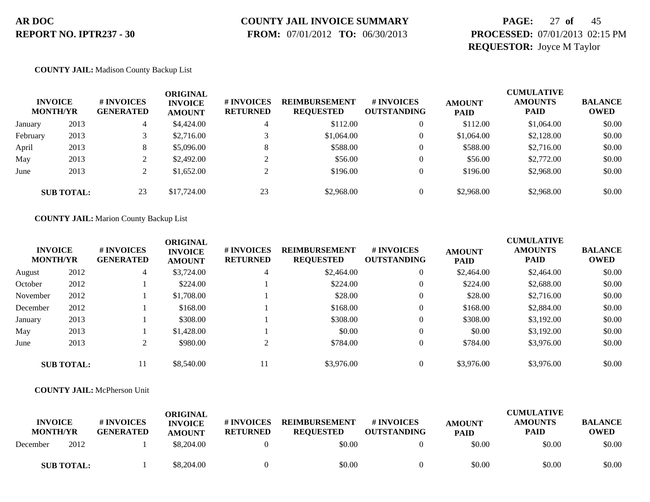# **COUNTY JAIL INVOICE SUMMARY**

 **FROM:** 07/01/2012 **TO:** 06/30/2013

# **PAGE:** 27 **of** 45 **PROCESSED:** 07/01/2013 02:15 PM **REQUESTOR:** Joyce M Taylor

### **COUNTY JAIL:** Madison County Backup List

|          | <b>INVOICE</b><br><b>MONTH/YR</b> | # INVOICES<br><b>GENERATED</b> | ORIGINAL<br><b>INVOICE</b><br><b>AMOUNT</b> | # INVOICES<br><b>RETURNED</b> | <b>REIMBURSEMENT</b><br><b>REQUESTED</b> | # INVOICES<br><b>OUTSTANDING</b> | <b>AMOUNT</b><br><b>PAID</b> | <b>CUMULATIVE</b><br><b>AMOUNTS</b><br><b>PAID</b> | <b>BALANCE</b><br><b>OWED</b> |
|----------|-----------------------------------|--------------------------------|---------------------------------------------|-------------------------------|------------------------------------------|----------------------------------|------------------------------|----------------------------------------------------|-------------------------------|
| January  | 2013                              | 4                              | \$4,424.00                                  |                               | \$112.00                                 |                                  | \$112.00                     | \$1,064.00                                         | \$0.00                        |
| February | 2013                              |                                | \$2,716.00                                  |                               | \$1,064.00                               |                                  | \$1,064.00                   | \$2,128.00                                         | \$0.00                        |
| April    | 2013                              | 8                              | \$5,096.00                                  | 8                             | \$588.00                                 |                                  | \$588.00                     | \$2,716.00                                         | \$0.00                        |
| May      | 2013                              |                                | \$2,492.00                                  |                               | \$56.00                                  |                                  | \$56.00                      | \$2,772.00                                         | \$0.00                        |
| June     | 2013                              |                                | \$1,652.00                                  |                               | \$196.00                                 |                                  | \$196.00                     | \$2,968.00                                         | \$0.00                        |
|          | <b>SUB TOTAL:</b>                 | 23                             | \$17,724.00                                 | 23                            | \$2,968.00                               |                                  | \$2,968.00                   | \$2,968.00                                         | \$0.00                        |

### **COUNTY JAIL:** Marion County Backup List

| <b>INVOICE</b><br><b>MONTH/YR</b> |                   | # INVOICES<br><b>GENERATED</b> | <b>ORIGINAL</b><br><b>INVOICE</b><br><b>AMOUNT</b> | # INVOICES<br><b>RETURNED</b> | <b>REIMBURSEMENT</b><br><b>REQUESTED</b> | # INVOICES<br><b>OUTSTANDING</b> | <b>AMOUNT</b><br><b>PAID</b> | <b>CUMULATIVE</b><br><b>AMOUNTS</b><br><b>PAID</b> | <b>BALANCE</b><br><b>OWED</b> |
|-----------------------------------|-------------------|--------------------------------|----------------------------------------------------|-------------------------------|------------------------------------------|----------------------------------|------------------------------|----------------------------------------------------|-------------------------------|
| August                            | 2012              | 4                              | \$3,724.00                                         | 4                             | \$2,464.00                               | $\theta$                         | \$2,464.00                   | \$2,464.00                                         | \$0.00                        |
| October                           | 2012              |                                | \$224.00                                           |                               | \$224.00                                 | $\theta$                         | \$224.00                     | \$2,688.00                                         | \$0.00                        |
| November                          | 2012              |                                | \$1,708.00                                         |                               | \$28.00                                  | $\theta$                         | \$28.00                      | \$2,716.00                                         | \$0.00                        |
| December                          | 2012              |                                | \$168.00                                           |                               | \$168.00                                 | $\overline{0}$                   | \$168.00                     | \$2,884.00                                         | \$0.00                        |
| January                           | 2013              |                                | \$308.00                                           |                               | \$308.00                                 | $\theta$                         | \$308.00                     | \$3,192.00                                         | \$0.00                        |
| May                               | 2013              |                                | \$1,428.00                                         |                               | \$0.00                                   | $\theta$                         | \$0.00                       | \$3,192.00                                         | \$0.00                        |
| June                              | 2013              |                                | \$980.00                                           | $\sim$                        | \$784.00                                 | $\theta$                         | \$784.00                     | \$3,976.00                                         | \$0.00                        |
|                                   | <b>SUB TOTAL:</b> | 11                             | \$8,540.00                                         | 11                            | \$3,976.00                               |                                  | \$3,976.00                   | \$3,976.00                                         | \$0.00                        |

### **COUNTY JAIL:** McPherson Unit

| <b>INVOICE</b><br><b>MONTH/YR</b> |      | # INVOICES<br><b>GENERATED</b> | <b>ORIGINAL</b><br><b>INVOICE</b><br><b>AMOUNT</b> | # INVOICES<br><b>RETURNED</b> | <b>REIMBURSEMENT</b><br><b>REOUESTED</b> | # INVOICES<br><b>OUTSTANDING</b> | <b>AMOUNT</b><br><b>PAID</b> | <b>CUMULATIVE</b><br><b>AMOUNTS</b><br><b>PAID</b> | <b>BALANCE</b><br><b>OWED</b> |
|-----------------------------------|------|--------------------------------|----------------------------------------------------|-------------------------------|------------------------------------------|----------------------------------|------------------------------|----------------------------------------------------|-------------------------------|
| December                          | 2012 |                                | \$8,204.00                                         |                               | \$0.00                                   |                                  | \$0.00                       | \$0.00                                             | \$0.00                        |
| <b>SUB TOTAL:</b>                 |      |                                | \$8,204.00                                         |                               | \$0.00                                   |                                  | \$0.00                       | \$0.00                                             | \$0.00                        |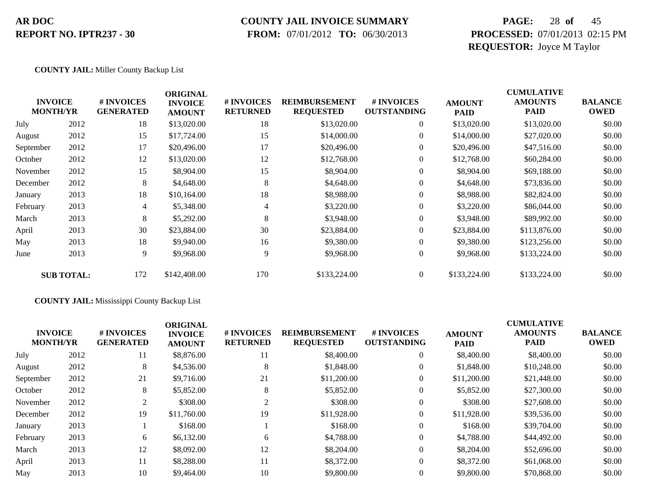### **COUNTY JAIL INVOICE SUMMARY**

 **FROM:** 07/01/2012 **TO:** 06/30/2013

# **PAGE:** 28 **of** 45 **PROCESSED:** 07/01/2013 02:15 PM **REQUESTOR:** Joyce M Taylor

### **COUNTY JAIL:** Miller County Backup List

|           | <b>INVOICE</b><br><b>MONTH/YR</b> | # INVOICES<br><b>GENERATED</b> | <b>ORIGINAL</b><br><b>INVOICE</b><br><b>AMOUNT</b> | # INVOICES<br><b>RETURNED</b> | <b>REIMBURSEMENT</b><br><b>REQUESTED</b> | # INVOICES<br><b>OUTSTANDING</b> | <b>AMOUNT</b><br><b>PAID</b> | <b>CUMULATIVE</b><br><b>AMOUNTS</b><br><b>PAID</b> | <b>BALANCE</b><br><b>OWED</b> |
|-----------|-----------------------------------|--------------------------------|----------------------------------------------------|-------------------------------|------------------------------------------|----------------------------------|------------------------------|----------------------------------------------------|-------------------------------|
| July      | 2012                              | 18                             | \$13,020.00                                        | 18                            | \$13,020.00                              | $\overline{0}$                   | \$13,020.00                  | \$13,020.00                                        | \$0.00                        |
| August    | 2012                              | 15                             | \$17,724.00                                        | 15                            | \$14,000.00                              | $\overline{0}$                   | \$14,000.00                  | \$27,020.00                                        | \$0.00                        |
| September | 2012                              | 17                             | \$20,496.00                                        | 17                            | \$20,496.00                              | $\overline{0}$                   | \$20,496.00                  | \$47,516.00                                        | \$0.00                        |
| October   | 2012                              | 12                             | \$13,020.00                                        | 12                            | \$12,768.00                              | $\overline{0}$                   | \$12,768.00                  | \$60,284.00                                        | \$0.00                        |
| November  | 2012                              | 15                             | \$8,904.00                                         | 15                            | \$8,904.00                               | $\overline{0}$                   | \$8,904.00                   | \$69,188.00                                        | \$0.00                        |
| December  | 2012                              | 8                              | \$4,648.00                                         | 8                             | \$4,648.00                               | $\overline{0}$                   | \$4,648.00                   | \$73,836.00                                        | \$0.00                        |
| January   | 2013                              | 18                             | \$10,164.00                                        | 18                            | \$8,988.00                               | $\overline{0}$                   | \$8,988.00                   | \$82,824.00                                        | \$0.00                        |
| February  | 2013                              | 4                              | \$5,348.00                                         | 4                             | \$3,220.00                               | $\overline{0}$                   | \$3,220.00                   | \$86,044.00                                        | \$0.00                        |
| March     | 2013                              | 8                              | \$5,292.00                                         | 8                             | \$3,948.00                               | $\overline{0}$                   | \$3,948.00                   | \$89,992.00                                        | \$0.00                        |
| April     | 2013                              | 30                             | \$23,884.00                                        | 30                            | \$23,884.00                              | $\overline{0}$                   | \$23,884.00                  | \$113,876.00                                       | \$0.00                        |
| May       | 2013                              | 18                             | \$9,940.00                                         | 16                            | \$9,380.00                               | $\boldsymbol{0}$                 | \$9,380.00                   | \$123,256.00                                       | \$0.00                        |
| June      | 2013                              | 9                              | \$9,968.00                                         | 9                             | \$9,968.00                               | $\boldsymbol{0}$                 | \$9,968.00                   | \$133,224.00                                       | \$0.00                        |
|           | <b>SUB TOTAL:</b>                 | 172                            | \$142,408.00                                       | 170                           | \$133,224.00                             | $\overline{0}$                   | \$133,224.00                 | \$133,224.00                                       | \$0.00                        |

### **COUNTY JAIL:** Mississippi County Backup List

|                                   |      |                                      | <b>ORIGINAL</b>                 |                                      |                                          |                                  |                              | <b>CUMULATIVE</b>             |                               |
|-----------------------------------|------|--------------------------------------|---------------------------------|--------------------------------------|------------------------------------------|----------------------------------|------------------------------|-------------------------------|-------------------------------|
| <b>INVOICE</b><br><b>MONTH/YR</b> |      | <b>#INVOICES</b><br><b>GENERATED</b> | <b>INVOICE</b><br><b>AMOUNT</b> | <b># INVOICES</b><br><b>RETURNED</b> | <b>REIMBURSEMENT</b><br><b>REQUESTED</b> | # INVOICES<br><b>OUTSTANDING</b> | <b>AMOUNT</b><br><b>PAID</b> | <b>AMOUNTS</b><br><b>PAID</b> | <b>BALANCE</b><br><b>OWED</b> |
| July                              | 2012 | 11                                   | \$8,876.00                      | 11                                   | \$8,400.00                               | $\theta$                         | \$8,400.00                   | \$8,400.00                    | \$0.00                        |
| August                            | 2012 | 8                                    | \$4,536.00                      | 8                                    | \$1,848.00                               | $\theta$                         | \$1,848.00                   | \$10,248.00                   | \$0.00                        |
| September                         | 2012 | 21                                   | \$9,716.00                      | 21                                   | \$11,200.00                              | 0                                | \$11,200.00                  | \$21,448.00                   | \$0.00                        |
| October                           | 2012 | 8                                    | \$5,852.00                      | 8                                    | \$5,852.00                               | $\overline{0}$                   | \$5,852.00                   | \$27,300.00                   | \$0.00                        |
| November                          | 2012 | 2                                    | \$308.00                        |                                      | \$308.00                                 | $\theta$                         | \$308.00                     | \$27,608.00                   | \$0.00                        |
| December                          | 2012 | 19                                   | \$11,760.00                     | 19                                   | \$11,928.00                              | $\theta$                         | \$11,928.00                  | \$39,536.00                   | \$0.00                        |
| January                           | 2013 |                                      | \$168.00                        |                                      | \$168.00                                 | $\theta$                         | \$168.00                     | \$39,704.00                   | \$0.00                        |
| February                          | 2013 | 6                                    | \$6,132.00                      | 6                                    | \$4,788.00                               | $\mathbf{0}$                     | \$4,788.00                   | \$44,492.00                   | \$0.00                        |
| March                             | 2013 | 12                                   | \$8,092.00                      | 12                                   | \$8,204.00                               | $\theta$                         | \$8,204.00                   | \$52,696.00                   | \$0.00                        |
| April                             | 2013 | 11                                   | \$8,288.00                      | 11                                   | \$8,372.00                               | $\Omega$                         | \$8,372.00                   | \$61,068.00                   | \$0.00                        |
| May                               | 2013 | 10                                   | \$9,464.00                      | 10                                   | \$9,800.00                               | 0                                | \$9,800.00                   | \$70,868.00                   | \$0.00                        |
|                                   |      |                                      |                                 |                                      |                                          |                                  |                              |                               |                               |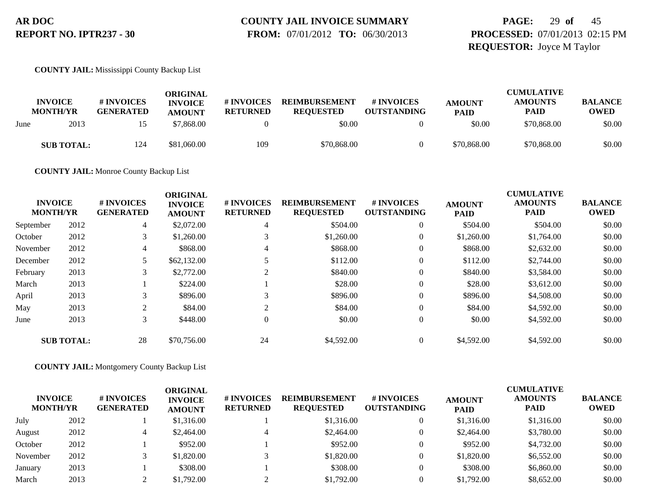# **COUNTY JAIL INVOICE SUMMARY**

 **FROM:** 07/01/2012 **TO:** 06/30/2013

# **PAGE:** 29 **of** 45 **PROCESSED:** 07/01/2013 02:15 PM **REQUESTOR:** Joyce M Taylor

**COUNTY JAIL:** Mississippi County Backup List

|      | <b>INVOICE</b><br><b>MONTH/YR</b> | # INVOICES<br><b>GENERATED</b> | ORIGINAL<br><b>INVOICE</b><br><b>AMOUNT</b> | # INVOICES<br><b>RETURNED</b> | <b>REIMBURSEMENT</b><br><b>REOUESTED</b> | # INVOICES<br><b>OUTSTANDING</b> | <b>AMOUNT</b><br><b>PAID</b> | <b>CUMULATIVE</b><br><b>AMOUNTS</b><br><b>PAID</b> | <b>BALANCE</b><br>OWED |
|------|-----------------------------------|--------------------------------|---------------------------------------------|-------------------------------|------------------------------------------|----------------------------------|------------------------------|----------------------------------------------------|------------------------|
| June | 2013                              |                                | \$7.868.00                                  |                               | \$0.00                                   |                                  | \$0.00                       | \$70,868.00                                        | \$0.00                 |
|      | <b>SUB TOTAL:</b>                 | 124                            | \$81,060.00                                 | 109                           | \$70,868.00                              |                                  | \$70,868.00                  | \$70,868.00                                        | \$0.00                 |

**COUNTY JAIL:** Monroe County Backup List

|           | <b>INVOICE</b><br><b>MONTH/YR</b> | # INVOICES<br><b>GENERATED</b> | <b>ORIGINAL</b><br><b>INVOICE</b><br><b>AMOUNT</b> | # INVOICES<br><b>RETURNED</b> | <b>REIMBURSEMENT</b><br><b>REQUESTED</b> | # INVOICES<br><b>OUTSTANDING</b> | <b>AMOUNT</b><br><b>PAID</b> | <b>CUMULATIVE</b><br><b>AMOUNTS</b><br><b>PAID</b> | <b>BALANCE</b><br><b>OWED</b> |
|-----------|-----------------------------------|--------------------------------|----------------------------------------------------|-------------------------------|------------------------------------------|----------------------------------|------------------------------|----------------------------------------------------|-------------------------------|
| September | 2012                              | 4                              | \$2,072.00                                         | 4                             | \$504.00                                 | $\theta$                         | \$504.00                     | \$504.00                                           | \$0.00                        |
| October   | 2012                              | 3                              | \$1,260.00                                         |                               | \$1,260.00                               | $\theta$                         | \$1,260.00                   | \$1,764.00                                         | \$0.00                        |
| November  | 2012                              | 4                              | \$868.00                                           | 4                             | \$868.00                                 | $\overline{0}$                   | \$868.00                     | \$2,632.00                                         | \$0.00                        |
| December  | 2012                              |                                | \$62,132.00                                        |                               | \$112.00                                 | $\theta$                         | \$112.00                     | \$2,744.00                                         | \$0.00                        |
| February  | 2013                              | 3                              | \$2,772.00                                         | 2                             | \$840.00                                 | $\overline{0}$                   | \$840.00                     | \$3,584.00                                         | \$0.00                        |
| March     | 2013                              |                                | \$224.00                                           |                               | \$28.00                                  | $\overline{0}$                   | \$28.00                      | \$3,612.00                                         | \$0.00                        |
| April     | 2013                              | 3                              | \$896.00                                           | 3                             | \$896.00                                 | $\overline{0}$                   | \$896.00                     | \$4,508.00                                         | \$0.00                        |
| May       | 2013                              | 2                              | \$84.00                                            | 2                             | \$84.00                                  | $\overline{0}$                   | \$84.00                      | \$4,592.00                                         | \$0.00                        |
| June      | 2013                              | 3                              | \$448.00                                           | $\Omega$                      | \$0.00                                   | $\overline{0}$                   | \$0.00                       | \$4,592.00                                         | \$0.00                        |
|           | <b>SUB TOTAL:</b>                 | 28                             | \$70,756.00                                        | 24                            | \$4,592.00                               | $\Omega$                         | \$4,592.00                   | \$4,592.00                                         | \$0.00                        |

**COUNTY JAIL:** Montgomery County Backup List

| <b>INVOICE</b><br><b>MONTH/YR</b> |      | # INVOICES<br><b>GENERATED</b> | ORIGINAL<br><b>INVOICE</b><br><b>AMOUNT</b> | <b># INVOICES</b><br><b>RETURNED</b> | <b>REIMBURSEMENT</b><br><b>REQUESTED</b> | <b>#INVOICES</b><br><b>OUTSTANDING</b> | <b>AMOUNT</b><br><b>PAID</b> | <b>CUMULATIVE</b><br><b>AMOUNTS</b><br><b>PAID</b> | <b>BALANCE</b><br><b>OWED</b> |
|-----------------------------------|------|--------------------------------|---------------------------------------------|--------------------------------------|------------------------------------------|----------------------------------------|------------------------------|----------------------------------------------------|-------------------------------|
| July                              | 2012 |                                | \$1,316.00                                  |                                      | \$1,316.00                               |                                        | \$1,316.00                   | \$1,316.00                                         | \$0.00                        |
| August                            | 2012 |                                | \$2,464.00                                  |                                      | \$2,464.00                               |                                        | \$2,464.00                   | \$3,780.00                                         | \$0.00                        |
| October                           | 2012 |                                | \$952.00                                    |                                      | \$952.00                                 |                                        | \$952.00                     | \$4,732.00                                         | \$0.00                        |
| November                          | 2012 |                                | \$1,820.00                                  |                                      | \$1,820.00                               |                                        | \$1,820.00                   | \$6,552.00                                         | \$0.00                        |
| January                           | 2013 |                                | \$308.00                                    |                                      | \$308.00                                 |                                        | \$308.00                     | \$6,860.00                                         | \$0.00                        |
| March                             | 2013 |                                | \$1,792.00                                  |                                      | \$1,792.00                               |                                        | \$1,792.00                   | \$8,652.00                                         | \$0.00                        |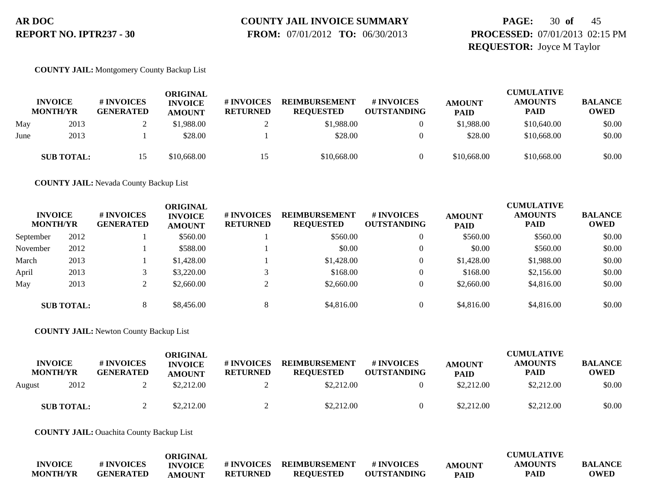# **COUNTY JAIL INVOICE SUMMARY**

 **FROM:** 07/01/2012 **TO:** 06/30/2013

# **PAGE:** 30 **of** 45 **PROCESSED:** 07/01/2013 02:15 PM **REQUESTOR:** Joyce M Taylor

**COUNTY JAIL:** Montgomery County Backup List

|      | <b>INVOICE</b><br><b>MONTH/YR</b> | # INVOICES<br><b>GENERATED</b> | ORIGINAL<br><b>INVOICE</b><br><b>AMOUNT</b> | <b># INVOICES</b><br><b>RETURNED</b> | <b>REIMBURSEMENT</b><br><b>REQUESTED</b> | # INVOICES<br><b>OUTSTANDING</b> | <b>AMOUNT</b><br><b>PAID</b> | <b>CUMULATIVE</b><br><b>AMOUNTS</b><br><b>PAID</b> | <b>BALANCE</b><br><b>OWED</b> |
|------|-----------------------------------|--------------------------------|---------------------------------------------|--------------------------------------|------------------------------------------|----------------------------------|------------------------------|----------------------------------------------------|-------------------------------|
| May  | 2013                              |                                | \$1,988.00                                  |                                      | \$1,988.00                               |                                  | \$1,988.00                   | \$10,640.00                                        | \$0.00                        |
| June | 2013                              |                                | \$28.00                                     |                                      | \$28.00                                  |                                  | \$28.00                      | \$10,668.00                                        | \$0.00                        |
|      | <b>SUB TOTAL:</b>                 |                                | \$10,668.00                                 |                                      | \$10,668.00                              |                                  | \$10,668.00                  | \$10,668.00                                        | \$0.00                        |

**COUNTY JAIL:** Nevada County Backup List

| <b>INVOICE</b><br><b>MONTH/YR</b> |                   | # INVOICES<br><b>GENERATED</b> | ORIGINAL<br><b>INVOICE</b><br><b>AMOUNT</b> | # INVOICES<br><b>RETURNED</b> | <b>REIMBURSEMENT</b><br><b>REQUESTED</b> | # INVOICES<br><b>OUTSTANDING</b> | <b>AMOUNT</b><br><b>PAID</b> | <b>CUMULATIVE</b><br><b>AMOUNTS</b><br><b>PAID</b> | <b>BALANCE</b><br><b>OWED</b> |
|-----------------------------------|-------------------|--------------------------------|---------------------------------------------|-------------------------------|------------------------------------------|----------------------------------|------------------------------|----------------------------------------------------|-------------------------------|
| September                         | 2012              |                                | \$560.00                                    |                               | \$560.00                                 |                                  | \$560.00                     | \$560.00                                           | \$0.00                        |
| November                          | 2012              |                                | \$588.00                                    |                               | \$0.00                                   |                                  | \$0.00                       | \$560.00                                           | \$0.00                        |
| March                             | 2013              |                                | \$1,428.00                                  |                               | \$1,428.00                               |                                  | \$1,428.00                   | \$1,988.00                                         | \$0.00                        |
| April                             | 2013              |                                | \$3,220.00                                  |                               | \$168.00                                 |                                  | \$168.00                     | \$2,156.00                                         | \$0.00                        |
| May                               | 2013              | ∠                              | \$2,660.00                                  |                               | \$2,660.00                               |                                  | \$2,660.00                   | \$4,816.00                                         | \$0.00                        |
|                                   | <b>SUB TOTAL:</b> |                                | \$8,456.00                                  |                               | \$4,816.00                               |                                  | \$4,816.00                   | \$4,816.00                                         | \$0.00                        |

**COUNTY JAIL:** Newton County Backup List

| <b>INVOICE</b><br><b>MONTH/YR</b> |                   | # INVOICES<br><b>GENERATED</b> | ORIGINAL<br><b>INVOICE</b><br><b>AMOUNT</b> | # INVOICES<br><b>RETURNED</b> | <b>REIMBURSEMENT</b><br><b>REOUESTED</b> | <b>#INVOICES</b><br><b>OUTSTANDING</b> | <b>AMOUNT</b><br><b>PAID</b> | <b>CUMULATIVE</b><br><b>AMOUNTS</b><br><b>PAID</b> | <b>BALANCE</b><br><b>OWED</b> |
|-----------------------------------|-------------------|--------------------------------|---------------------------------------------|-------------------------------|------------------------------------------|----------------------------------------|------------------------------|----------------------------------------------------|-------------------------------|
| August                            | 2012              |                                | \$2,212.00                                  |                               | \$2,212.00                               |                                        | \$2,212.00                   | \$2,212.00                                         | \$0.00                        |
|                                   | <b>SUB TOTAL:</b> |                                | \$2,212.00                                  |                               | \$2,212.00                               |                                        | \$2,212.00                   | \$2,212.00                                         | \$0.00                        |

**COUNTY JAIL:** Ouachita County Backup List

|                 |                  | ORIGINAL       |                 |                          |                    |             | <b>CUMULATIVE</b> |                |
|-----------------|------------------|----------------|-----------------|--------------------------|--------------------|-------------|-------------------|----------------|
| <b>INVOICE</b>  | # INVOICES       | <b>INVOICE</b> |                 | # INVOICES REIMBURSEMENT | # INVOICES         | AMOUNT      | <b>AMOUNTS</b>    | <b>BALANCE</b> |
| <b>MONTH/YR</b> | <b>GENERATED</b> | <b>AMOUNT</b>  | <b>RETURNED</b> | <b>REOUESTED</b>         | <b>OUTSTANDING</b> | <b>PAID</b> | <b>PAID</b>       | <b>OWED</b>    |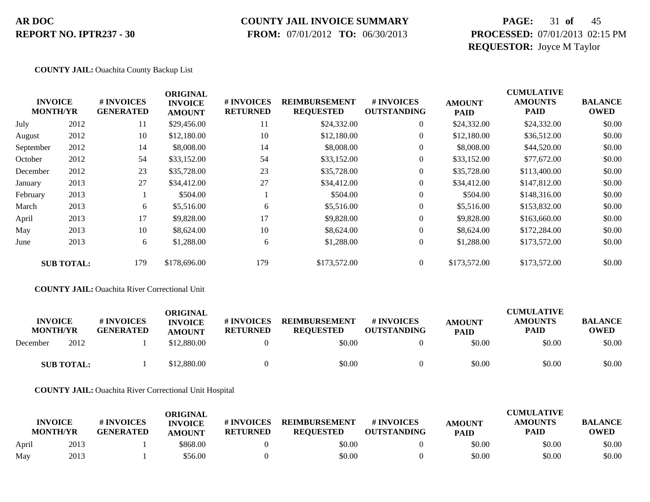### **COUNTY JAIL INVOICE SUMMARY**

 **FROM:** 07/01/2012 **TO:** 06/30/2013

# **PAGE:** 31 **of** 45 **PROCESSED:** 07/01/2013 02:15 PM **REQUESTOR:** Joyce M Taylor

### **COUNTY JAIL:** Ouachita County Backup List

|           |                                   |                                | <b>ORIGINAL</b>                 |                               |                                          |                                  |                              | <b>CUMULATIVE</b>             |                               |
|-----------|-----------------------------------|--------------------------------|---------------------------------|-------------------------------|------------------------------------------|----------------------------------|------------------------------|-------------------------------|-------------------------------|
|           | <b>INVOICE</b><br><b>MONTH/YR</b> | # INVOICES<br><b>GENERATED</b> | <b>INVOICE</b><br><b>AMOUNT</b> | # INVOICES<br><b>RETURNED</b> | <b>REIMBURSEMENT</b><br><b>REQUESTED</b> | # INVOICES<br><b>OUTSTANDING</b> | <b>AMOUNT</b><br><b>PAID</b> | <b>AMOUNTS</b><br><b>PAID</b> | <b>BALANCE</b><br><b>OWED</b> |
| July      | 2012                              | 11                             | \$29,456.00                     | 11                            | \$24,332.00                              | $\overline{0}$                   | \$24,332.00                  | \$24,332.00                   | \$0.00                        |
| August    | 2012                              | 10                             | \$12,180.00                     | 10                            | \$12,180.00                              | $\overline{0}$                   | \$12,180.00                  | \$36,512.00                   | \$0.00                        |
| September | 2012                              | 14                             | \$8,008.00                      | 14                            | \$8,008.00                               | $\theta$                         | \$8,008.00                   | \$44,520.00                   | \$0.00                        |
| October   | 2012                              | 54                             | \$33,152.00                     | 54                            | \$33,152.00                              | $\boldsymbol{0}$                 | \$33,152.00                  | \$77,672.00                   | \$0.00                        |
| December  | 2012                              | 23                             | \$35,728.00                     | 23                            | \$35,728.00                              | $\overline{0}$                   | \$35,728.00                  | \$113,400.00                  | \$0.00                        |
| January   | 2013                              | 27                             | \$34,412.00                     | 27                            | \$34,412.00                              | $\overline{0}$                   | \$34,412.00                  | \$147,812.00                  | \$0.00                        |
| February  | 2013                              |                                | \$504.00                        |                               | \$504.00                                 | $\overline{0}$                   | \$504.00                     | \$148,316.00                  | \$0.00                        |
| March     | 2013                              | 6                              | \$5,516.00                      | 6                             | \$5,516.00                               | $\overline{0}$                   | \$5,516.00                   | \$153,832.00                  | \$0.00                        |
| April     | 2013                              | 17                             | \$9,828.00                      | 17                            | \$9,828.00                               | $\mathbf{0}$                     | \$9,828.00                   | \$163,660.00                  | \$0.00                        |
| May       | 2013                              | 10                             | \$8,624.00                      | 10                            | \$8,624.00                               | $\overline{0}$                   | \$8,624.00                   | \$172,284.00                  | \$0.00                        |
| June      | 2013                              | 6                              | \$1,288.00                      | 6                             | \$1,288.00                               | $\overline{0}$                   | \$1,288.00                   | \$173,572.00                  | \$0.00                        |
|           | <b>SUB TOTAL:</b>                 | 179                            | \$178,696.00                    | 179                           | \$173,572.00                             | $\Omega$                         | \$173,572.00                 | \$173,572.00                  | \$0.00                        |

#### **COUNTY JAIL:** Ouachita River Correctional Unit

| <b>INVOICE</b><br><b>MONTH/YR</b> | # INVOICES<br><b>GENERATED</b> | ORIGINAL<br><b>INVOICE</b><br><b>AMOUNT</b> | # INVOICES<br><b>RETURNED</b> | <b>REIMBURSEMENT</b><br><b>REOUESTED</b> | <b>#INVOICES</b><br><b>OUTSTANDING</b> | <b>AMOUNT</b><br><b>PAID</b> | <b>CUMULATIVE</b><br><b>AMOUNTS</b><br><b>PAID</b> | <b>BALANCE</b><br><b>OWED</b> |
|-----------------------------------|--------------------------------|---------------------------------------------|-------------------------------|------------------------------------------|----------------------------------------|------------------------------|----------------------------------------------------|-------------------------------|
| 2012<br>December                  |                                | \$12,880.00                                 |                               | \$0.00                                   |                                        | \$0.00                       | \$0.00                                             | \$0.00                        |
| <b>SUB TOTAL:</b>                 |                                | \$12,880.00                                 |                               | \$0.00                                   |                                        | \$0.00                       | \$0.00                                             | \$0.00                        |

**COUNTY JAIL:** Ouachita River Correctional Unit Hospital

|       | <b>INVOICE</b><br><b>MONTH/YR</b> | # INVOICES<br><b>GENERATED</b> | ORIGINAL<br><b>INVOICE</b><br><b>AMOUNT</b> | # INVOICES<br><b>RETURNED</b> | <b>REIMBURSEMENT</b><br><b>REOUESTED</b> | <b>#INVOICES</b><br><b>OUTSTANDING</b> | <b>AMOUNT</b><br><b>PAID</b> | <b>CUMULATIVE</b><br><b>AMOUNTS</b><br><b>PAID</b> | <b>BALANCE</b><br>OWED |
|-------|-----------------------------------|--------------------------------|---------------------------------------------|-------------------------------|------------------------------------------|----------------------------------------|------------------------------|----------------------------------------------------|------------------------|
| April | 2013                              |                                | \$868.00                                    |                               | \$0.00                                   |                                        | \$0.00                       | \$0.00                                             | \$0.00                 |
| May   | 2013                              |                                | \$56.00                                     |                               | \$0.00                                   |                                        | \$0.00                       | \$0.00                                             | \$0.00                 |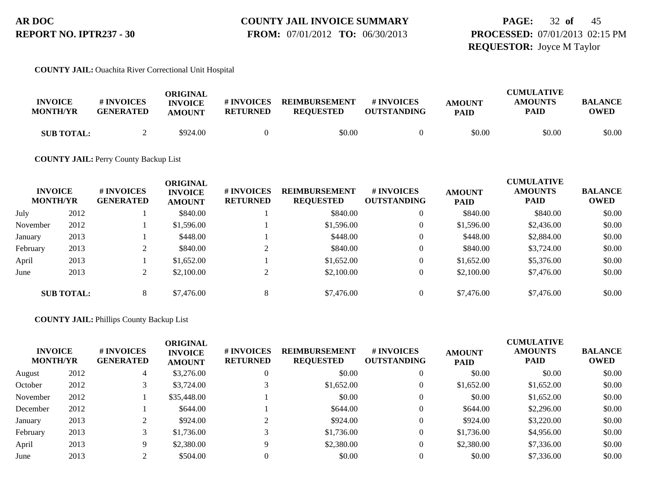## **COUNTY JAIL INVOICE SUMMARY FROM:** 07/01/2012 **TO:** 06/30/2013

# **PAGE:** 32 **of** 45 **PROCESSED:** 07/01/2013 02:15 PM **REQUESTOR:** Joyce M Taylor

### **COUNTY JAIL:** Ouachita River Correctional Unit Hospital

| <b>INVOICE</b><br><b>MONTH/YR</b> | # INVOICES<br><b>GENERATED</b> | ORIGINAL<br><b>INVOICE</b><br><b>AMOUNT</b> | # INVOICES<br><b>RETURNED</b> | <b>REIMBURSEMENT</b><br><b>REOUESTED</b> | # INVOICES<br><b>OUTSTANDING</b> | <b>AMOUNT</b><br><b>PAID</b> | <b>CUMULATIVE</b><br><b>AMOUNTS</b><br><b>PAID</b> | <b>BALANCE</b><br><b>OWED</b> |
|-----------------------------------|--------------------------------|---------------------------------------------|-------------------------------|------------------------------------------|----------------------------------|------------------------------|----------------------------------------------------|-------------------------------|
| <b>SUB TOTAL:</b>                 |                                | \$924.00                                    |                               | \$0.00                                   |                                  | \$0.00                       | \$0.00                                             | \$0.00                        |

### **COUNTY JAIL:** Perry County Backup List

| <b>INVOICE</b><br><b>MONTH/YR</b> |                   | # INVOICES<br><b>GENERATED</b> | <b>ORIGINAL</b><br><b>INVOICE</b><br><b>AMOUNT</b> | <b># INVOICES</b><br><b>RETURNED</b> | <b>REIMBURSEMENT</b><br><b>REQUESTED</b> | # INVOICES<br><b>OUTSTANDING</b> | <b>AMOUNT</b><br><b>PAID</b> | <b>CUMULATIVE</b><br><b>AMOUNTS</b><br><b>PAID</b> | <b>BALANCE</b><br><b>OWED</b> |
|-----------------------------------|-------------------|--------------------------------|----------------------------------------------------|--------------------------------------|------------------------------------------|----------------------------------|------------------------------|----------------------------------------------------|-------------------------------|
| July                              | 2012              |                                | \$840.00                                           |                                      | \$840.00                                 |                                  | \$840.00                     | \$840.00                                           | \$0.00                        |
| November                          | 2012              |                                | \$1,596.00                                         |                                      | \$1,596.00                               |                                  | \$1,596.00                   | \$2,436.00                                         | \$0.00                        |
| January                           | 2013              |                                | \$448.00                                           |                                      | \$448.00                                 |                                  | \$448.00                     | \$2,884.00                                         | \$0.00                        |
| February                          | 2013              | ◠                              | \$840.00                                           |                                      | \$840.00                                 |                                  | \$840.00                     | \$3,724.00                                         | \$0.00                        |
| April                             | 2013              |                                | \$1,652.00                                         |                                      | \$1,652.00                               |                                  | \$1,652.00                   | \$5,376.00                                         | \$0.00                        |
| June                              | 2013              | $\mathcal{L}$<br>∠             | \$2,100.00                                         |                                      | \$2,100.00                               |                                  | \$2,100.00                   | \$7,476.00                                         | \$0.00                        |
|                                   | <b>SUB TOTAL:</b> | 8                              | \$7,476.00                                         | 8                                    | \$7,476.00                               |                                  | \$7,476.00                   | \$7,476.00                                         | \$0.00                        |

### **COUNTY JAIL:** Phillips County Backup List

| <b>INVOICE</b><br><b>MONTH/YR</b> |      | # INVOICES<br><b>GENERATED</b> | ORIGINAL<br><b>INVOICE</b><br><b>AMOUNT</b> | # INVOICES<br><b>RETURNED</b> | <b>REIMBURSEMENT</b><br><b>REQUESTED</b> | # INVOICES<br><b>OUTSTANDING</b> | <b>AMOUNT</b><br><b>PAID</b> | <b>CUMULATIVE</b><br><b>AMOUNTS</b><br><b>PAID</b> | <b>BALANCE</b><br><b>OWED</b> |
|-----------------------------------|------|--------------------------------|---------------------------------------------|-------------------------------|------------------------------------------|----------------------------------|------------------------------|----------------------------------------------------|-------------------------------|
| August                            | 2012 | 4                              | \$3,276.00                                  |                               | \$0.00                                   |                                  | \$0.00                       | \$0.00                                             | \$0.00                        |
| October                           | 2012 |                                | \$3,724.00                                  |                               | \$1,652.00                               | $\overline{0}$                   | \$1,652.00                   | \$1,652.00                                         | \$0.00                        |
| November                          | 2012 |                                | \$35,448.00                                 |                               | \$0.00                                   | $\theta$                         | \$0.00                       | \$1,652.00                                         | \$0.00                        |
| December                          | 2012 |                                | \$644.00                                    |                               | \$644.00                                 | $\overline{0}$                   | \$644.00                     | \$2,296.00                                         | \$0.00                        |
| January                           | 2013 |                                | \$924.00                                    |                               | \$924.00                                 | $\overline{0}$                   | \$924.00                     | \$3,220.00                                         | \$0.00                        |
| February                          | 2013 |                                | \$1,736.00                                  |                               | \$1,736.00                               | $\overline{0}$                   | \$1,736.00                   | \$4,956.00                                         | \$0.00                        |
| April                             | 2013 |                                | \$2,380.00                                  | $\Omega$                      | \$2,380.00                               | $\theta$                         | \$2,380.00                   | \$7,336.00                                         | \$0.00                        |
| June                              | 2013 |                                | \$504.00                                    |                               | \$0.00                                   |                                  | \$0.00                       | \$7,336.00                                         | \$0.00                        |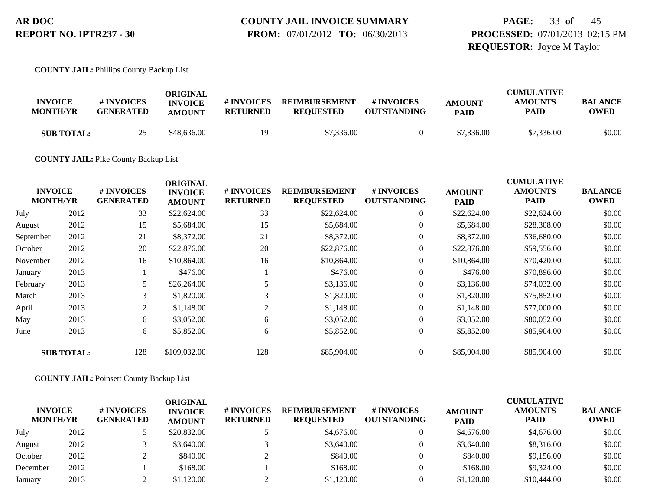**PAGE:** 33 **of** 45 **PROCESSED:** 07/01/2013 02:15 PM **REQUESTOR:** Joyce M Taylor

**COUNTY JAIL:** Phillips County Backup List

| <b>INVOICE</b><br><b>MONTH/YR</b> | # INVOICES<br><b>GENERATED</b> | ORIGINAL<br><b>INVOICE</b><br><b>AMOUNT</b> | # INVOICES<br><b>RETURNED</b> | <b>REIMBURSEMENT</b><br><b>REOUESTED</b> | # INVOICES<br><b>OUTSTANDING</b> | <b>AMOUNT</b><br><b>PAID</b> | <b>CUMULATIVE</b><br><b>AMOUNTS</b><br>PAID | <b>BALANCE</b><br><b>OWED</b> |
|-----------------------------------|--------------------------------|---------------------------------------------|-------------------------------|------------------------------------------|----------------------------------|------------------------------|---------------------------------------------|-------------------------------|
| <b>SUB TOTAL:</b>                 | 25                             | \$48,636.00                                 | 19                            | \$7,336.00                               |                                  | \$7,336.00                   | \$7,336.00                                  | \$0.00                        |

**COUNTY JAIL:** Pike County Backup List

|           |                                   |                                | <b>ORIGINAL</b>                 |                               |                                          |                                  |                              | <b>CUMULATIVE</b>      |                               |
|-----------|-----------------------------------|--------------------------------|---------------------------------|-------------------------------|------------------------------------------|----------------------------------|------------------------------|------------------------|-------------------------------|
|           | <b>INVOICE</b><br><b>MONTH/YR</b> | # INVOICES<br><b>GENERATED</b> | <b>INVOICE</b><br><b>AMOUNT</b> | # INVOICES<br><b>RETURNED</b> | <b>REIMBURSEMENT</b><br><b>REQUESTED</b> | # INVOICES<br><b>OUTSTANDING</b> | <b>AMOUNT</b><br><b>PAID</b> | <b>AMOUNTS</b><br>PAID | <b>BALANCE</b><br><b>OWED</b> |
| July      | 2012                              | 33                             | \$22,624.00                     | 33                            | \$22,624.00                              | $\overline{0}$                   | \$22,624.00                  | \$22,624.00            | \$0.00                        |
| August    | 2012                              | 15                             | \$5,684.00                      | 15                            | \$5,684.00                               | $\overline{0}$                   | \$5,684.00                   | \$28,308.00            | \$0.00                        |
| September | 2012                              | 21                             | \$8,372.00                      | 21                            | \$8,372.00                               | $\overline{0}$                   | \$8,372.00                   | \$36,680.00            | \$0.00                        |
| October   | 2012                              | 20                             | \$22,876.00                     | 20                            | \$22,876.00                              | $\overline{0}$                   | \$22,876.00                  | \$59,556.00            | \$0.00                        |
| November  | 2012                              | 16                             | \$10,864.00                     | 16                            | \$10,864.00                              | $\overline{0}$                   | \$10,864.00                  | \$70,420.00            | \$0.00                        |
| January   | 2013                              |                                | \$476.00                        |                               | \$476.00                                 | $\overline{0}$                   | \$476.00                     | \$70,896.00            | \$0.00                        |
| February  | 2013                              | 5                              | \$26,264.00                     | 5                             | \$3,136.00                               | $\overline{0}$                   | \$3,136.00                   | \$74,032.00            | \$0.00                        |
| March     | 2013                              | 3                              | \$1,820.00                      | 3                             | \$1,820.00                               | $\overline{0}$                   | \$1,820.00                   | \$75,852.00            | \$0.00                        |
| April     | 2013                              | 2                              | \$1,148.00                      | 2                             | \$1,148.00                               | $\overline{0}$                   | \$1,148.00                   | \$77,000.00            | \$0.00                        |
| May       | 2013                              | 6                              | \$3,052.00                      | 6                             | \$3,052.00                               | $\overline{0}$                   | \$3,052.00                   | \$80,052.00            | \$0.00                        |
| June      | 2013                              | 6                              | \$5,852.00                      | 6                             | \$5,852.00                               | $\overline{0}$                   | \$5,852.00                   | \$85,904.00            | \$0.00                        |
|           | <b>SUB TOTAL:</b>                 | 128                            | \$109,032.00                    | 128                           | \$85,904.00                              | $\theta$                         | \$85,904.00                  | \$85,904.00            | \$0.00                        |

**COUNTY JAIL:** Poinsett County Backup List

| <b>INVOICE</b><br><b>MONTH/YR</b> |      | # INVOICES<br><b>GENERATED</b> | ORIGINAL<br><b>INVOICE</b><br><b>AMOUNT</b> | # INVOICES<br><b>RETURNED</b> | <b>REIMBURSEMENT</b><br><b>REQUESTED</b> | # INVOICES<br><b>OUTSTANDING</b> | <b>AMOUNT</b><br><b>PAID</b> | <b>CUMULATIVE</b><br><b>AMOUNTS</b><br><b>PAID</b> | <b>BALANCE</b><br><b>OWED</b> |
|-----------------------------------|------|--------------------------------|---------------------------------------------|-------------------------------|------------------------------------------|----------------------------------|------------------------------|----------------------------------------------------|-------------------------------|
| July                              | 2012 |                                | \$20,832.00                                 |                               | \$4,676.00                               |                                  | \$4,676.00                   | \$4,676.00                                         | \$0.00                        |
| August                            | 2012 |                                | \$3,640.00                                  |                               | \$3,640.00                               |                                  | \$3,640.00                   | \$8,316.00                                         | \$0.00                        |
| October                           | 2012 |                                | \$840.00                                    |                               | \$840.00                                 |                                  | \$840.00                     | \$9.156.00                                         | \$0.00                        |
| December                          | 2012 |                                | \$168.00                                    |                               | \$168.00                                 |                                  | \$168.00                     | \$9,324.00                                         | \$0.00                        |
| January                           | 2013 |                                | \$1,120.00                                  |                               | \$1,120.00                               |                                  | \$1,120.00                   | \$10,444.00                                        | \$0.00                        |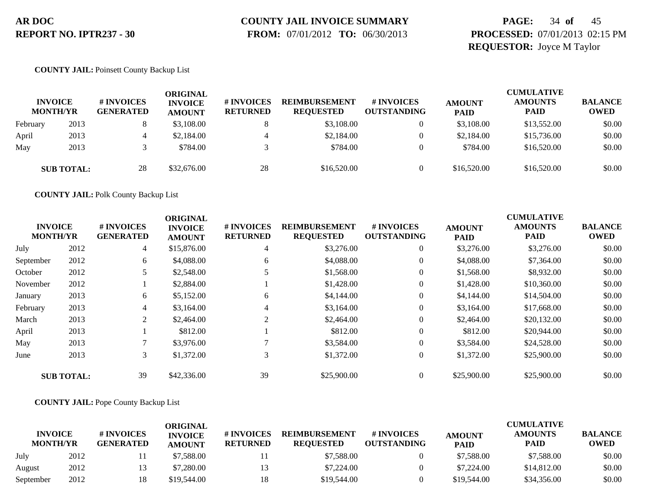# **COUNTY JAIL INVOICE SUMMARY**

 **FROM:** 07/01/2012 **TO:** 06/30/2013

# **PAGE:** 34 **of** 45 **PROCESSED:** 07/01/2013 02:15 PM **REQUESTOR:** Joyce M Taylor

### **COUNTY JAIL:** Poinsett County Backup List

|          | <b>INVOICE</b><br><b>MONTH/YR</b> | # INVOICES<br><b>GENERATED</b> | ORIGINAL<br><b>INVOICE</b><br><b>AMOUNT</b> | # INVOICES<br><b>RETURNED</b> | <b>REIMBURSEMENT</b><br><b>REOUESTED</b> | # INVOICES<br><b>OUTSTANDING</b> | <b>AMOUNT</b><br><b>PAID</b> | <b>CUMULATIVE</b><br><b>AMOUNTS</b><br><b>PAID</b> | <b>BALANCE</b><br><b>OWED</b> |
|----------|-----------------------------------|--------------------------------|---------------------------------------------|-------------------------------|------------------------------------------|----------------------------------|------------------------------|----------------------------------------------------|-------------------------------|
| February | 2013                              |                                | \$3,108.00                                  |                               | \$3,108.00                               |                                  | \$3,108.00                   | \$13,552.00                                        | \$0.00                        |
| April    | 2013                              |                                | \$2,184.00                                  | 4                             | \$2,184.00                               |                                  | \$2,184.00                   | \$15,736.00                                        | \$0.00                        |
| May      | 2013                              |                                | \$784.00                                    |                               | \$784.00                                 |                                  | \$784.00                     | \$16,520.00                                        | \$0.00                        |
|          | <b>SUB TOTAL:</b>                 | 28                             | \$32,676.00                                 | 28                            | \$16,520.00                              |                                  | \$16,520.00                  | \$16,520.00                                        | \$0.00                        |

**COUNTY JAIL:** Polk County Backup List

|                                   |                   |                                | <b>ORIGINAL</b>                 |                               |                                          |                                        | <b>CUMULATIVE</b>            |                               |                               |  |
|-----------------------------------|-------------------|--------------------------------|---------------------------------|-------------------------------|------------------------------------------|----------------------------------------|------------------------------|-------------------------------|-------------------------------|--|
| <b>INVOICE</b><br><b>MONTH/YR</b> |                   | # INVOICES<br><b>GENERATED</b> | <b>INVOICE</b><br><b>AMOUNT</b> | # INVOICES<br><b>RETURNED</b> | <b>REIMBURSEMENT</b><br><b>REQUESTED</b> | <b>#INVOICES</b><br><b>OUTSTANDING</b> | <b>AMOUNT</b><br><b>PAID</b> | <b>AMOUNTS</b><br><b>PAID</b> | <b>BALANCE</b><br><b>OWED</b> |  |
| July                              | 2012              | $\overline{4}$                 | \$15,876.00                     | 4                             | \$3,276.00                               | $\overline{0}$                         | \$3,276.00                   | \$3,276.00                    | \$0.00                        |  |
| September                         | 2012              | 6                              | \$4,088.00                      | 6                             | \$4,088.00                               | $\overline{0}$                         | \$4,088.00                   | \$7,364.00                    | \$0.00                        |  |
| October                           | 2012              | 5.                             | \$2,548.00                      |                               | \$1,568.00                               | $\theta$                               | \$1,568.00                   | \$8,932.00                    | \$0.00                        |  |
| November                          | 2012              |                                | \$2,884.00                      |                               | \$1,428.00                               | $\overline{0}$                         | \$1,428.00                   | \$10,360.00                   | \$0.00                        |  |
| January                           | 2013              | 6                              | \$5,152.00                      | 6                             | \$4,144.00                               | $\overline{0}$                         | \$4,144.00                   | \$14,504.00                   | \$0.00                        |  |
| February                          | 2013              | $\overline{4}$                 | \$3,164.00                      | 4                             | \$3,164.00                               | $\theta$                               | \$3,164.00                   | \$17,668.00                   | \$0.00                        |  |
| March                             | 2013              | 2                              | \$2,464.00                      | 2                             | \$2,464.00                               | $\overline{0}$                         | \$2,464.00                   | \$20,132.00                   | \$0.00                        |  |
| April                             | 2013              |                                | \$812.00                        |                               | \$812.00                                 | $\overline{0}$                         | \$812.00                     | \$20,944.00                   | \$0.00                        |  |
| May                               | 2013              |                                | \$3,976.00                      |                               | \$3,584.00                               | $\overline{0}$                         | \$3,584.00                   | \$24,528.00                   | \$0.00                        |  |
| June                              | 2013              | 3                              | \$1,372.00                      | 3                             | \$1,372.00                               | $\overline{0}$                         | \$1,372.00                   | \$25,900.00                   | \$0.00                        |  |
|                                   | <b>SUB TOTAL:</b> | 39                             | \$42,336.00                     | 39                            | \$25,900.00                              | $\Omega$                               | \$25,900.00                  | \$25,900.00                   | \$0.00                        |  |

### **COUNTY JAIL:** Pope County Backup List

|                                   |      |                                | ORIGINAL                        |                               |                                          | <b>CUMULATIVE</b>                      |                              |                               |                               |  |
|-----------------------------------|------|--------------------------------|---------------------------------|-------------------------------|------------------------------------------|----------------------------------------|------------------------------|-------------------------------|-------------------------------|--|
| <b>INVOICE</b><br><b>MONTH/YR</b> |      | # INVOICES<br><b>GENERATED</b> | <b>INVOICE</b><br><b>AMOUNT</b> | # INVOICES<br><b>RETURNED</b> | <b>REIMBURSEMENT</b><br><b>REOUESTED</b> | <b>#INVOICES</b><br><b>OUTSTANDING</b> | <b>AMOUNT</b><br><b>PAID</b> | <b>AMOUNTS</b><br><b>PAID</b> | <b>BALANCE</b><br><b>OWED</b> |  |
| July                              | 2012 |                                | \$7,588.00                      |                               | \$7,588.00                               |                                        | \$7,588.00                   | \$7,588.00                    | \$0.00                        |  |
| August                            | 2012 |                                | \$7,280.00                      | -3                            | \$7,224.00                               |                                        | \$7,224.00                   | \$14,812.00                   | \$0.00                        |  |
| September                         | 2012 |                                | \$19,544.00                     | 18                            | \$19,544.00                              |                                        | \$19,544.00                  | \$34,356.00                   | \$0.00                        |  |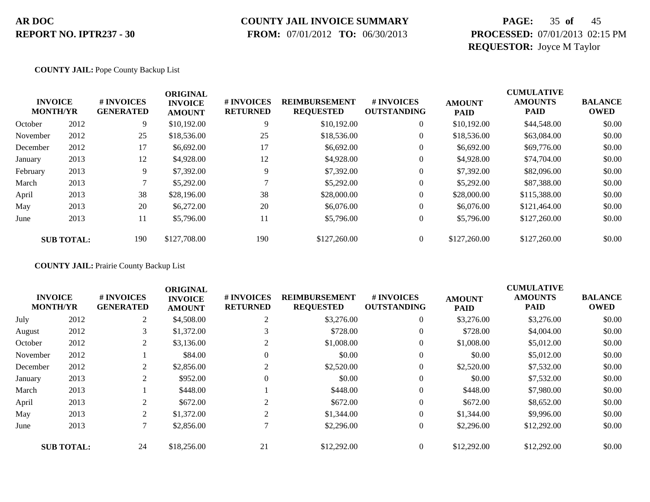### **COUNTY JAIL INVOICE SUMMARY**

 **FROM:** 07/01/2012 **TO:** 06/30/2013

# **PAGE:** 35 **of** 45 **PROCESSED:** 07/01/2013 02:15 PM **REQUESTOR:** Joyce M Taylor

### **COUNTY JAIL:** Pope County Backup List

|          | <b>INVOICE</b><br><b>MONTH/YR</b> | # INVOICES<br><b>GENERATED</b> | <b>ORIGINAL</b><br><b>INVOICE</b><br><b>AMOUNT</b> | # INVOICES<br><b>RETURNED</b> | <b>REIMBURSEMENT</b><br><b>REQUESTED</b> | <b>#INVOICES</b><br><b>OUTSTANDING</b> | <b>AMOUNT</b><br><b>PAID</b> | <b>CUMULATIVE</b><br><b>AMOUNTS</b><br><b>PAID</b> | <b>BALANCE</b><br><b>OWED</b> |
|----------|-----------------------------------|--------------------------------|----------------------------------------------------|-------------------------------|------------------------------------------|----------------------------------------|------------------------------|----------------------------------------------------|-------------------------------|
| October  | 2012                              | 9                              | \$10,192.00                                        | 9                             | \$10,192,00                              | $\overline{0}$                         | \$10,192.00                  | \$44,548.00                                        | \$0.00                        |
| November | 2012                              | 25                             | \$18,536.00                                        | 25                            | \$18,536.00                              | $\overline{0}$                         | \$18,536.00                  | \$63,084.00                                        | \$0.00                        |
| December | 2012                              | 17                             | \$6,692.00                                         | 17                            | \$6,692.00                               | $\overline{0}$                         | \$6,692.00                   | \$69,776.00                                        | \$0.00                        |
| January  | 2013                              | 12                             | \$4,928.00                                         | 12                            | \$4,928.00                               | 0                                      | \$4,928.00                   | \$74,704.00                                        | \$0.00                        |
| February | 2013                              | 9                              | \$7,392.00                                         | 9                             | \$7,392.00                               | $\boldsymbol{0}$                       | \$7,392.00                   | \$82,096.00                                        | \$0.00                        |
| March    | 2013                              |                                | \$5,292.00                                         |                               | \$5,292.00                               | $\overline{0}$                         | \$5,292.00                   | \$87,388,00                                        | \$0.00                        |
| April    | 2013                              | 38                             | \$28,196.00                                        | 38                            | \$28,000.00                              | $\overline{0}$                         | \$28,000.00                  | \$115,388.00                                       | \$0.00                        |
| May      | 2013                              | 20                             | \$6,272.00                                         | 20                            | \$6,076.00                               | $\overline{0}$                         | \$6,076.00                   | \$121,464.00                                       | \$0.00                        |
| June     | 2013                              | 11                             | \$5,796.00                                         | 11                            | \$5,796.00                               | $\boldsymbol{0}$                       | \$5,796.00                   | \$127,260.00                                       | \$0.00                        |
|          | <b>SUB TOTAL:</b>                 | 190                            | \$127,708.00                                       | 190                           | \$127,260.00                             | $\overline{0}$                         | \$127,260.00                 | \$127,260.00                                       | \$0.00                        |

**COUNTY JAIL:** Prairie County Backup List

|          |                                   |                                | <b>ORIGINAL</b>                 |                               |                                          |                                  |                              | <b>CUMULATIVE</b>             |                               |
|----------|-----------------------------------|--------------------------------|---------------------------------|-------------------------------|------------------------------------------|----------------------------------|------------------------------|-------------------------------|-------------------------------|
|          | <b>INVOICE</b><br><b>MONTH/YR</b> | # INVOICES<br><b>GENERATED</b> | <b>INVOICE</b><br><b>AMOUNT</b> | # INVOICES<br><b>RETURNED</b> | <b>REIMBURSEMENT</b><br><b>REQUESTED</b> | # INVOICES<br><b>OUTSTANDING</b> | <b>AMOUNT</b><br><b>PAID</b> | <b>AMOUNTS</b><br><b>PAID</b> | <b>BALANCE</b><br><b>OWED</b> |
| July     | 2012                              | 2                              | \$4,508.00                      | 2                             | \$3,276.00                               | $\overline{0}$                   | \$3,276.00                   | \$3,276.00                    | \$0.00                        |
| August   | 2012                              | 3                              | \$1,372.00                      |                               | \$728.00                                 | $\theta$                         | \$728.00                     | \$4,004.00                    | \$0.00                        |
| October  | 2012                              | 2                              | \$3,136.00                      |                               | \$1,008.00                               | $\theta$                         | \$1,008.00                   | \$5,012.00                    | \$0.00                        |
| November | 2012                              |                                | \$84.00                         |                               | \$0.00                                   | $\theta$                         | \$0.00                       | \$5,012.00                    | \$0.00                        |
| December | 2012                              | 2                              | \$2,856.00                      |                               | \$2,520.00                               | $\mathbf{0}$                     | \$2,520.00                   | \$7,532.00                    | \$0.00                        |
| January  | 2013                              | 2                              | \$952.00                        | $\Omega$                      | \$0.00                                   | $\overline{0}$                   | \$0.00                       | \$7,532.00                    | \$0.00                        |
| March    | 2013                              |                                | \$448.00                        |                               | \$448.00                                 | $\boldsymbol{0}$                 | \$448.00                     | \$7,980.00                    | \$0.00                        |
| April    | 2013                              | 2                              | \$672.00                        | $\bigcap$                     | \$672.00                                 | $\overline{0}$                   | \$672.00                     | \$8,652.00                    | \$0.00                        |
| May      | 2013                              | 2                              | \$1,372.00                      | 2                             | \$1,344.00                               | $\mathbf{0}$                     | \$1,344.00                   | \$9,996.00                    | \$0.00                        |
| June     | 2013                              | 7                              | \$2,856.00                      |                               | \$2,296.00                               | $\mathbf{0}$                     | \$2,296.00                   | \$12,292.00                   | \$0.00                        |
|          | <b>SUB TOTAL:</b>                 | 24                             | \$18,256.00                     | 21                            | \$12,292.00                              | $\theta$                         | \$12,292.00                  | \$12,292.00                   | \$0.00                        |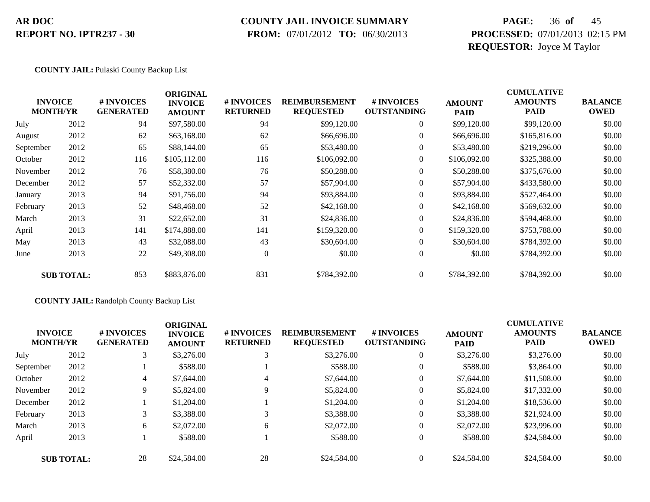# **COUNTY JAIL INVOICE SUMMARY**

 **FROM:** 07/01/2012 **TO:** 06/30/2013

# **PAGE:** 36 **of** 45 **PROCESSED:** 07/01/2013 02:15 PM **REQUESTOR:** Joyce M Taylor

### **COUNTY JAIL:** Pulaski County Backup List

|           | <b>INVOICE</b><br><b>MONTH/YR</b> | # INVOICES<br><b>GENERATED</b> | <b>ORIGINAL</b><br><b>INVOICE</b><br><b>AMOUNT</b> | # INVOICES<br><b>RETURNED</b> | <b>REIMBURSEMENT</b><br><b>REQUESTED</b> | # INVOICES<br><b>OUTSTANDING</b> | <b>AMOUNT</b><br><b>PAID</b> | <b>CUMULATIVE</b><br><b>AMOUNTS</b><br>PAID | <b>BALANCE</b><br><b>OWED</b> |
|-----------|-----------------------------------|--------------------------------|----------------------------------------------------|-------------------------------|------------------------------------------|----------------------------------|------------------------------|---------------------------------------------|-------------------------------|
| July      | 2012                              | 94                             | \$97,580.00                                        | 94                            | \$99,120.00                              | $\overline{0}$                   | \$99,120.00                  | \$99,120.00                                 | \$0.00                        |
| August    | 2012                              | 62                             | \$63,168.00                                        | 62                            | \$66,696.00                              | $\overline{0}$                   | \$66,696.00                  | \$165,816.00                                | \$0.00                        |
| September | 2012                              | 65                             | \$88,144.00                                        | 65                            | \$53,480.00                              | $\overline{0}$                   | \$53,480.00                  | \$219,296.00                                | \$0.00                        |
| October   | 2012                              | 116                            | \$105,112.00                                       | 116                           | \$106,092.00                             | $\overline{0}$                   | \$106,092.00                 | \$325,388.00                                | \$0.00                        |
| November  | 2012                              | 76                             | \$58,380.00                                        | 76                            | \$50,288.00                              | $\overline{0}$                   | \$50,288.00                  | \$375,676.00                                | \$0.00                        |
| December  | 2012                              | 57                             | \$52,332.00                                        | 57                            | \$57,904.00                              | $\overline{0}$                   | \$57,904.00                  | \$433,580.00                                | \$0.00                        |
| January   | 2013                              | 94                             | \$91,756.00                                        | 94                            | \$93,884.00                              | $\overline{0}$                   | \$93,884.00                  | \$527,464.00                                | \$0.00                        |
| February  | 2013                              | 52                             | \$48,468.00                                        | 52                            | \$42,168.00                              | $\overline{0}$                   | \$42,168.00                  | \$569,632.00                                | \$0.00                        |
| March     | 2013                              | 31                             | \$22,652.00                                        | 31                            | \$24,836.00                              | $\overline{0}$                   | \$24,836.00                  | \$594,468.00                                | \$0.00                        |
| April     | 2013                              | 141                            | \$174,888.00                                       | 141                           | \$159,320.00                             | $\Omega$                         | \$159,320.00                 | \$753,788.00                                | \$0.00                        |
| May       | 2013                              | 43                             | \$32,088.00                                        | 43                            | \$30,604.00                              | $\overline{0}$                   | \$30,604.00                  | \$784,392.00                                | \$0.00                        |
| June      | 2013                              | 22                             | \$49,308.00                                        | $\overline{0}$                | \$0.00                                   | $\boldsymbol{0}$                 | \$0.00                       | \$784,392.00                                | \$0.00                        |
|           | <b>SUB TOTAL:</b>                 | 853                            | \$883,876.00                                       | 831                           | \$784,392.00                             | $\overline{0}$                   | \$784,392.00                 | \$784,392.00                                | \$0.00                        |

### **COUNTY JAIL:** Randolph County Backup List

|           | <b>INVOICE</b><br><b>MONTH/YR</b> | # INVOICES<br><b>GENERATED</b> | <b>ORIGINAL</b><br><b>INVOICE</b><br><b>AMOUNT</b> | # INVOICES<br><b>RETURNED</b> | <b>REIMBURSEMENT</b><br><b>REQUESTED</b> | <b>#INVOICES</b><br><b>OUTSTANDING</b> | <b>AMOUNT</b><br><b>PAID</b> | <b>CUMULATIVE</b><br><b>AMOUNTS</b><br><b>PAID</b> | <b>BALANCE</b><br><b>OWED</b> |
|-----------|-----------------------------------|--------------------------------|----------------------------------------------------|-------------------------------|------------------------------------------|----------------------------------------|------------------------------|----------------------------------------------------|-------------------------------|
| July      | 2012                              | 3                              | \$3,276.00                                         |                               | \$3,276.00                               | $\overline{0}$                         | \$3,276.00                   | \$3,276.00                                         | \$0.00                        |
| September | 2012                              |                                | \$588.00                                           |                               | \$588.00                                 | $\overline{0}$                         | \$588.00                     | \$3,864.00                                         | \$0.00                        |
| October   | 2012                              | 4                              | \$7,644.00                                         | 4                             | \$7,644.00                               | $\overline{0}$                         | \$7,644.00                   | \$11,508.00                                        | \$0.00                        |
| November  | 2012                              | 9                              | \$5,824.00                                         | 9                             | \$5,824.00                               | $\overline{0}$                         | \$5,824.00                   | \$17,332.00                                        | \$0.00                        |
| December  | 2012                              |                                | \$1,204.00                                         |                               | \$1,204.00                               | $\overline{0}$                         | \$1,204.00                   | \$18,536.00                                        | \$0.00                        |
| February  | 2013                              | 3                              | \$3,388.00                                         |                               | \$3,388.00                               | $\overline{0}$                         | \$3,388.00                   | \$21,924.00                                        | \$0.00                        |
| March     | 2013                              | 6                              | \$2,072.00                                         | 6                             | \$2,072.00                               | $\overline{0}$                         | \$2,072.00                   | \$23,996.00                                        | \$0.00                        |
| April     | 2013                              |                                | \$588.00                                           |                               | \$588.00                                 | $\overline{0}$                         | \$588.00                     | \$24,584.00                                        | \$0.00                        |
|           | <b>SUB TOTAL:</b>                 | 28                             | \$24,584.00                                        | 28                            | \$24,584.00                              | $\Omega$                               | \$24,584.00                  | \$24,584.00                                        | \$0.00                        |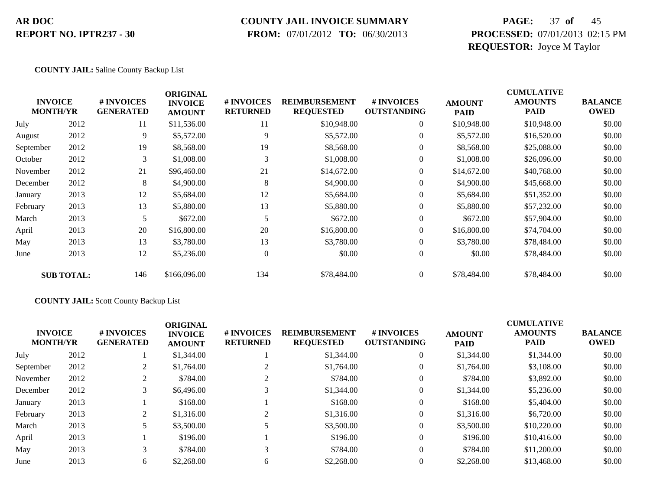### **COUNTY JAIL INVOICE SUMMARY**

 **FROM:** 07/01/2012 **TO:** 06/30/2013

# **PAGE:** 37 **of** 45 **PROCESSED:** 07/01/2013 02:15 PM **REQUESTOR:** Joyce M Taylor

### **COUNTY JAIL:** Saline County Backup List

|           | <b>INVOICE</b><br><b>MONTH/YR</b> | # INVOICES<br><b>GENERATED</b> | <b>ORIGINAL</b><br><b>INVOICE</b><br><b>AMOUNT</b> | # INVOICES<br><b>RETURNED</b> | <b>REIMBURSEMENT</b><br><b>REQUESTED</b> | # INVOICES<br><b>OUTSTANDING</b> | <b>AMOUNT</b><br><b>PAID</b> | <b>CUMULATIVE</b><br><b>AMOUNTS</b><br><b>PAID</b> | <b>BALANCE</b><br><b>OWED</b> |
|-----------|-----------------------------------|--------------------------------|----------------------------------------------------|-------------------------------|------------------------------------------|----------------------------------|------------------------------|----------------------------------------------------|-------------------------------|
| July      | 2012                              | 11                             | \$11,536.00                                        | 11                            | \$10,948.00                              | $\overline{0}$                   | \$10,948.00                  | \$10,948.00                                        | \$0.00                        |
| August    | 2012                              | 9                              | \$5,572.00                                         | 9                             | \$5,572.00                               | $\overline{0}$                   | \$5,572.00                   | \$16,520.00                                        | \$0.00                        |
| September | 2012                              | 19                             | \$8,568.00                                         | 19                            | \$8,568.00                               | $\mathbf{0}$                     | \$8,568.00                   | \$25,088.00                                        | \$0.00                        |
| October   | 2012                              | 3                              | \$1,008.00                                         | 3                             | \$1,008.00                               | $\mathbf{0}$                     | \$1,008.00                   | \$26,096.00                                        | \$0.00                        |
| November  | 2012                              | 21                             | \$96,460.00                                        | 21                            | \$14,672.00                              | $\boldsymbol{0}$                 | \$14,672.00                  | \$40,768.00                                        | \$0.00                        |
| December  | 2012                              | 8                              | \$4,900.00                                         | 8                             | \$4,900.00                               | $\boldsymbol{0}$                 | \$4,900.00                   | \$45,668.00                                        | \$0.00                        |
| January   | 2013                              | 12                             | \$5,684.00                                         | 12                            | \$5,684.00                               | $\overline{0}$                   | \$5,684.00                   | \$51,352.00                                        | \$0.00                        |
| February  | 2013                              | 13                             | \$5,880.00                                         | 13                            | \$5,880.00                               | $\mathbf{0}$                     | \$5,880.00                   | \$57,232.00                                        | \$0.00                        |
| March     | 2013                              | 5                              | \$672.00                                           | 5                             | \$672.00                                 | $\overline{0}$                   | \$672.00                     | \$57,904.00                                        | \$0.00                        |
| April     | 2013                              | 20                             | \$16,800.00                                        | 20                            | \$16,800.00                              | $\overline{0}$                   | \$16,800.00                  | \$74,704.00                                        | \$0.00                        |
| May       | 2013                              | 13                             | \$3,780.00                                         | 13                            | \$3,780.00                               | $\overline{0}$                   | \$3,780.00                   | \$78,484.00                                        | \$0.00                        |
| June      | 2013                              | 12                             | \$5,236.00                                         | $\overline{0}$                | \$0.00                                   | $\boldsymbol{0}$                 | \$0.00                       | \$78,484.00                                        | \$0.00                        |
|           | <b>SUB TOTAL:</b>                 | 146                            | \$166,096.00                                       | 134                           | \$78,484.00                              | $\overline{0}$                   | \$78,484.00                  | \$78,484.00                                        | \$0.00                        |

### **COUNTY JAIL:** Scott County Backup List

| <b>INVOICE</b><br><b>MONTH/YR</b> | # INVOICES<br><b>GENERATED</b> | <b>ORIGINAL</b><br><b>INVOICE</b><br><b>AMOUNT</b> | # INVOICES<br><b>RETURNED</b> | <b>REIMBURSEMENT</b><br><b>REQUESTED</b> | # INVOICES<br><b>OUTSTANDING</b> | <b>AMOUNT</b><br><b>PAID</b> | <b>CUMULATIVE</b><br><b>AMOUNTS</b><br><b>PAID</b> | <b>BALANCE</b><br><b>OWED</b> |
|-----------------------------------|--------------------------------|----------------------------------------------------|-------------------------------|------------------------------------------|----------------------------------|------------------------------|----------------------------------------------------|-------------------------------|
| 2012                              |                                | \$1,344.00                                         |                               | \$1,344.00                               | $\overline{0}$                   | \$1,344.00                   | \$1,344.00                                         | \$0.00                        |
| 2012                              | 2                              | \$1,764.00                                         |                               | \$1,764.00                               | $\overline{0}$                   | \$1,764.00                   | \$3,108.00                                         | \$0.00                        |
| 2012                              |                                | \$784.00                                           |                               | \$784.00                                 | $\overline{0}$                   | \$784.00                     | \$3,892.00                                         | \$0.00                        |
| 2012                              |                                | \$6,496.00                                         |                               | \$1,344.00                               | 0                                | \$1,344.00                   | \$5,236.00                                         | \$0.00                        |
| 2013                              |                                | \$168.00                                           |                               | \$168.00                                 | $\overline{0}$                   | \$168.00                     | \$5,404.00                                         | \$0.00                        |
| 2013                              | 2                              | \$1,316.00                                         |                               | \$1,316.00                               | $\overline{0}$                   | \$1,316.00                   | \$6,720.00                                         | \$0.00                        |
| 2013                              |                                | \$3,500.00                                         |                               | \$3,500.00                               | $\overline{0}$                   | \$3,500.00                   | \$10,220.00                                        | \$0.00                        |
| 2013                              |                                | \$196.00                                           |                               | \$196.00                                 | $\overline{0}$                   | \$196.00                     | \$10,416.00                                        | \$0.00                        |
| 2013                              | 3                              | \$784.00                                           | 3                             | \$784.00                                 | $\overline{0}$                   | \$784.00                     | \$11,200.00                                        | \$0.00                        |
| 2013                              | 6                              | \$2,268.00                                         | 6                             | \$2,268.00                               | 0                                | \$2,268.00                   | \$13,468.00                                        | \$0.00                        |
|                                   |                                |                                                    |                               |                                          |                                  |                              |                                                    |                               |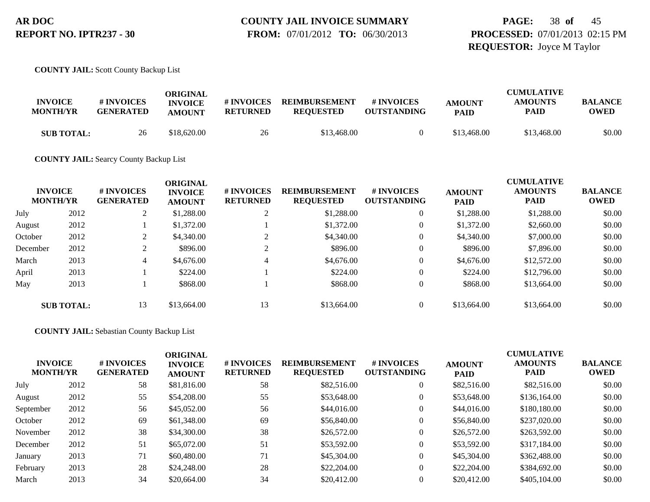**PAGE:** 38 **of** 45 **PROCESSED:** 07/01/2013 02:15 PM **REQUESTOR:** Joyce M Taylor

**COUNTY JAIL:** Scott County Backup List

| <b>INVOICE</b><br><b>MONTH/YR</b> | # INVOICES<br><b>GENERATED</b> | ORIGINAL<br><b>INVOICE</b><br><b>AMOUNT</b> | # INVOICES<br>RETURNED | <b>REIMBURSEMENT</b><br><b>REOUESTED</b> | <b>#INVOICES</b><br><b>OUTSTANDING</b> | <b>AMOUNT</b><br><b>PAID</b> | <b>CUMULATIVE</b><br>AMOUNTS<br>PAID | <b>BALANCE</b><br><b>OWED</b> |
|-----------------------------------|--------------------------------|---------------------------------------------|------------------------|------------------------------------------|----------------------------------------|------------------------------|--------------------------------------|-------------------------------|
| <b>SUB TOTAL:</b>                 | 26                             | \$18,620.00                                 | 26                     | \$13,468.00                              |                                        | \$13,468.00                  | \$13,468.00                          | \$0.00                        |

**COUNTY JAIL:** Searcy County Backup List

| <b>INVOICE</b><br><b>MONTH/YR</b> |                   | <b>#INVOICES</b><br><b>GENERATED</b> | <b>ORIGINAL</b><br><b>INVOICE</b><br><b>AMOUNT</b> | # INVOICES<br><b>RETURNED</b> | <b>REIMBURSEMENT</b><br><b>REQUESTED</b> | <b># INVOICES</b><br><b>OUTSTANDING</b> | <b>AMOUNT</b><br><b>PAID</b> | <b>CUMULATIVE</b><br><b>AMOUNTS</b><br><b>PAID</b> | <b>BALANCE</b><br><b>OWED</b> |
|-----------------------------------|-------------------|--------------------------------------|----------------------------------------------------|-------------------------------|------------------------------------------|-----------------------------------------|------------------------------|----------------------------------------------------|-------------------------------|
| July                              | 2012              | $\gamma$                             | \$1,288.00                                         |                               | \$1,288.00                               | $\overline{0}$                          | \$1,288.00                   | \$1,288.00                                         | \$0.00                        |
| August                            | 2012              |                                      | \$1,372.00                                         |                               | \$1,372.00                               | $\mathbf{0}$                            | \$1,372.00                   | \$2,660.00                                         | \$0.00                        |
| October                           | 2012              | 2                                    | \$4,340.00                                         |                               | \$4,340.00                               | $\overline{0}$                          | \$4,340.00                   | \$7,000.00                                         | \$0.00                        |
| December                          | 2012              |                                      | \$896.00                                           |                               | \$896.00                                 | $\overline{0}$                          | \$896.00                     | \$7,896.00                                         | \$0.00                        |
| March                             | 2013              | 4                                    | \$4,676.00                                         |                               | \$4,676.00                               | $\mathbf{0}$                            | \$4,676.00                   | \$12,572.00                                        | \$0.00                        |
| April                             | 2013              |                                      | \$224.00                                           |                               | \$224.00                                 | $\overline{0}$                          | \$224.00                     | \$12,796.00                                        | \$0.00                        |
| May                               | 2013              |                                      | \$868.00                                           |                               | \$868.00                                 | $\overline{0}$                          | \$868.00                     | \$13,664.00                                        | \$0.00                        |
|                                   | <b>SUB TOTAL:</b> | 13                                   | \$13,664.00                                        | 13                            | \$13,664.00                              |                                         | \$13,664.00                  | \$13,664.00                                        | \$0.00                        |

### **COUNTY JAIL:** Sebastian County Backup List

| <b>INVOICE</b><br><b>MONTH/YR</b> |      | # INVOICES<br><b>GENERATED</b> | <b>ORIGINAL</b><br><b>INVOICE</b><br><b>AMOUNT</b> | # INVOICES<br><b>RETURNED</b> | <b>REIMBURSEMENT</b><br><b>REQUESTED</b> | # INVOICES<br><b>OUTSTANDING</b> | <b>AMOUNT</b><br><b>PAID</b> | <b>CUMULATIVE</b><br><b>AMOUNTS</b><br><b>PAID</b> | <b>BALANCE</b><br><b>OWED</b> |
|-----------------------------------|------|--------------------------------|----------------------------------------------------|-------------------------------|------------------------------------------|----------------------------------|------------------------------|----------------------------------------------------|-------------------------------|
| July                              | 2012 | 58                             | \$81,816.00                                        | 58                            | \$82,516.00                              | $\overline{0}$                   | \$82,516.00                  | \$82,516.00                                        | \$0.00                        |
| August                            | 2012 | 55                             | \$54,208.00                                        | 55                            | \$53,648.00                              | $\overline{0}$                   | \$53,648.00                  | \$136,164.00                                       | \$0.00                        |
| September                         | 2012 | 56                             | \$45,052.00                                        | 56                            | \$44,016.00                              | $\overline{0}$                   | \$44,016.00                  | \$180,180.00                                       | \$0.00                        |
| October                           | 2012 | 69                             | \$61,348.00                                        | 69                            | \$56,840.00                              | $\overline{0}$                   | \$56,840.00                  | \$237,020.00                                       | \$0.00                        |
| November                          | 2012 | 38                             | \$34,300.00                                        | 38                            | \$26,572.00                              | $\overline{0}$                   | \$26,572.00                  | \$263,592.00                                       | \$0.00                        |
| December                          | 2012 | 51                             | \$65,072.00                                        | 51                            | \$53,592.00                              | $\overline{0}$                   | \$53,592.00                  | \$317,184.00                                       | \$0.00                        |
| January                           | 2013 | 71                             | \$60,480.00                                        | 71                            | \$45,304.00                              | $\overline{0}$                   | \$45,304.00                  | \$362,488.00                                       | \$0.00                        |
| February                          | 2013 | 28                             | \$24,248.00                                        | 28                            | \$22,204.00                              | $\overline{0}$                   | \$22,204.00                  | \$384,692.00                                       | \$0.00                        |
| March                             | 2013 | 34                             | \$20,664.00                                        | 34                            | \$20,412.00                              | $\theta$                         | \$20,412.00                  | \$405,104.00                                       | \$0.00                        |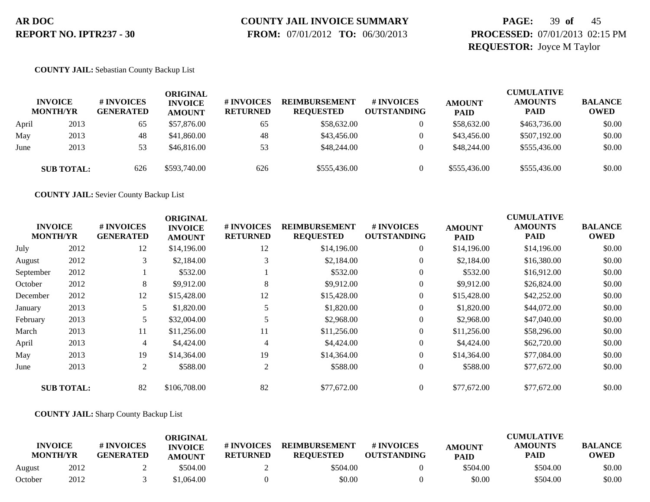# **COUNTY JAIL INVOICE SUMMARY**

 **FROM:** 07/01/2012 **TO:** 06/30/2013

# **PAGE:** 39 **of** 45 **PROCESSED:** 07/01/2013 02:15 PM **REQUESTOR:** Joyce M Taylor

### **COUNTY JAIL:** Sebastian County Backup List

|       | <b>INVOICE</b><br><b>MONTH/YR</b> | # INVOICES<br><b>GENERATED</b> | ORIGINAL<br><b>INVOICE</b><br><b>AMOUNT</b> | # INVOICES<br><b>RETURNED</b> | <b>REIMBURSEMENT</b><br><b>REOUESTED</b> | # INVOICES<br><b>OUTSTANDING</b> | <b>AMOUNT</b><br><b>PAID</b> | <b>CUMULATIVE</b><br><b>AMOUNTS</b><br><b>PAID</b> | <b>BALANCE</b><br><b>OWED</b> |
|-------|-----------------------------------|--------------------------------|---------------------------------------------|-------------------------------|------------------------------------------|----------------------------------|------------------------------|----------------------------------------------------|-------------------------------|
| April | 2013                              | 65                             | \$57,876.00                                 | 65                            | \$58,632.00                              |                                  | \$58,632.00                  | \$463,736.00                                       | \$0.00                        |
| May   | 2013                              | 48                             | \$41,860.00                                 | 48                            | \$43,456.00                              |                                  | \$43,456.00                  | \$507,192.00                                       | \$0.00                        |
| June  | 2013                              | 53                             | \$46,816.00                                 | 53                            | \$48,244.00                              |                                  | \$48,244.00                  | \$555,436.00                                       | \$0.00                        |
|       | <b>SUB TOTAL:</b>                 | 626                            | \$593,740.00                                | 626                           | \$555,436.00                             |                                  | \$555,436.00                 | \$555,436.00                                       | \$0.00                        |

**COUNTY JAIL:** Sevier County Backup List

|                                   |                   |                                | <b>ORIGINAL</b>                 |                               |                                          |                                        |                              | <b>CUMULATIVE</b>             |                               |
|-----------------------------------|-------------------|--------------------------------|---------------------------------|-------------------------------|------------------------------------------|----------------------------------------|------------------------------|-------------------------------|-------------------------------|
| <b>INVOICE</b><br><b>MONTH/YR</b> |                   | # INVOICES<br><b>GENERATED</b> | <b>INVOICE</b><br><b>AMOUNT</b> | # INVOICES<br><b>RETURNED</b> | <b>REIMBURSEMENT</b><br><b>REQUESTED</b> | <b>#INVOICES</b><br><b>OUTSTANDING</b> | <b>AMOUNT</b><br><b>PAID</b> | <b>AMOUNTS</b><br><b>PAID</b> | <b>BALANCE</b><br><b>OWED</b> |
| July                              | 2012              | 12                             | \$14,196.00                     | 12                            | \$14,196.00                              | $\theta$                               | \$14,196.00                  | \$14,196.00                   | \$0.00                        |
| August                            | 2012              | 3                              | \$2,184.00                      | 3                             | \$2,184.00                               | $\overline{0}$                         | \$2,184.00                   | \$16,380.00                   | \$0.00                        |
| September                         | 2012              |                                | \$532.00                        |                               | \$532.00                                 | $\overline{0}$                         | \$532.00                     | \$16,912.00                   | \$0.00                        |
| October                           | 2012              | 8                              | \$9,912.00                      | 8                             | \$9,912.00                               | 0                                      | \$9,912.00                   | \$26,824.00                   | \$0.00                        |
| December                          | 2012              | 12                             | \$15,428.00                     | 12                            | \$15,428.00                              | $\overline{0}$                         | \$15,428.00                  | \$42,252.00                   | \$0.00                        |
| January                           | 2013              | 5                              | \$1,820.00                      |                               | \$1,820.00                               | $\boldsymbol{0}$                       | \$1,820.00                   | \$44,072.00                   | \$0.00                        |
| February                          | 2013              | 5.                             | \$32,004.00                     |                               | \$2,968.00                               | $\overline{0}$                         | \$2,968.00                   | \$47,040.00                   | \$0.00                        |
| March                             | 2013              | 11                             | \$11,256.00                     | 11                            | \$11,256.00                              | $\boldsymbol{0}$                       | \$11,256.00                  | \$58,296.00                   | \$0.00                        |
| April                             | 2013              | $\overline{4}$                 | \$4,424.00                      | 4                             | \$4,424.00                               | $\overline{0}$                         | \$4,424.00                   | \$62,720.00                   | \$0.00                        |
| May                               | 2013              | 19                             | \$14,364.00                     | 19                            | \$14,364.00                              | $\overline{0}$                         | \$14,364.00                  | \$77,084.00                   | \$0.00                        |
| June                              | 2013              | 2                              | \$588.00                        | 2                             | \$588.00                                 | $\overline{0}$                         | \$588.00                     | \$77,672.00                   | \$0.00                        |
|                                   | <b>SUB TOTAL:</b> | 82                             | \$106,708.00                    | 82                            | \$77,672.00                              |                                        | \$77,672.00                  | \$77,672.00                   | \$0.00                        |

### **COUNTY JAIL:** Sharp County Backup List

| <b>INVOICE</b> |                 | # INVOICES       | ORIGINAL<br><b>INVOICE</b> | # INVOICES<br><b>REIMBURSEMENT</b> |                  | # INVOICES         | <b>AMOUNT</b> | <b>CUMULATIVE</b><br><b>AMOUNTS</b> | <b>BALANCE</b> |
|----------------|-----------------|------------------|----------------------------|------------------------------------|------------------|--------------------|---------------|-------------------------------------|----------------|
|                | <b>MONTH/YR</b> | <b>GENERATED</b> | <b>AMOUNT</b>              | <b>RETURNED</b>                    | <b>REOUESTED</b> | <b>OUTSTANDING</b> | <b>PAID</b>   | <b>PAID</b>                         | <b>OWED</b>    |
| August         | 2012            |                  | \$504.00                   |                                    | \$504.00         |                    | \$504.00      | \$504.00                            | \$0.00         |
| October        | 2012            |                  | \$1.064.00                 |                                    | \$0.00           |                    | \$0.00        | \$504.00                            | \$0.00         |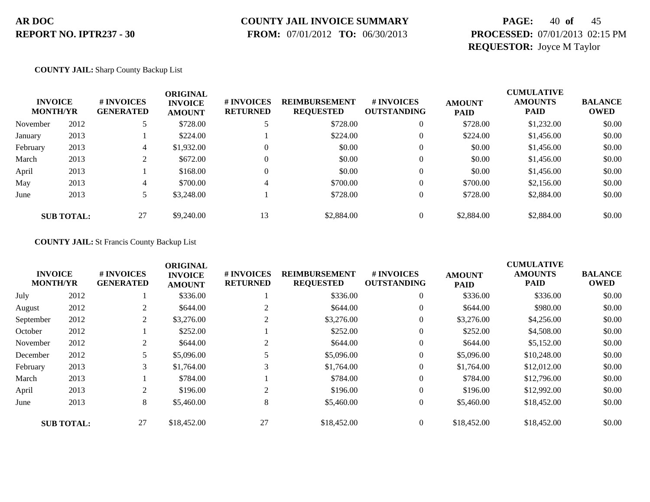### **COUNTY JAIL INVOICE SUMMARY**

 **FROM:** 07/01/2012 **TO:** 06/30/2013

# **PAGE:** 40 **of** 45 **PROCESSED:** 07/01/2013 02:15 PM **REQUESTOR:** Joyce M Taylor

### **COUNTY JAIL:** Sharp County Backup List

| <b>INVOICE</b><br><b>MONTH/YR</b> |                   | # INVOICES<br><b>GENERATED</b> | <b>ORIGINAL</b><br><b>INVOICE</b><br><b>AMOUNT</b> | # INVOICES<br><b>RETURNED</b> | <b>REIMBURSEMENT</b><br><b>REQUESTED</b> | # INVOICES<br><b>OUTSTANDING</b> | <b>AMOUNT</b><br><b>PAID</b> | <b>CUMULATIVE</b><br><b>AMOUNTS</b><br><b>PAID</b> | <b>BALANCE</b><br><b>OWED</b> |
|-----------------------------------|-------------------|--------------------------------|----------------------------------------------------|-------------------------------|------------------------------------------|----------------------------------|------------------------------|----------------------------------------------------|-------------------------------|
| November                          | 2012              |                                | \$728.00                                           |                               | \$728.00                                 | $\mathbf{0}$                     | \$728.00                     | \$1,232.00                                         | \$0.00                        |
| January                           | 2013              |                                | \$224.00                                           |                               | \$224.00                                 | $\theta$                         | \$224.00                     | \$1,456.00                                         | \$0.00                        |
| February                          | 2013              | 4                              | \$1,932.00                                         | 0                             | \$0.00                                   | $\theta$                         | \$0.00                       | \$1,456.00                                         | \$0.00                        |
| March                             | 2013              | ↑                              | \$672.00                                           | 0                             | \$0.00                                   | $\Omega$                         | \$0.00                       | \$1,456.00                                         | \$0.00                        |
| April                             | 2013              |                                | \$168.00                                           | $\Omega$                      | \$0.00                                   | 0                                | \$0.00                       | \$1,456.00                                         | \$0.00                        |
| May                               | 2013              | 4                              | \$700.00                                           | 4                             | \$700.00                                 | 0                                | \$700.00                     | \$2,156.00                                         | \$0.00                        |
| June                              | 2013              |                                | \$3,248.00                                         |                               | \$728.00                                 | 0                                | \$728.00                     | \$2,884.00                                         | \$0.00                        |
|                                   | <b>SUB TOTAL:</b> | 27                             | \$9,240.00                                         | 13                            | \$2,884.00                               |                                  | \$2,884.00                   | \$2,884.00                                         | \$0.00                        |

### **COUNTY JAIL:** St Francis County Backup List

|                                   |                   |                                | <b>ORIGINAL</b>                 |                               |                                          | <b>CUMULATIVE</b>                |                              |                               |                               |
|-----------------------------------|-------------------|--------------------------------|---------------------------------|-------------------------------|------------------------------------------|----------------------------------|------------------------------|-------------------------------|-------------------------------|
| <b>INVOICE</b><br><b>MONTH/YR</b> |                   | # INVOICES<br><b>GENERATED</b> | <b>INVOICE</b><br><b>AMOUNT</b> | # INVOICES<br><b>RETURNED</b> | <b>REIMBURSEMENT</b><br><b>REQUESTED</b> | # INVOICES<br><b>OUTSTANDING</b> | <b>AMOUNT</b><br><b>PAID</b> | <b>AMOUNTS</b><br><b>PAID</b> | <b>BALANCE</b><br><b>OWED</b> |
| July                              | 2012              |                                | \$336.00                        |                               | \$336.00                                 | $\mathbf{0}$                     | \$336.00                     | \$336.00                      | \$0.00                        |
| August                            | 2012              | 2                              | \$644.00                        | 2                             | \$644.00                                 | $\overline{0}$                   | \$644.00                     | \$980.00                      | \$0.00                        |
| September                         | 2012              | 2                              | \$3,276.00                      |                               | \$3,276.00                               | $\overline{0}$                   | \$3,276.00                   | \$4,256.00                    | \$0.00                        |
| October                           | 2012              |                                | \$252.00                        |                               | \$252.00                                 | $\mathbf{0}$                     | \$252.00                     | \$4,508.00                    | \$0.00                        |
| November                          | 2012              | C.                             | \$644.00                        | 2                             | \$644.00                                 | $\overline{0}$                   | \$644.00                     | \$5,152.00                    | \$0.00                        |
| December                          | 2012              |                                | \$5,096.00                      |                               | \$5,096.00                               | $\overline{0}$                   | \$5,096.00                   | \$10,248.00                   | \$0.00                        |
| February                          | 2013              | 3                              | \$1,764.00                      | 3                             | \$1,764.00                               | $\overline{0}$                   | \$1,764.00                   | \$12,012.00                   | \$0.00                        |
| March                             | 2013              |                                | \$784.00                        |                               | \$784.00                                 | 0                                | \$784.00                     | \$12,796.00                   | \$0.00                        |
| April                             | 2013              | ↑                              | \$196.00                        | 2                             | \$196.00                                 | $\overline{0}$                   | \$196.00                     | \$12,992.00                   | \$0.00                        |
| June                              | 2013              | 8                              | \$5,460.00                      | 8                             | \$5,460.00                               | $\overline{0}$                   | \$5,460.00                   | \$18,452.00                   | \$0.00                        |
|                                   | <b>SUB TOTAL:</b> | 27                             | \$18,452.00                     | 27                            | \$18,452.00                              | $\overline{0}$                   | \$18,452.00                  | \$18,452.00                   | \$0.00                        |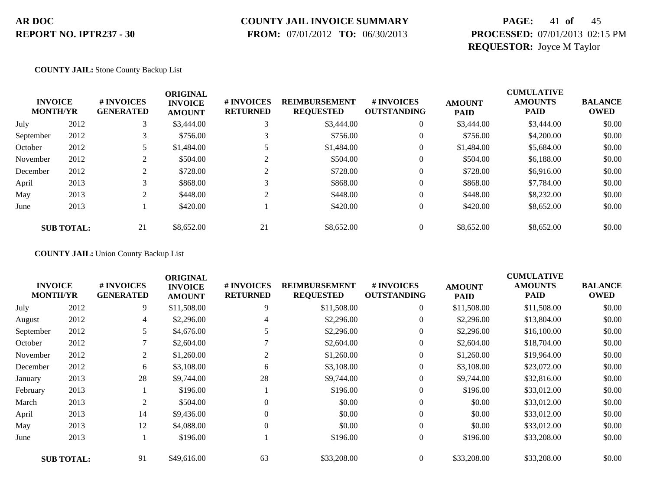### **COUNTY JAIL INVOICE SUMMARY**

 **FROM:** 07/01/2012 **TO:** 06/30/2013

# **PAGE:** 41 **of** 45 **PROCESSED:** 07/01/2013 02:15 PM **REQUESTOR:** Joyce M Taylor

### **COUNTY JAIL:** Stone County Backup List

| <b>INVOICE</b><br><b>MONTH/YR</b> |                   | # INVOICES<br><b>GENERATED</b> | <b>ORIGINAL</b><br><b>INVOICE</b><br><b>AMOUNT</b> | # INVOICES<br><b>RETURNED</b> | <b>REIMBURSEMENT</b><br><b>REQUESTED</b> | # INVOICES<br><b>OUTSTANDING</b> | <b>AMOUNT</b><br><b>PAID</b> | <b>CUMULATIVE</b><br><b>AMOUNTS</b><br><b>PAID</b> | <b>BALANCE</b><br><b>OWED</b> |
|-----------------------------------|-------------------|--------------------------------|----------------------------------------------------|-------------------------------|------------------------------------------|----------------------------------|------------------------------|----------------------------------------------------|-------------------------------|
| July                              | 2012              | 3                              | \$3,444.00                                         |                               | \$3,444.00                               | $\mathbf{0}$                     | \$3,444.00                   | \$3,444.00                                         | \$0.00                        |
| September                         | 2012              |                                | \$756.00                                           |                               | \$756.00                                 | $\theta$                         | \$756.00                     | \$4,200.00                                         | \$0.00                        |
| October                           | 2012              |                                | \$1,484.00                                         |                               | \$1,484.00                               | $\mathbf{0}$                     | \$1,484.00                   | \$5,684.00                                         | \$0.00                        |
| November                          | 2012              | $\gamma$                       | \$504.00                                           |                               | \$504.00                                 | $\mathbf{0}$                     | \$504.00                     | \$6,188.00                                         | \$0.00                        |
| December                          | 2012              | 2                              | \$728.00                                           |                               | \$728.00                                 | $\overline{0}$                   | \$728.00                     | \$6,916.00                                         | \$0.00                        |
| April                             | 2013              | 3                              | \$868.00                                           | $\sim$                        | \$868.00                                 | $\overline{0}$                   | \$868.00                     | \$7,784.00                                         | \$0.00                        |
| May                               | 2013              | 2                              | \$448.00                                           | $\sim$                        | \$448.00                                 | $\overline{0}$                   | \$448.00                     | \$8,232,00                                         | \$0.00                        |
| June                              | 2013              |                                | \$420.00                                           |                               | \$420.00                                 | $\overline{0}$                   | \$420.00                     | \$8,652.00                                         | \$0.00                        |
|                                   | <b>SUB TOTAL:</b> | 21                             | \$8,652.00                                         | 21                            | \$8,652.00                               |                                  | \$8,652.00                   | \$8,652.00                                         | \$0.00                        |

**COUNTY JAIL:** Union County Backup List

| <b>INVOICE</b><br><b>MONTH/YR</b> |                   | # INVOICES<br><b>GENERATED</b> | <b>ORIGINAL</b><br><b>INVOICE</b><br><b>AMOUNT</b> | # INVOICES<br><b>RETURNED</b> | <b>REIMBURSEMENT</b><br><b>REQUESTED</b> | # INVOICES<br><b>OUTSTANDING</b> | <b>AMOUNT</b><br><b>PAID</b> | <b>CUMULATIVE</b><br><b>AMOUNTS</b><br><b>PAID</b> | <b>BALANCE</b><br><b>OWED</b> |
|-----------------------------------|-------------------|--------------------------------|----------------------------------------------------|-------------------------------|------------------------------------------|----------------------------------|------------------------------|----------------------------------------------------|-------------------------------|
| July                              | 2012              | 9                              | \$11,508.00                                        | 9                             | \$11,508.00                              | $\overline{0}$                   | \$11,508.00                  | \$11,508.00                                        | \$0.00                        |
| August                            | 2012              | 4                              | \$2,296.00                                         | 4                             | \$2,296.00                               | $\overline{0}$                   | \$2,296.00                   | \$13,804.00                                        | \$0.00                        |
| September                         | 2012              |                                | \$4,676.00                                         |                               | \$2,296.00                               | $\boldsymbol{0}$                 | \$2,296.00                   | \$16,100.00                                        | \$0.00                        |
| October                           | 2012              |                                | \$2,604.00                                         |                               | \$2,604.00                               | $\overline{0}$                   | \$2,604.00                   | \$18,704.00                                        | \$0.00                        |
| November                          | 2012              | 2                              | \$1,260.00                                         | 2                             | \$1,260.00                               | $\overline{0}$                   | \$1,260.00                   | \$19,964.00                                        | \$0.00                        |
| December                          | 2012              | 6                              | \$3,108.00                                         | 6                             | \$3,108.00                               | $\overline{0}$                   | \$3,108.00                   | \$23,072.00                                        | \$0.00                        |
| January                           | 2013              | 28                             | \$9,744.00                                         | 28                            | \$9,744.00                               | 0                                | \$9,744.00                   | \$32,816.00                                        | \$0.00                        |
| February                          | 2013              |                                | \$196.00                                           |                               | \$196.00                                 | $\overline{0}$                   | \$196.00                     | \$33,012.00                                        | \$0.00                        |
| March                             | 2013              | 2                              | \$504.00                                           | $\Omega$                      | \$0.00                                   | $\overline{0}$                   | \$0.00                       | \$33,012.00                                        | \$0.00                        |
| April                             | 2013              | 14                             | \$9,436.00                                         | $\theta$                      | \$0.00                                   | $\overline{0}$                   | \$0.00                       | \$33,012.00                                        | \$0.00                        |
| May                               | 2013              | 12                             | \$4,088.00                                         | $\Omega$                      | \$0.00                                   | $\overline{0}$                   | \$0.00                       | \$33,012.00                                        | \$0.00                        |
| June                              | 2013              |                                | \$196.00                                           |                               | \$196.00                                 | $\overline{0}$                   | \$196.00                     | \$33,208.00                                        | \$0.00                        |
|                                   | <b>SUB TOTAL:</b> | 91                             | \$49,616.00                                        | 63                            | \$33,208.00                              | $\overline{0}$                   | \$33,208.00                  | \$33,208.00                                        | \$0.00                        |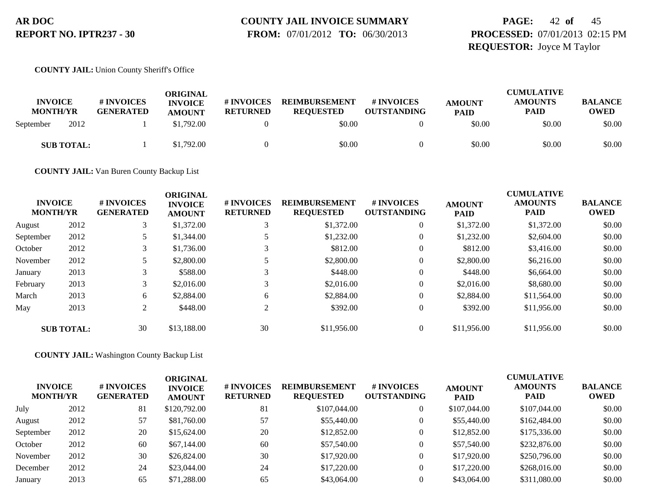# **COUNTY JAIL INVOICE SUMMARY**

 **FROM:** 07/01/2012 **TO:** 06/30/2013

# **PAGE:** 42 **of** 45 **PROCESSED:** 07/01/2013 02:15 PM **REQUESTOR:** Joyce M Taylor

**COUNTY JAIL:** Union County Sheriff's Office

| <b>INVOICE</b><br><b>MONTH/YR</b> | # INVOICES<br><b>GENERATED</b> | ORIGINAL<br><b>INVOICE</b><br><b>AMOUNT</b> | # INVOICES<br><b>RETURNED</b> | <b>REIMBURSEMENT</b><br><b>REQUESTED</b> | # INVOICES<br><b>OUTSTANDING</b> | <b>AMOUNT</b><br><b>PAID</b> | <b>CUMULATIVE</b><br><b>AMOUNTS</b><br><b>PAID</b> | <b>BALANCE</b><br>OWED |
|-----------------------------------|--------------------------------|---------------------------------------------|-------------------------------|------------------------------------------|----------------------------------|------------------------------|----------------------------------------------------|------------------------|
| 2012<br>September                 |                                | \$1,792.00                                  |                               | \$0.00                                   |                                  | \$0.00                       | \$0.00                                             | \$0.00                 |
| <b>SUB TOTAL:</b>                 |                                | \$1,792.00                                  |                               | \$0.00                                   |                                  | \$0.00                       | \$0.00                                             | \$0.00                 |

**COUNTY JAIL:** Van Buren County Backup List

| <b>INVOICE</b><br><b>MONTH/YR</b> |                   | # INVOICES<br><b>GENERATED</b> | <b>ORIGINAL</b><br><b>INVOICE</b><br><b>AMOUNT</b> | # INVOICES<br><b>RETURNED</b> | <b>REIMBURSEMENT</b><br><b>REQUESTED</b> | # INVOICES<br><b>OUTSTANDING</b> | <b>AMOUNT</b><br><b>PAID</b> | <b>CUMULATIVE</b><br><b>AMOUNTS</b><br><b>PAID</b> | <b>BALANCE</b><br><b>OWED</b> |
|-----------------------------------|-------------------|--------------------------------|----------------------------------------------------|-------------------------------|------------------------------------------|----------------------------------|------------------------------|----------------------------------------------------|-------------------------------|
| August                            | 2012              | 3                              | \$1,372.00                                         |                               | \$1,372.00                               | $\overline{0}$                   | \$1,372.00                   | \$1,372.00                                         | \$0.00                        |
| September                         | 2012              |                                | \$1,344.00                                         |                               | \$1,232.00                               | $\boldsymbol{0}$                 | \$1,232.00                   | \$2,604.00                                         | \$0.00                        |
| October                           | 2012              | 3                              | \$1,736.00                                         |                               | \$812.00                                 | $\boldsymbol{0}$                 | \$812.00                     | \$3,416.00                                         | \$0.00                        |
| November                          | 2012              |                                | \$2,800.00                                         |                               | \$2,800.00                               | $\theta$                         | \$2,800.00                   | \$6,216.00                                         | \$0.00                        |
| January                           | 2013              | 3                              | \$588.00                                           | 3                             | \$448.00                                 | $\boldsymbol{0}$                 | \$448.00                     | \$6,664.00                                         | \$0.00                        |
| February                          | 2013              | 3                              | \$2,016.00                                         |                               | \$2,016.00                               | $\boldsymbol{0}$                 | \$2,016.00                   | \$8,680.00                                         | \$0.00                        |
| March                             | 2013              | 6                              | \$2,884.00                                         | 6                             | \$2,884.00                               | $\overline{0}$                   | \$2,884.00                   | \$11,564.00                                        | \$0.00                        |
| May                               | 2013              | 2                              | \$448.00                                           | ↑                             | \$392.00                                 | $\boldsymbol{0}$                 | \$392.00                     | \$11,956.00                                        | \$0.00                        |
|                                   | <b>SUB TOTAL:</b> | 30                             | \$13,188,00                                        | 30                            | \$11,956.00                              | $\theta$                         | \$11,956.00                  | \$11,956.00                                        | \$0.00                        |

**COUNTY JAIL:** Washington County Backup List

| <b>INVOICE</b><br><b>MONTH/YR</b> |      | # INVOICES<br><b>GENERATED</b> | ORIGINAL<br><b>INVOICE</b><br><b>AMOUNT</b> | <b>#INVOICES</b><br><b>RETURNED</b> | <b>REIMBURSEMENT</b><br><b>REQUESTED</b> | <b>#INVOICES</b><br><b>OUTSTANDING</b> | <b>AMOUNT</b><br><b>PAID</b> | <b>CUMULATIVE</b><br><b>AMOUNTS</b><br><b>PAID</b> | <b>BALANCE</b><br><b>OWED</b> |
|-----------------------------------|------|--------------------------------|---------------------------------------------|-------------------------------------|------------------------------------------|----------------------------------------|------------------------------|----------------------------------------------------|-------------------------------|
| July                              | 2012 | 81                             | \$120,792.00                                | 81                                  | \$107,044.00                             | 0                                      | \$107,044.00                 | \$107,044.00                                       | \$0.00                        |
| August                            | 2012 | 57                             | \$81,760.00                                 | 57                                  | \$55,440.00                              | 0                                      | \$55,440.00                  | \$162,484.00                                       | \$0.00                        |
| September                         | 2012 | 20                             | \$15,624.00                                 | 20                                  | \$12,852.00                              | 0                                      | \$12,852.00                  | \$175,336.00                                       | \$0.00                        |
| October                           | 2012 | 60                             | \$67,144.00                                 | 60                                  | \$57,540.00                              | 0                                      | \$57,540.00                  | \$232,876.00                                       | \$0.00                        |
| November                          | 2012 | 30                             | \$26,824.00                                 | 30                                  | \$17,920.00                              | 0                                      | \$17,920.00                  | \$250,796.00                                       | \$0.00                        |
| December                          | 2012 | 24                             | \$23,044.00                                 | 24                                  | \$17,220.00                              | 0                                      | \$17,220.00                  | \$268,016.00                                       | \$0.00                        |
| January                           | 2013 | 65                             | \$71,288.00                                 | 65                                  | \$43,064.00                              |                                        | \$43,064.00                  | \$311,080.00                                       | \$0.00                        |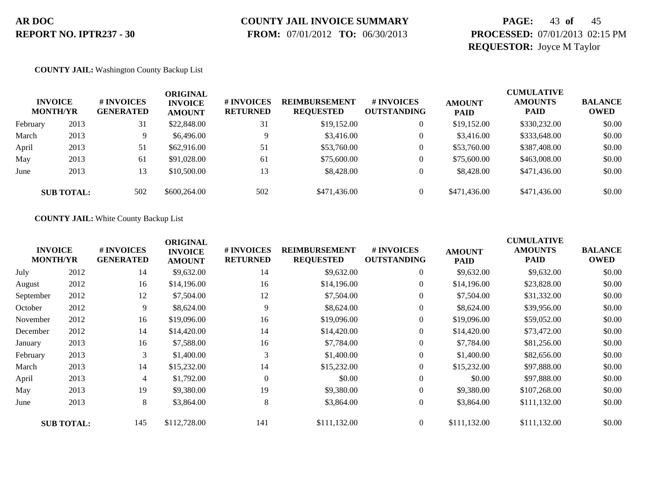# **COUNTY JAIL INVOICE SUMMARY**

 **FROM:** 07/01/2012 **TO:** 06/30/2013

# **PAGE:** 43 **of** 45 **PROCESSED:** 07/01/2013 02:15 PM **REQUESTOR:** Joyce M Taylor

### **COUNTY JAIL:** Washington County Backup List

|          | <b>INVOICE</b><br><b>MONTH/YR</b> | # INVOICES<br><b>GENERATED</b> | ORIGINAL<br><b>INVOICE</b><br><b>AMOUNT</b> | # INVOICES<br><b>RETURNED</b> | <b>REIMBURSEMENT</b><br><b>REQUESTED</b> | # INVOICES<br><b>OUTSTANDING</b> | <b>AMOUNT</b><br><b>PAID</b> | <b>CUMULATIVE</b><br><b>AMOUNTS</b><br><b>PAID</b> | <b>BALANCE</b><br><b>OWED</b> |
|----------|-----------------------------------|--------------------------------|---------------------------------------------|-------------------------------|------------------------------------------|----------------------------------|------------------------------|----------------------------------------------------|-------------------------------|
| February | 2013                              | 31                             | \$22,848.00                                 | 31                            | \$19,152.00                              | $\overline{0}$                   | \$19,152.00                  | \$330,232.00                                       | \$0.00                        |
| March    | 2013                              | 9                              | \$6,496.00                                  | $\mathbf Q$                   | \$3,416.00                               |                                  | \$3,416.00                   | \$333,648.00                                       | \$0.00                        |
| April    | 2013                              | 51                             | \$62,916.00                                 | 51                            | \$53,760.00                              | $\overline{0}$                   | \$53,760.00                  | \$387,408.00                                       | \$0.00                        |
| May      | 2013                              | 61                             | \$91,028.00                                 | 61                            | \$75,600.00                              |                                  | \$75,600.00                  | \$463,008.00                                       | \$0.00                        |
| June     | 2013                              | 13                             | \$10,500.00                                 | 13                            | \$8,428.00                               | $\overline{0}$                   | \$8,428,00                   | \$471,436.00                                       | \$0.00                        |
|          | <b>SUB TOTAL:</b>                 | 502                            | \$600,264.00                                | 502                           | \$471,436.00                             | $\Omega$                         | \$471,436.00                 | \$471,436.00                                       | \$0.00                        |

### **COUNTY JAIL:** White County Backup List

| <b>INVOICE</b><br><b>MONTH/YR</b> |                   | # INVOICES<br><b>GENERATED</b> | <b>ORIGINAL</b><br><b>INVOICE</b><br><b>AMOUNT</b> | # INVOICES<br><b>RETURNED</b> | <b>REIMBURSEMENT</b><br><b>REQUESTED</b> | # INVOICES<br><b>OUTSTANDING</b> | <b>AMOUNT</b><br><b>PAID</b> | <b>CUMULATIVE</b><br><b>AMOUNTS</b><br><b>PAID</b> | <b>BALANCE</b><br><b>OWED</b> |
|-----------------------------------|-------------------|--------------------------------|----------------------------------------------------|-------------------------------|------------------------------------------|----------------------------------|------------------------------|----------------------------------------------------|-------------------------------|
| July                              | 2012              | 14                             | \$9,632.00                                         | 14                            | \$9,632.00                               | $\overline{0}$                   | \$9,632.00                   | \$9,632.00                                         | \$0.00                        |
| August                            | 2012              | 16                             | \$14,196.00                                        | 16                            | \$14,196.00                              | $\boldsymbol{0}$                 | \$14,196.00                  | \$23,828.00                                        | \$0.00                        |
| September                         | 2012              | 12                             | \$7,504.00                                         | 12                            | \$7,504.00                               | $\overline{0}$                   | \$7,504.00                   | \$31,332.00                                        | \$0.00                        |
| October                           | 2012              | 9                              | \$8,624.00                                         | 9                             | \$8,624.00                               | $\overline{0}$                   | \$8,624.00                   | \$39,956.00                                        | \$0.00                        |
| November                          | 2012              | 16                             | \$19,096.00                                        | 16                            | \$19,096.00                              | $\boldsymbol{0}$                 | \$19,096.00                  | \$59,052.00                                        | \$0.00                        |
| December                          | 2012              | 14                             | \$14,420.00                                        | 14                            | \$14,420.00                              | $\overline{0}$                   | \$14,420.00                  | \$73,472.00                                        | \$0.00                        |
| January                           | 2013              | 16                             | \$7,588.00                                         | 16                            | \$7,784.00                               | $\boldsymbol{0}$                 | \$7,784.00                   | \$81,256.00                                        | \$0.00                        |
| February                          | 2013              | 3                              | \$1,400.00                                         | 3                             | \$1,400.00                               | $\boldsymbol{0}$                 | \$1,400.00                   | \$82,656.00                                        | \$0.00                        |
| March                             | 2013              | 14                             | \$15,232.00                                        | 14                            | \$15,232.00                              | $\overline{0}$                   | \$15,232.00                  | \$97,888.00                                        | \$0.00                        |
| April                             | 2013              | 4                              | \$1,792.00                                         | $\theta$                      | \$0.00                                   | $\overline{0}$                   | \$0.00                       | \$97,888.00                                        | \$0.00                        |
| May                               | 2013              | 19                             | \$9,380.00                                         | 19                            | \$9,380.00                               | $\overline{0}$                   | \$9,380.00                   | \$107,268.00                                       | \$0.00                        |
| June                              | 2013              | 8                              | \$3,864.00                                         | 8                             | \$3,864.00                               | $\overline{0}$                   | \$3,864.00                   | \$111,132.00                                       | \$0.00                        |
|                                   | <b>SUB TOTAL:</b> | 145                            | \$112,728.00                                       | 141                           | \$111,132.00                             | $\overline{0}$                   | \$111,132.00                 | \$111,132.00                                       | \$0.00                        |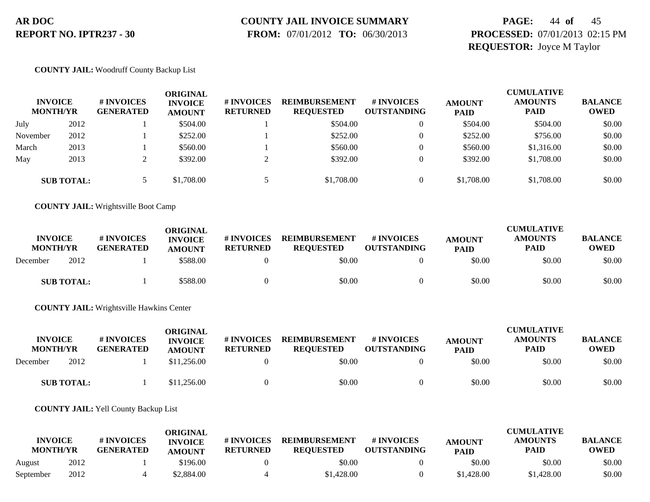# **COUNTY JAIL INVOICE SUMMARY**

 **FROM:** 07/01/2012 **TO:** 06/30/2013

# **PAGE:** 44 **of** 45 **PROCESSED:** 07/01/2013 02:15 PM **REQUESTOR:** Joyce M Taylor

### **COUNTY JAIL:** Woodruff County Backup List

| <b>INVOICE</b><br><b>MONTH/YR</b> |                   | # INVOICES<br><b>GENERATED</b> | ORIGINAL<br><b>INVOICE</b><br><b>AMOUNT</b> | # INVOICES<br><b>RETURNED</b> | <b>REIMBURSEMENT</b><br><b>REQUESTED</b> | <b># INVOICES</b><br><b>OUTSTANDING</b> | <b>AMOUNT</b><br><b>PAID</b> | <b>CUMULATIVE</b><br><b>AMOUNTS</b><br><b>PAID</b> | <b>BALANCE</b><br><b>OWED</b> |
|-----------------------------------|-------------------|--------------------------------|---------------------------------------------|-------------------------------|------------------------------------------|-----------------------------------------|------------------------------|----------------------------------------------------|-------------------------------|
| July                              | 2012              |                                | \$504.00                                    |                               | \$504.00                                 | $\overline{0}$                          | \$504.00                     | \$504.00                                           | \$0.00                        |
| November                          | 2012              |                                | \$252.00                                    |                               | \$252.00                                 | $\Omega$                                | \$252.00                     | \$756.00                                           | \$0.00                        |
| March                             | 2013              |                                | \$560.00                                    |                               | \$560.00                                 |                                         | \$560.00                     | \$1,316.00                                         | \$0.00                        |
| May                               | 2013              |                                | \$392.00                                    |                               | \$392.00                                 |                                         | \$392.00                     | \$1,708.00                                         | \$0.00                        |
|                                   | <b>SUB TOTAL:</b> |                                | \$1,708.00                                  |                               | \$1,708.00                               | $\theta$                                | \$1,708.00                   | \$1,708.00                                         | \$0.00                        |

**COUNTY JAIL:** Wrightsville Boot Camp

| <b>INVOICE</b><br><b>MONTH/YR</b> | # INVOICES<br><b>GENERATED</b> | ORIGINAL<br><b>INVOICE</b><br><b>AMOUNT</b> | <b># INVOICES</b><br><b>RETURNED</b> | <b>REIMBURSEMENT</b><br><b>REQUESTED</b> | # INVOICES<br><b>OUTSTANDING</b> | <b>AMOUNT</b><br><b>PAID</b> | <b>CUMULATIVE</b><br><b>AMOUNTS</b><br><b>PAID</b> | <b>BALANCE</b><br><b>OWED</b> |
|-----------------------------------|--------------------------------|---------------------------------------------|--------------------------------------|------------------------------------------|----------------------------------|------------------------------|----------------------------------------------------|-------------------------------|
| 2012<br>December                  |                                | \$588.00                                    |                                      | \$0.00                                   |                                  | \$0.00                       | \$0.00                                             | \$0.00                        |
| <b>SUB TOTAL:</b>                 |                                | \$588.00                                    |                                      | \$0.00                                   |                                  | \$0.00                       | \$0.00                                             | \$0.00                        |

**COUNTY JAIL:** Wrightsville Hawkins Center

| <b>INVOICE</b><br><b>MONTH/YR</b> | # INVOICES<br><b>GENERATED</b> | ORIGINAL<br><b>INVOICE</b><br><b>AMOUNT</b> | # INVOICES<br><b>RETURNED</b> | <b>REIMBURSEMENT</b><br><b>REOUESTED</b> | <b>#INVOICES</b><br><b>OUTSTANDING</b> | <b>AMOUNT</b><br><b>PAID</b> | <b>CUMULATIVE</b><br><b>AMOUNTS</b><br><b>PAID</b> | <b>BALANCE</b><br><b>OWED</b> |
|-----------------------------------|--------------------------------|---------------------------------------------|-------------------------------|------------------------------------------|----------------------------------------|------------------------------|----------------------------------------------------|-------------------------------|
| 2012<br>December                  |                                | \$11,256.00                                 |                               | \$0.00                                   |                                        | \$0.00                       | \$0.00                                             | \$0.00                        |
| <b>SUB TOTAL:</b>                 |                                | \$11,256.00                                 |                               | \$0.00                                   |                                        | \$0.00                       | \$0.00                                             | \$0.00                        |

### **COUNTY JAIL:** Yell County Backup List

|                                   |      |                                | ORIGINAL                        |                               |                                          |                                  |                              | <b>CUMULATIVE</b>             |                               |
|-----------------------------------|------|--------------------------------|---------------------------------|-------------------------------|------------------------------------------|----------------------------------|------------------------------|-------------------------------|-------------------------------|
| <b>INVOICE</b><br><b>MONTH/YR</b> |      | # INVOICES<br><b>GENERATED</b> | <b>INVOICE</b><br><b>AMOUNT</b> | # INVOICES<br><b>RETURNED</b> | <b>REIMBURSEMENT</b><br><b>REOUESTED</b> | # INVOICES<br><b>OUTSTANDING</b> | <b>AMOUNT</b><br><b>PAID</b> | <b>AMOUNTS</b><br><b>PAID</b> | <b>BALANCE</b><br><b>OWED</b> |
| August                            | 2012 |                                | \$196.00                        |                               | \$0.00                                   |                                  | \$0.00                       | \$0.00                        | \$0.00                        |
| September                         | 2012 |                                | \$2,884.00                      |                               | \$1,428.00                               |                                  | \$1,428.00                   | \$1,428.00                    | \$0.00                        |